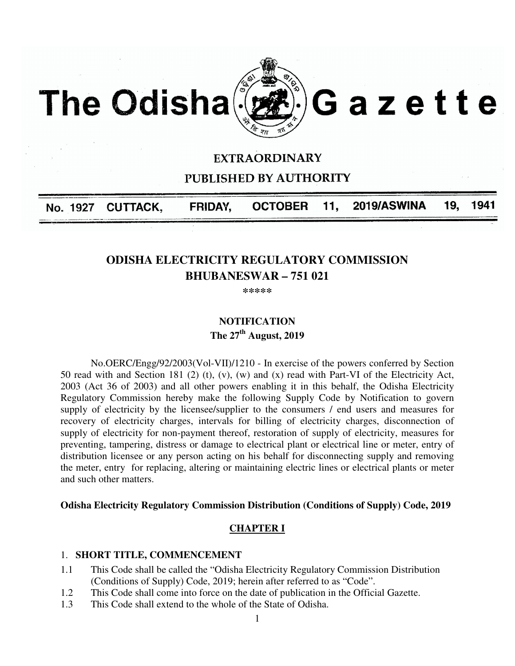

# **EXTRAORDINARY**

**PUBLISHED BY AUTHORITY** 

**OCTOBER** 2019/ASWINA 19. FRIDAY, 11. 1941 **CUTTACK,** No. 1927

# **ODISHA ELECTRICITY REGULATORY COMMISSION BHUBANESWAR – 751 021**

**\*\*\*\*\*** 

# **NOTIFICATION The 27th August, 2019**

No.OERC/Engg/92/2003(Vol-VII)/1210 - In exercise of the powers conferred by Section 50 read with and Section 181 (2) (t), (v), (w) and (x) read with Part-VI of the Electricity Act, 2003 (Act 36 of 2003) and all other powers enabling it in this behalf, the Odisha Electricity Regulatory Commission hereby make the following Supply Code by Notification to govern supply of electricity by the licensee/supplier to the consumers / end users and measures for recovery of electricity charges, intervals for billing of electricity charges, disconnection of supply of electricity for non-payment thereof, restoration of supply of electricity, measures for preventing, tampering, distress or damage to electrical plant or electrical line or meter, entry of distribution licensee or any person acting on his behalf for disconnecting supply and removing the meter, entry for replacing, altering or maintaining electric lines or electrical plants or meter and such other matters.

#### **Odisha Electricity Regulatory Commission Distribution (Conditions of Supply) Code, 2019**

#### **CHAPTER I**

#### 1. **SHORT TITLE, COMMENCEMENT**

- 1.1 This Code shall be called the "Odisha Electricity Regulatory Commission Distribution (Conditions of Supply) Code, 2019; herein after referred to as "Code".
- 1.2 This Code shall come into force on the date of publication in the Official Gazette.
- 1.3 This Code shall extend to the whole of the State of Odisha.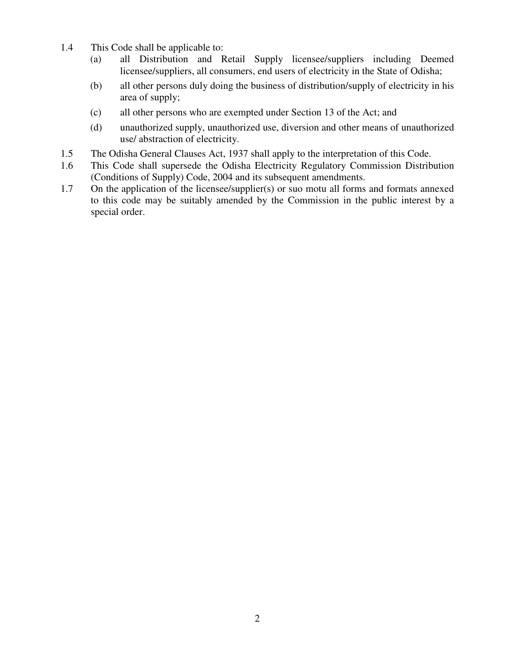- 1.4 This Code shall be applicable to:
	- (a) all Distribution and Retail Supply licensee/suppliers including Deemed licensee/suppliers, all consumers, end users of electricity in the State of Odisha;
	- (b) all other persons duly doing the business of distribution/supply of electricity in his area of supply;
	- (c) all other persons who are exempted under Section 13 of the Act; and
	- (d) unauthorized supply, unauthorized use, diversion and other means of unauthorized use/ abstraction of electricity.
- 1.5 The Odisha General Clauses Act, 1937 shall apply to the interpretation of this Code.
- 1.6 This Code shall supersede the Odisha Electricity Regulatory Commission Distribution (Conditions of Supply) Code, 2004 and its subsequent amendments.
- 1.7 On the application of the licensee/supplier(s) or suo motu all forms and formats annexed to this code may be suitably amended by the Commission in the public interest by a special order.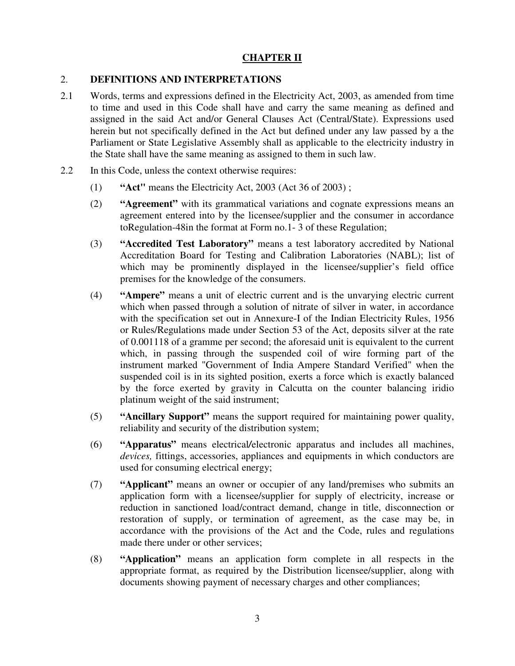# **CHAPTER II**

# 2. **DEFINITIONS AND INTERPRETATIONS**

- 2.1 Words, terms and expressions defined in the Electricity Act, 2003, as amended from time to time and used in this Code shall have and carry the same meaning as defined and assigned in the said Act and/or General Clauses Act (Central/State). Expressions used herein but not specifically defined in the Act but defined under any law passed by a the Parliament or State Legislative Assembly shall as applicable to the electricity industry in the State shall have the same meaning as assigned to them in such law.
- 2.2 In this Code, unless the context otherwise requires:
	- (1) **"Act"** means the Electricity Act, 2003 (Act 36 of 2003) ;
	- (2) **"Agreement"** with its grammatical variations and cognate expressions means an agreement entered into by the licensee/supplier and the consumer in accordance toRegulation-48in the format at Form no.1- 3 of these Regulation;
	- (3) **"Accredited Test Laboratory"** means a test laboratory accredited by National Accreditation Board for Testing and Calibration Laboratories (NABL); list of which may be prominently displayed in the licensee/supplier's field office premises for the knowledge of the consumers.
	- (4) **"Ampere"** means a unit of electric current and is the unvarying electric current which when passed through a solution of nitrate of silver in water, in accordance with the specification set out in Annexure-I of the Indian Electricity Rules, 1956 or Rules/Regulations made under Section 53 of the Act, deposits silver at the rate of 0.001118 of a gramme per second; the aforesaid unit is equivalent to the current which, in passing through the suspended coil of wire forming part of the instrument marked "Government of India Ampere Standard Verified" when the suspended coil is in its sighted position, exerts a force which is exactly balanced by the force exerted by gravity in Calcutta on the counter balancing iridio platinum weight of the said instrument;
	- (5) **"Ancillary Support"** means the support required for maintaining power quality, reliability and security of the distribution system;
	- (6) **"Apparatus"** means electrical*/*electronic apparatus and includes all machines, *devices,* fittings, accessories, appliances and equipments in which conductors are used for consuming electrical energy;
	- (7) **"Applicant"** means an owner or occupier of any land/premises who submits an application form with a licensee/supplier for supply of electricity, increase or reduction in sanctioned load/contract demand, change in title, disconnection or restoration of supply, or termination of agreement, as the case may be, in accordance with the provisions of the Act and the Code, rules and regulations made there under or other services;
	- (8) **"Application"** means an application form complete in all respects in the appropriate format, as required by the Distribution licensee/supplier, along with documents showing payment of necessary charges and other compliances;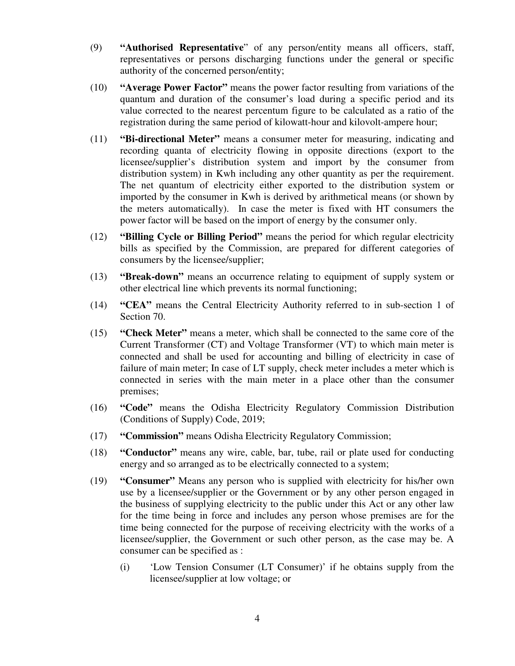- (9) **"Authorised Representative**" of any person/entity means all officers, staff, representatives or persons discharging functions under the general or specific authority of the concerned person/entity;
- (10) **"Average Power Factor"** means the power factor resulting from variations of the quantum and duration of the consumer's load during a specific period and its value corrected to the nearest percentum figure to be calculated as a ratio of the registration during the same period of kilowatt-hour and kilovolt-ampere hour;
- (11) **"Bi-directional Meter"** means a consumer meter for measuring, indicating and recording quanta of electricity flowing in opposite directions (export to the licensee/supplier's distribution system and import by the consumer from distribution system) in Kwh including any other quantity as per the requirement. The net quantum of electricity either exported to the distribution system or imported by the consumer in Kwh is derived by arithmetical means (or shown by the meters automatically). In case the meter is fixed with HT consumers the power factor will be based on the import of energy by the consumer only.
- (12) **"Billing Cycle or Billing Period"** means the period for which regular electricity bills as specified by the Commission, are prepared for different categories of consumers by the licensee/supplier;
- (13) **"Break-down"** means an occurrence relating to equipment of supply system or other electrical line which prevents its normal functioning;
- (14) **"CEA"** means the Central Electricity Authority referred to in sub-section 1 of Section 70.
- (15) **"Check Meter"** means a meter, which shall be connected to the same core of the Current Transformer (CT) and Voltage Transformer (VT) to which main meter is connected and shall be used for accounting and billing of electricity in case of failure of main meter; In case of LT supply, check meter includes a meter which is connected in series with the main meter in a place other than the consumer premises;
- (16) **"Code"** means the Odisha Electricity Regulatory Commission Distribution (Conditions of Supply) Code, 2019;
- (17) **"Commission"** means Odisha Electricity Regulatory Commission;
- (18) **"Conductor"** means any wire, cable, bar, tube, rail or plate used for conducting energy and so arranged as to be electrically connected to a system;
- (19) **"Consumer"** Means any person who is supplied with electricity for his/her own use by a licensee/supplier or the Government or by any other person engaged in the business of supplying electricity to the public under this Act or any other law for the time being in force and includes any person whose premises are for the time being connected for the purpose of receiving electricity with the works of a licensee/supplier, the Government or such other person, as the case may be. A consumer can be specified as :
	- (i) 'Low Tension Consumer (LT Consumer)' if he obtains supply from the licensee/supplier at low voltage; or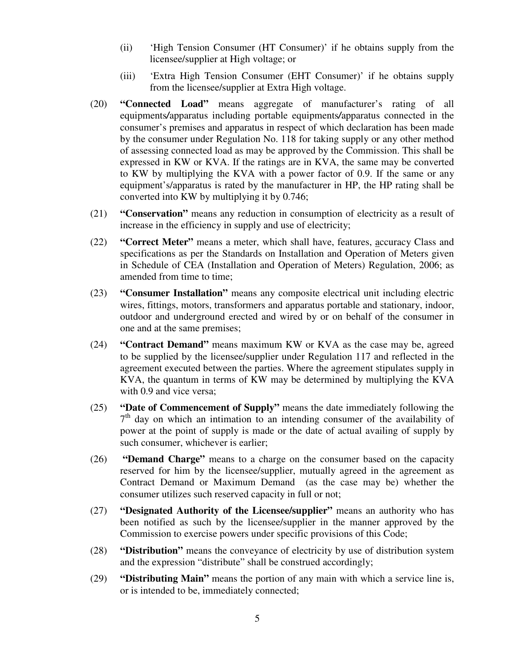- (ii) 'High Tension Consumer (HT Consumer)' if he obtains supply from the licensee/supplier at High voltage; or
- (iii) 'Extra High Tension Consumer (EHT Consumer)' if he obtains supply from the licensee/supplier at Extra High voltage.
- (20) **"Connected Load"** means aggregate of manufacturer's rating of all equipments*/*apparatus including portable equipments*/*apparatus connected in the consumer's premises and apparatus in respect of which declaration has been made by the consumer under Regulation No. 118 for taking supply or any other method of assessing connected load as may be approved by the Commission. This shall be expressed in KW or KVA. If the ratings are in KVA, the same may be converted to KW by multiplying the KVA with a power factor of 0.9. If the same or any equipment's/apparatus is rated by the manufacturer in HP, the HP rating shall be converted into KW by multiplying it by 0.746;
- (21) **"Conservation"** means any reduction in consumption of electricity as a result of increase in the efficiency in supply and use of electricity;
- (22) **"Correct Meter"** means a meter, which shall have, features, accuracy Class and specifications as per the Standards on Installation and Operation of Meters given in Schedule of CEA (Installation and Operation of Meters) Regulation, 2006; as amended from time to time;
- (23) **"Consumer Installation"** means any composite electrical unit including electric wires, fittings, motors, transformers and apparatus portable and stationary, indoor, outdoor and underground erected and wired by or on behalf of the consumer in one and at the same premises;
- (24) **"Contract Demand"** means maximum KW or KVA as the case may be, agreed to be supplied by the licensee/supplier under Regulation 117 and reflected in the agreement executed between the parties. Where the agreement stipulates supply in KVA, the quantum in terms of KW may be determined by multiplying the KVA with 0.9 and vice versa;
- (25) **"Date of Commencement of Supply"** means the date immediately following the 7<sup>th</sup> day on which an intimation to an intending consumer of the availability of power at the point of supply is made or the date of actual availing of supply by such consumer, whichever is earlier;
- (26) **"Demand Charge"** means to a charge on the consumer based on the capacity reserved for him by the licensee/supplier, mutually agreed in the agreement as Contract Demand or Maximum Demand (as the case may be) whether the consumer utilizes such reserved capacity in full or not;
- (27) **"Designated Authority of the Licensee/supplier"** means an authority who has been notified as such by the licensee/supplier in the manner approved by the Commission to exercise powers under specific provisions of this Code;
- (28) **"Distribution"** means the conveyance of electricity by use of distribution system and the expression "distribute" shall be construed accordingly;
- (29) **"Distributing Main"** means the portion of any main with which a service line is, or is intended to be, immediately connected;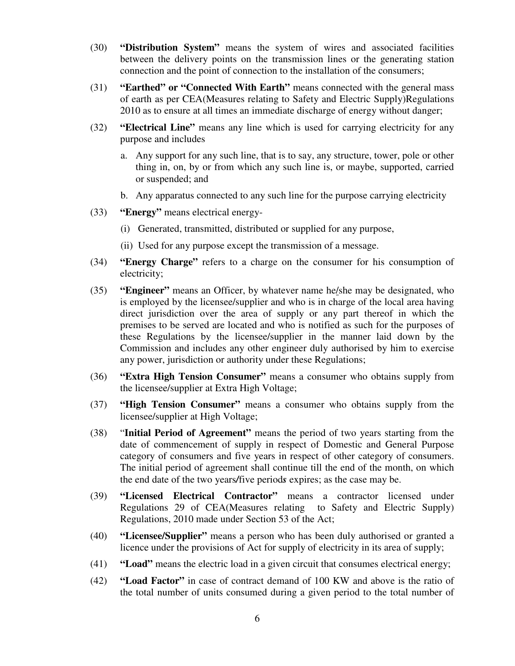- (30) **"Distribution System"** means the system of wires and associated facilities between the delivery points on the transmission lines or the generating station connection and the point of connection to the installation of the consumers;
- (31) **"Earthed" or "Connected With Earth"** means connected with the general mass of earth as per CEA(Measures relating to Safety and Electric Supply)Regulations 2010 as to ensure at all times an immediate discharge of energy without danger;
- (32) **"Electrical Line"** means any line which is used for carrying electricity for any purpose and includes
	- a. Any support for any such line, that is to say, any structure, tower, pole or other thing in, on, by or from which any such line is, or maybe, supported, carried or suspended; and
	- b. Any apparatus connected to any such line for the purpose carrying electricity
- (33) **"Energy"** means electrical energy-
	- (i) Generated, transmitted, distributed or supplied for any purpose,
	- (ii) Used for any purpose except the transmission of a message.
- (34) **"Energy Charge"** refers to a charge on the consumer for his consumption of electricity;
- (35) **"Engineer"** means an Officer, by whatever name he/she may be designated, who is employed by the licensee/supplier and who is in charge of the local area having direct jurisdiction over the area of supply or any part thereof in which the premises to be served are located and who is notified as such for the purposes of these Regulations by the licensee/supplier in the manner laid down by the Commission and includes any other engineer duly authorised by him to exercise any power, jurisdiction or authority under these Regulations;
- (36) **"Extra High Tension Consumer"** means a consumer who obtains supply from the licensee/supplier at Extra High Voltage;
- (37) **"High Tension Consumer"** means a consumer who obtains supply from the licensee/supplier at High Voltage;
- (38) "**Initial Period of Agreement"** means the period of two years starting from the date of commencement of supply in respect of Domestic and General Purpose category of consumers and five years in respect of other category of consumers. The initial period of agreement shall continue till the end of the month, on which the end date of the two years*/*five period*s* expires; as the case may be.
- (39) **"Licensed Electrical Contractor"** means a contractor licensed under Regulations 29 of CEA(Measures relating to Safety and Electric Supply) Regulations, 2010 made under Section 53 of the Act;
- (40) **"Licensee/Supplier"** means a person who has been duly authorised or granted a licence under the provisions of Act for supply of electricity in its area of supply;
- (41) **"Load"** means the electric load in a given circuit that consumes electrical energy;
- (42) **"Load Factor"** in case of contract demand of 100 KW and above is the ratio of the total number of units consumed during a given period to the total number of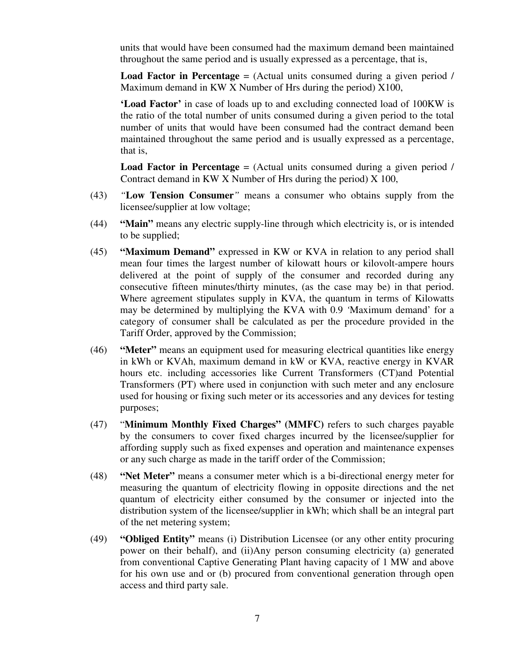units that would have been consumed had the maximum demand been maintained throughout the same period and is usually expressed as a percentage, that is,

**Load Factor in Percentage** = (Actual units consumed during a given period / Maximum demand in KW X Number of Hrs during the period) X100,

**'Load Factor'** in case of loads up to and excluding connected load of 100KW is the ratio of the total number of units consumed during a given period to the total number of units that would have been consumed had the contract demand been maintained throughout the same period and is usually expressed as a percentage, that is,

**Load Factor in Percentage** = (Actual units consumed during a given period / Contract demand in KW X Number of Hrs during the period) X 100,

- (43) *"***Low Tension Consumer***"* means a consumer who obtains supply from the licensee/supplier at low voltage;
- (44) **"Main"** means any electric supply-line through which electricity is, or is intended to be supplied;
- (45) **"Maximum Demand"** expressed in KW or KVA in relation to any period shall mean four times the largest number of kilowatt hours or kilovolt-ampere hours delivered at the point of supply of the consumer and recorded during any consecutive fifteen minutes/thirty minutes, (as the case may be) in that period. Where agreement stipulates supply in KVA, the quantum in terms of Kilowatts may be determined by multiplying the KVA with 0.9 *'*Maximum demand' for a category of consumer shall be calculated as per the procedure provided in the Tariff Order, approved by the Commission;
- (46) **"Meter"** means an equipment used for measuring electrical quantities like energy in kWh or KVAh, maximum demand in kW or KVA, reactive energy in KVAR hours etc. including accessories like Current Transformers (CT)and Potential Transformers (PT) where used in conjunction with such meter and any enclosure used for housing or fixing such meter or its accessories and any devices for testing purposes;
- (47) "**Minimum Monthly Fixed Charges" (MMFC)** refers to such charges payable by the consumers to cover fixed charges incurred by the licensee/supplier for affording supply such as fixed expenses and operation and maintenance expenses or any such charge as made in the tariff order of the Commission;
- (48) **"Net Meter"** means a consumer meter which is a bi-directional energy meter for measuring the quantum of electricity flowing in opposite directions and the net quantum of electricity either consumed by the consumer or injected into the distribution system of the licensee/supplier in kWh; which shall be an integral part of the net metering system;
- (49) **"Obliged Entity"** means (i) Distribution Licensee (or any other entity procuring power on their behalf), and (ii)Any person consuming electricity (a) generated from conventional Captive Generating Plant having capacity of 1 MW and above for his own use and or (b) procured from conventional generation through open access and third party sale.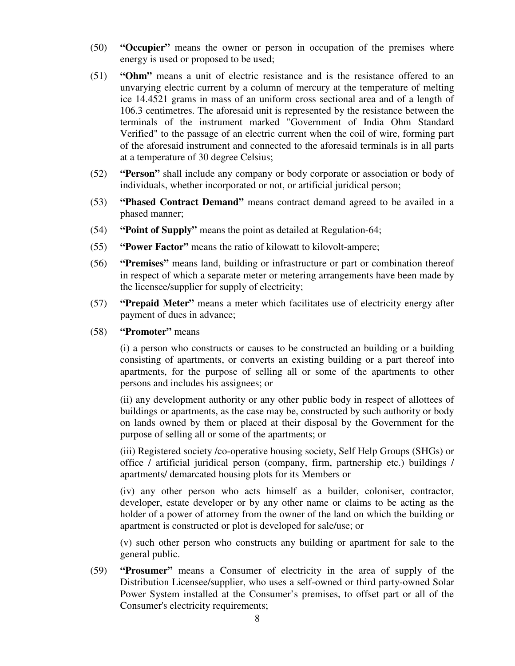- (50) **"Occupier"** means the owner or person in occupation of the premises where energy is used or proposed to be used;
- (51) **"Ohm"** means a unit of electric resistance and is the resistance offered to an unvarying electric current by a column of mercury at the temperature of melting ice 14.4521 grams in mass of an uniform cross sectional area and of a length of 106.3 centimetres. The aforesaid unit is represented by the resistance between the terminals of the instrument marked "Government of India Ohm Standard Verified" to the passage of an electric current when the coil of wire, forming part of the aforesaid instrument and connected to the aforesaid terminals is in all parts at a temperature of 30 degree Celsius;
- (52) **"Person"** shall include any company or body corporate or association or body of individuals, whether incorporated or not, or artificial juridical person;
- (53) **"Phased Contract Demand"** means contract demand agreed to be availed in a phased manner;
- (54) **"Point of Supply"** means the point as detailed at Regulation-64;
- (55) **"Power Factor"** means the ratio of kilowatt to kilovolt-ampere;
- (56) **"Premises"** means land, building or infrastructure or part or combination thereof in respect of which a separate meter or metering arrangements have been made by the licensee/supplier for supply of electricity;
- (57) **"Prepaid Meter"** means a meter which facilitates use of electricity energy after payment of dues in advance;
- (58) **"Promoter"** means

(i) a person who constructs or causes to be constructed an building or a building consisting of apartments, or converts an existing building or a part thereof into apartments, for the purpose of selling all or some of the apartments to other persons and includes his assignees; or

(ii) any development authority or any other public body in respect of allottees of buildings or apartments, as the case may be, constructed by such authority or body on lands owned by them or placed at their disposal by the Government for the purpose of selling all or some of the apartments; or

(iii) Registered society /co-operative housing society, Self Help Groups (SHGs) or office / artificial juridical person (company, firm, partnership etc.) buildings / apartments/ demarcated housing plots for its Members or

(iv) any other person who acts himself as a builder, coloniser, contractor, developer, estate developer or by any other name or claims to be acting as the holder of a power of attorney from the owner of the land on which the building or apartment is constructed or plot is developed for sale/use; or

(v) such other person who constructs any building or apartment for sale to the general public.

(59) **"Prosumer"** means a Consumer of electricity in the area of supply of the Distribution Licensee/supplier, who uses a self-owned or third party-owned Solar Power System installed at the Consumer's premises, to offset part or all of the Consumer's electricity requirements;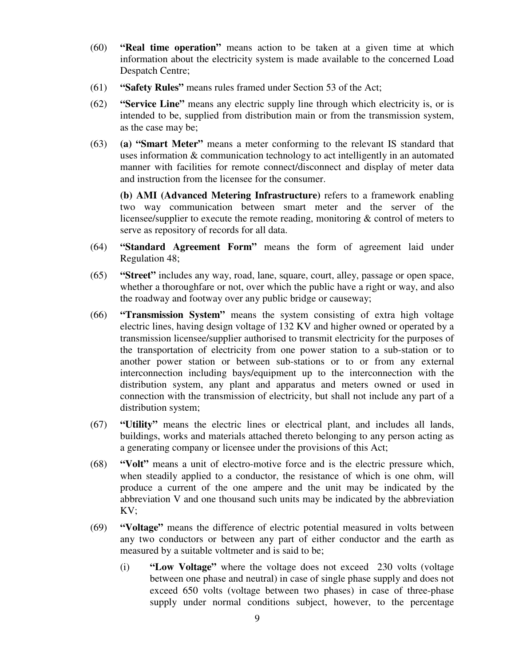- (60) **"Real time operation"** means action to be taken at a given time at which information about the electricity system is made available to the concerned Load Despatch Centre;
- (61) **"Safety Rules"** means rules framed under Section 53 of the Act;
- (62) **"Service Line"** means any electric supply line through which electricity is, or is intended to be, supplied from distribution main or from the transmission system, as the case may be;
- (63) **(a) "Smart Meter"** means a meter conforming to the relevant IS standard that uses information & communication technology to act intelligently in an automated manner with facilities for remote connect/disconnect and display of meter data and instruction from the licensee for the consumer.

**(b) AMI (Advanced Metering Infrastructure)** refers to a framework enabling two way communication between smart meter and the server of the licensee/supplier to execute the remote reading, monitoring & control of meters to serve as repository of records for all data.

- (64) **"Standard Agreement Form"** means the form of agreement laid under Regulation 48;
- (65) **"Street"** includes any way, road, lane, square, court, alley, passage or open space, whether a thoroughfare or not, over which the public have a right or way, and also the roadway and footway over any public bridge or causeway;
- (66) **"Transmission System"** means the system consisting of extra high voltage electric lines, having design voltage of 132 KV and higher owned or operated by a transmission licensee/supplier authorised to transmit electricity for the purposes of the transportation of electricity from one power station to a sub-station or to another power station or between sub-stations or to or from any external interconnection including bays/equipment up to the interconnection with the distribution system, any plant and apparatus and meters owned or used in connection with the transmission of electricity, but shall not include any part of a distribution system;
- (67) **"Utility"** means the electric lines or electrical plant, and includes all lands, buildings, works and materials attached thereto belonging to any person acting as a generating company or licensee under the provisions of this Act;
- (68) **"Volt"** means a unit of electro-motive force and is the electric pressure which, when steadily applied to a conductor, the resistance of which is one ohm, will produce a current of the one ampere and the unit may be indicated by the abbreviation V and one thousand such units may be indicated by the abbreviation KV;
- (69) **"Voltage"** means the difference of electric potential measured in volts between any two conductors or between any part of either conductor and the earth as measured by a suitable voltmeter and is said to be;
	- (i) **"Low Voltage"** where the voltage does not exceed 230 volts (voltage between one phase and neutral) in case of single phase supply and does not exceed 650 volts (voltage between two phases) in case of three-phase supply under normal conditions subject, however, to the percentage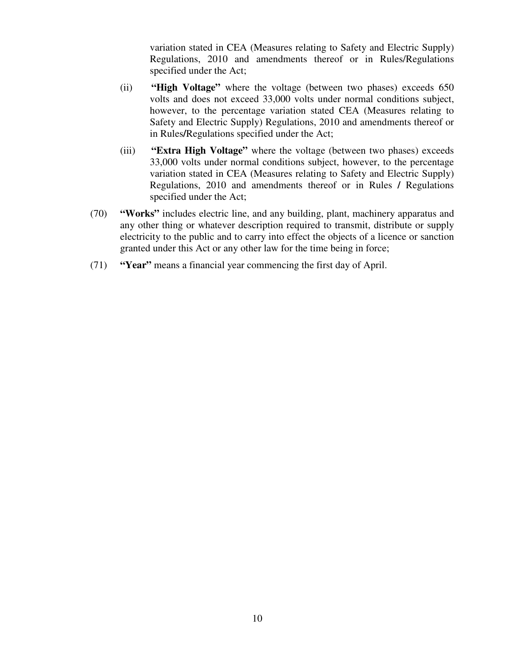variation stated in CEA (Measures relating to Safety and Electric Supply) Regulations, 2010 and amendments thereof or in Rules/Regulations specified under the Act;

- (ii) **"High Voltage"** where the voltage (between two phases) exceeds 650 volts and does not exceed 33,000 volts under normal conditions subject, however, to the percentage variation stated CEA (Measures relating to Safety and Electric Supply) Regulations, 2010 and amendments thereof or in Rules**/**Regulations specified under the Act;
- (iii) **"Extra High Voltage"** where the voltage (between two phases) exceeds 33,000 volts under normal conditions subject, however, to the percentage variation stated in CEA (Measures relating to Safety and Electric Supply) Regulations, 2010 and amendments thereof or in Rules **/** Regulations specified under the Act;
- (70) **"Works"** includes electric line, and any building, plant, machinery apparatus and any other thing or whatever description required to transmit, distribute or supply electricity to the public and to carry into effect the objects of a licence or sanction granted under this Act or any other law for the time being in force;
- (71) **"Year"** means a financial year commencing the first day of April.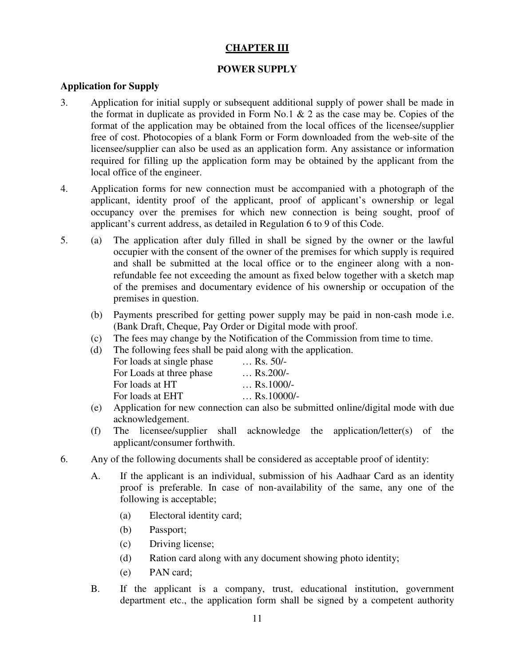# **CHAPTER III**

# **POWER SUPPLY**

#### **Application for Supply**

- 3. Application for initial supply or subsequent additional supply of power shall be made in the format in duplicate as provided in Form No.1  $\&$  2 as the case may be. Copies of the format of the application may be obtained from the local offices of the licensee/supplier free of cost. Photocopies of a blank Form or Form downloaded from the web-site of the licensee/supplier can also be used as an application form. Any assistance or information required for filling up the application form may be obtained by the applicant from the local office of the engineer.
- 4. Application forms for new connection must be accompanied with a photograph of the applicant, identity proof of the applicant, proof of applicant's ownership or legal occupancy over the premises for which new connection is being sought, proof of applicant's current address, as detailed in Regulation 6 to 9 of this Code.
- 5. (a) The application after duly filled in shall be signed by the owner or the lawful occupier with the consent of the owner of the premises for which supply is required and shall be submitted at the local office or to the engineer along with a non refundable fee not exceeding the amount as fixed below together with a sketch map of the premises and documentary evidence of his ownership or occupation of the premises in question.
	- (b) Payments prescribed for getting power supply may be paid in non-cash mode i.e. (Bank Draft, Cheque, Pay Order or Digital mode with proof.
	- (c) The fees may change by the Notification of the Commission from time to time.
	- (d) The following fees shall be paid along with the application.

| $\ldots$ Rs. 50/-   |
|---------------------|
| $\ldots$ Rs.200/-   |
| $\ldots$ Rs.1000/-  |
| $\ldots$ Rs.10000/- |
|                     |

- (e) Application for new connection can also be submitted online/digital mode with due acknowledgement.
- (f) The licensee/supplier shall acknowledge the application/letter(s) of the applicant/consumer forthwith.
- 6. Any of the following documents shall be considered as acceptable proof of identity:
	- A. If the applicant is an individual, submission of his Aadhaar Card as an identity proof is preferable. In case of non-availability of the same, any one of the following is acceptable;
		- (a) Electoral identity card;
		- (b) Passport;
		- (c) Driving license;
		- (d) Ration card along with any document showing photo identity;
		- (e) PAN card;
	- B. If the applicant is a company, trust, educational institution, government department etc., the application form shall be signed by a competent authority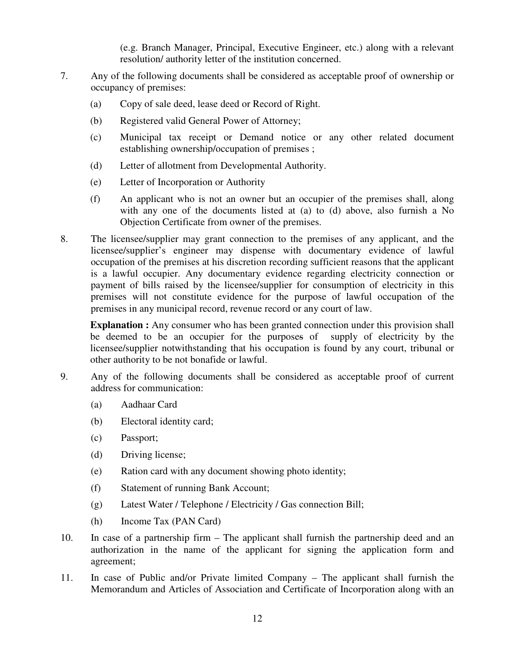(e.g. Branch Manager, Principal, Executive Engineer, etc.) along with a relevant resolution/ authority letter of the institution concerned.

- 7. Any of the following documents shall be considered as acceptable proof of ownership or occupancy of premises:
	- (a) Copy of sale deed, lease deed or Record of Right.
	- (b) Registered valid General Power of Attorney;
	- (c) Municipal tax receipt or Demand notice or any other related document establishing ownership/occupation of premises ;
	- (d) Letter of allotment from Developmental Authority.
	- (e) Letter of Incorporation or Authority
	- (f) An applicant who is not an owner but an occupier of the premises shall, along with any one of the documents listed at (a) to (d) above, also furnish a No Objection Certificate from owner of the premises.
- 8. The licensee/supplier may grant connection to the premises of any applicant, and the licensee/supplier's engineer may dispense with documentary evidence of lawful occupation of the premises at his discretion recording sufficient reasons that the applicant is a lawful occupier. Any documentary evidence regarding electricity connection or payment of bills raised by the licensee/supplier for consumption of electricity in this premises will not constitute evidence for the purpose of lawful occupation of the premises in any municipal record, revenue record or any court of law.

**Explanation :** Any consumer who has been granted connection under this provision shall be deemed to be an occupier for the purposes of supply of electricity by the licensee/supplier notwithstanding that his occupation is found by any court, tribunal or other authority to be not bonafide or lawful.

- 9. Any of the following documents shall be considered as acceptable proof of current address for communication:
	- (a) Aadhaar Card
	- (b) Electoral identity card;
	- (c) Passport;
	- (d) Driving license;
	- (e) Ration card with any document showing photo identity;
	- (f) Statement of running Bank Account;
	- (g) Latest Water / Telephone / Electricity / Gas connection Bill;
	- (h) Income Tax (PAN Card)
- 10. In case of a partnership firm The applicant shall furnish the partnership deed and an authorization in the name of the applicant for signing the application form and agreement;
- 11. In case of Public and/or Private limited Company The applicant shall furnish the Memorandum and Articles of Association and Certificate of Incorporation along with an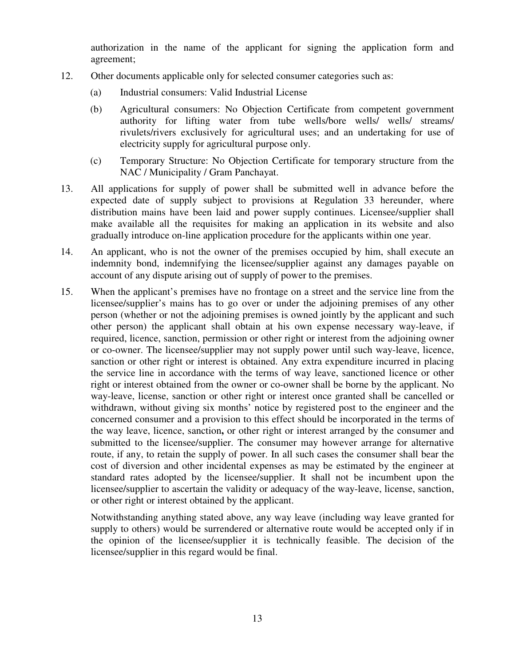authorization in the name of the applicant for signing the application form and agreement;

- 12. Other documents applicable only for selected consumer categories such as:
	- (a) Industrial consumers: Valid Industrial License
	- (b) Agricultural consumers: No Objection Certificate from competent government authority for lifting water from tube wells/bore wells/ wells/ streams/ rivulets/rivers exclusively for agricultural uses; and an undertaking for use of electricity supply for agricultural purpose only.
	- (c) Temporary Structure: No Objection Certificate for temporary structure from the NAC / Municipality / Gram Panchayat.
- 13. All applications for supply of power shall be submitted well in advance before the expected date of supply subject to provisions at Regulation 33 hereunder, where distribution mains have been laid and power supply continues. Licensee/supplier shall make available all the requisites for making an application in its website and also gradually introduce on-line application procedure for the applicants within one year.
- 14. An applicant, who is not the owner of the premises occupied by him, shall execute an indemnity bond, indemnifying the licensee/supplier against any damages payable on account of any dispute arising out of supply of power to the premises.
- 15. When the applicant's premises have no frontage on a street and the service line from the licensee/supplier's mains has to go over or under the adjoining premises of any other person (whether or not the adjoining premises is owned jointly by the applicant and such other person) the applicant shall obtain at his own expense necessary way-leave, if required, licence, sanction, permission or other right or interest from the adjoining owner or co-owner. The licensee/supplier may not supply power until such way-leave, licence, sanction or other right or interest is obtained. Any extra expenditure incurred in placing the service line in accordance with the terms of way leave, sanctioned licence or other right or interest obtained from the owner or co-owner shall be borne by the applicant. No way-leave, license, sanction or other right or interest once granted shall be cancelled or withdrawn, without giving six months' notice by registered post to the engineer and the concerned consumer and a provision to this effect should be incorporated in the terms of the way leave, licence, sanction**,** or other right or interest arranged by the consumer and submitted to the licensee/supplier. The consumer may however arrange for alternative route, if any, to retain the supply of power. In all such cases the consumer shall bear the cost of diversion and other incidental expenses as may be estimated by the engineer at standard rates adopted by the licensee/supplier. It shall not be incumbent upon the licensee/supplier to ascertain the validity or adequacy of the way-leave, license, sanction, or other right or interest obtained by the applicant.

Notwithstanding anything stated above, any way leave (including way leave granted for supply to others) would be surrendered or alternative route would be accepted only if in the opinion of the licensee/supplier it is technically feasible. The decision of the licensee/supplier in this regard would be final.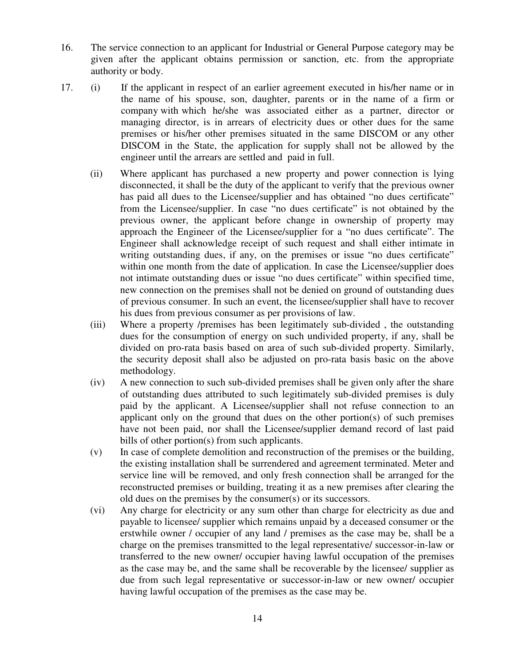- 16. The service connection to an applicant for Industrial or General Purpose category may be given after the applicant obtains permission or sanction, etc. from the appropriate authority or body.
- 17. (i) If the applicant in respect of an earlier agreement executed in his/her name or in the name of his spouse, son, daughter, parents or in the name of a firm or company with which he/she was associated either as a partner, director or managing director, is in arrears of electricity dues or other dues for the same premises or his/her other premises situated in the same DISCOM or any other DISCOM in the State, the application for supply shall not be allowed by the engineer until the arrears are settled and paid in full.
	- (ii) Where applicant has purchased a new property and power connection is lying disconnected, it shall be the duty of the applicant to verify that the previous owner has paid all dues to the Licensee/supplier and has obtained "no dues certificate" from the Licensee/supplier. In case "no dues certificate" is not obtained by the previous owner, the applicant before change in ownership of property may approach the Engineer of the Licensee/supplier for a "no dues certificate". The Engineer shall acknowledge receipt of such request and shall either intimate in writing outstanding dues, if any, on the premises or issue "no dues certificate" within one month from the date of application. In case the Licensee/supplier does not intimate outstanding dues or issue "no dues certificate" within specified time, new connection on the premises shall not be denied on ground of outstanding dues of previous consumer. In such an event, the licensee/supplier shall have to recover his dues from previous consumer as per provisions of law.
	- (iii) Where a property /premises has been legitimately sub-divided , the outstanding dues for the consumption of energy on such undivided property, if any, shall be divided on pro-rata basis based on area of such sub-divided property. Similarly, the security deposit shall also be adjusted on pro-rata basis basic on the above methodology.
	- (iv) A new connection to such sub-divided premises shall be given only after the share of outstanding dues attributed to such legitimately sub-divided premises is duly paid by the applicant. A Licensee/supplier shall not refuse connection to an applicant only on the ground that dues on the other portion(s) of such premises have not been paid, nor shall the Licensee/supplier demand record of last paid bills of other portion(s) from such applicants.
	- (v) In case of complete demolition and reconstruction of the premises or the building, the existing installation shall be surrendered and agreement terminated. Meter and service line will be removed, and only fresh connection shall be arranged for the reconstructed premises or building, treating it as a new premises after clearing the old dues on the premises by the consumer(s) or its successors.
	- (vi) Any charge for electricity or any sum other than charge for electricity as due and payable to licensee/ supplier which remains unpaid by a deceased consumer or the erstwhile owner / occupier of any land / premises as the case may be, shall be a charge on the premises transmitted to the legal representative/ successor-in-law or transferred to the new owner/ occupier having lawful occupation of the premises as the case may be, and the same shall be recoverable by the licensee/ supplier as due from such legal representative or successor-in-law or new owner/ occupier having lawful occupation of the premises as the case may be.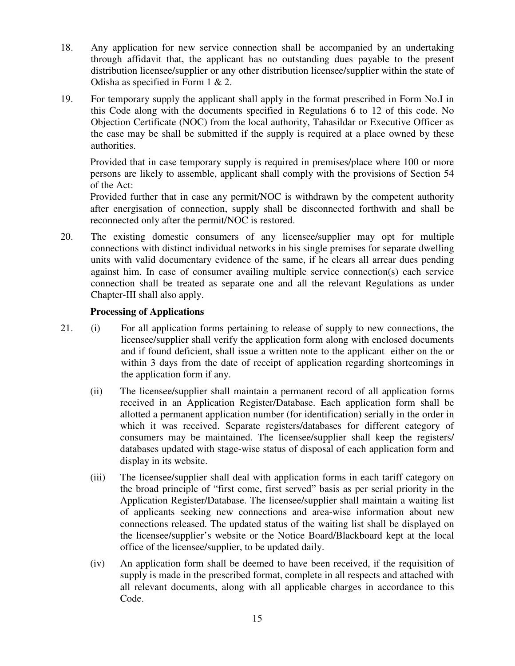- 18. Any application for new service connection shall be accompanied by an undertaking through affidavit that, the applicant has no outstanding dues payable to the present distribution licensee/supplier or any other distribution licensee/supplier within the state of Odisha as specified in Form 1 & 2.
- 19. For temporary supply the applicant shall apply in the format prescribed in Form No.I in this Code along with the documents specified in Regulations 6 to 12 of this code. No Objection Certificate (NOC) from the local authority, Tahasildar or Executive Officer as the case may be shall be submitted if the supply is required at a place owned by these authorities.

Provided that in case temporary supply is required in premises/place where 100 or more persons are likely to assemble, applicant shall comply with the provisions of Section 54 of the Act:

Provided further that in case any permit/NOC is withdrawn by the competent authority after energisation of connection, supply shall be disconnected forthwith and shall be reconnected only after the permit/NOC is restored.

20. The existing domestic consumers of any licensee/supplier may opt for multiple connections with distinct individual networks in his single premises for separate dwelling units with valid documentary evidence of the same, if he clears all arrear dues pending against him. In case of consumer availing multiple service connection(s) each service connection shall be treated as separate one and all the relevant Regulations as under Chapter-III shall also apply.

# **Processing of Applications**

- 21. (i) For all application forms pertaining to release of supply to new connections, the licensee/supplier shall verify the application form along with enclosed documents and if found deficient, shall issue a written note to the applicant either on the or within 3 days from the date of receipt of application regarding shortcomings in the application form if any.
	- (ii) The licensee/supplier shall maintain a permanent record of all application forms received in an Application Register/Database. Each application form shall be allotted a permanent application number (for identification) serially in the order in which it was received. Separate registers/databases for different category of consumers may be maintained. The licensee/supplier shall keep the registers/ databases updated with stage-wise status of disposal of each application form and display in its website.
	- (iii) The licensee/supplier shall deal with application forms in each tariff category on the broad principle of "first come, first served" basis as per serial priority in the Application Register/Database. The licensee/supplier shall maintain a waiting list of applicants seeking new connections and area-wise information about new connections released. The updated status of the waiting list shall be displayed on the licensee/supplier's website or the Notice Board/Blackboard kept at the local office of the licensee/supplier, to be updated daily.
	- (iv) An application form shall be deemed to have been received, if the requisition of supply is made in the prescribed format, complete in all respects and attached with all relevant documents, along with all applicable charges in accordance to this Code.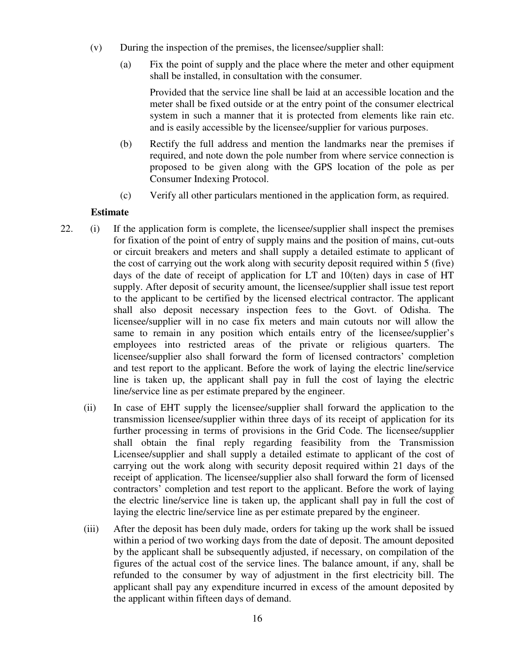- (v) During the inspection of the premises, the licensee/supplier shall:
	- (a) Fix the point of supply and the place where the meter and other equipment shall be installed, in consultation with the consumer.

Provided that the service line shall be laid at an accessible location and the meter shall be fixed outside or at the entry point of the consumer electrical system in such a manner that it is protected from elements like rain etc. and is easily accessible by the licensee/supplier for various purposes.

- (b) Rectify the full address and mention the landmarks near the premises if required, and note down the pole number from where service connection is proposed to be given along with the GPS location of the pole as per Consumer Indexing Protocol.
- (c) Verify all other particulars mentioned in the application form, as required.

#### **Estimate**

- 22. (i) If the application form is complete, the licensee/supplier shall inspect the premises for fixation of the point of entry of supply mains and the position of mains, cut-outs or circuit breakers and meters and shall supply a detailed estimate to applicant of the cost of carrying out the work along with security deposit required within 5 (five) days of the date of receipt of application for LT and 10(ten) days in case of HT supply. After deposit of security amount, the licensee/supplier shall issue test report to the applicant to be certified by the licensed electrical contractor. The applicant shall also deposit necessary inspection fees to the Govt. of Odisha. The licensee/supplier will in no case fix meters and main cutouts nor will allow the same to remain in any position which entails entry of the licensee/supplier's employees into restricted areas of the private or religious quarters. The licensee/supplier also shall forward the form of licensed contractors' completion and test report to the applicant. Before the work of laying the electric line/service line is taken up, the applicant shall pay in full the cost of laying the electric line/service line as per estimate prepared by the engineer.
	- (ii) In case of EHT supply the licensee/supplier shall forward the application to the transmission licensee/supplier within three days of its receipt of application for its further processing in terms of provisions in the Grid Code. The licensee/supplier shall obtain the final reply regarding feasibility from the Transmission Licensee/supplier and shall supply a detailed estimate to applicant of the cost of carrying out the work along with security deposit required within 21 days of the receipt of application. The licensee/supplier also shall forward the form of licensed contractors' completion and test report to the applicant. Before the work of laying the electric line/service line is taken up, the applicant shall pay in full the cost of laying the electric line/service line as per estimate prepared by the engineer.
	- (iii) After the deposit has been duly made, orders for taking up the work shall be issued within a period of two working days from the date of deposit. The amount deposited by the applicant shall be subsequently adjusted, if necessary, on compilation of the figures of the actual cost of the service lines. The balance amount, if any, shall be refunded to the consumer by way of adjustment in the first electricity bill. The applicant shall pay any expenditure incurred in excess of the amount deposited by the applicant within fifteen days of demand.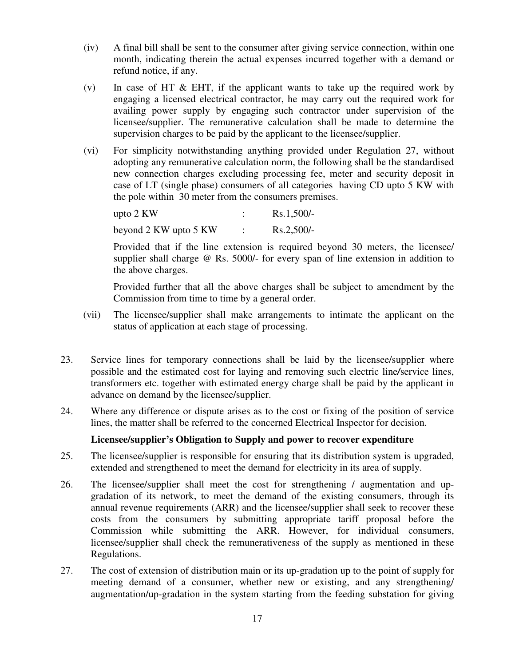- (iv) A final bill shall be sent to the consumer after giving service connection, within one month, indicating therein the actual expenses incurred together with a demand or refund notice, if any.
- (v) In case of HT & EHT, if the applicant wants to take up the required work by engaging a licensed electrical contractor, he may carry out the required work for availing power supply by engaging such contractor under supervision of the licensee/supplier. The remunerative calculation shall be made to determine the supervision charges to be paid by the applicant to the licensee/supplier.
- (vi) For simplicity notwithstanding anything provided under Regulation 27, without adopting any remunerative calculation norm, the following shall be the standardised new connection charges excluding processing fee, meter and security deposit in case of LT (single phase) consumers of all categories having CD upto 5 KW with the pole within 30 meter from the consumers premises.

| upto $2 \text{ KW}$   | $Rs.1,500/-$ |
|-----------------------|--------------|
| beyond 2 KW upto 5 KW | $Rs.2,500/-$ |

Provided that if the line extension is required beyond 30 meters, the licensee/ supplier shall charge @ Rs. 5000/- for every span of line extension in addition to the above charges.

Provided further that all the above charges shall be subject to amendment by the Commission from time to time by a general order.

- (vii) The licensee/supplier shall make arrangements to intimate the applicant on the status of application at each stage of processing.
- 23. Service lines for temporary connections shall be laid by the licensee/supplier where possible and the estimated cost for laying and removing such electric line*/*service lines, transformers etc. together with estimated energy charge shall be paid by the applicant in advance on demand by the licensee/supplier.
- 24. Where any difference or dispute arises as to the cost or fixing of the position of service lines, the matter shall be referred to the concerned Electrical Inspector for decision.

# **Licensee/supplier's Obligation to Supply and power to recover expenditure**

- 25. The licensee/supplier is responsible for ensuring that its distribution system is upgraded, extended and strengthened to meet the demand for electricity in its area of supply.
- 26. The licensee/supplier shall meet the cost for strengthening / augmentation and upgradation of its network, to meet the demand of the existing consumers, through its annual revenue requirements (ARR) and the licensee/supplier shall seek to recover these costs from the consumers by submitting appropriate tariff proposal before the Commission while submitting the ARR. However, for individual consumers, licensee/supplier shall check the remunerativeness of the supply as mentioned in these Regulations.
- 27. The cost of extension of distribution main or its up-gradation up to the point of supply for meeting demand of a consumer, whether new or existing, and any strengthening/ augmentation/up-gradation in the system starting from the feeding substation for giving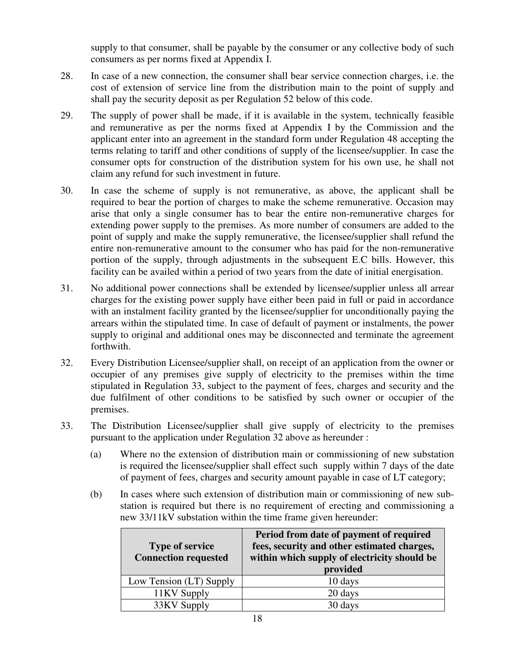supply to that consumer, shall be payable by the consumer or any collective body of such consumers as per norms fixed at Appendix I.

- 28. In case of a new connection, the consumer shall bear service connection charges, i.e. the cost of extension of service line from the distribution main to the point of supply and shall pay the security deposit as per Regulation 52 below of this code.
- 29. The supply of power shall be made, if it is available in the system, technically feasible and remunerative as per the norms fixed at Appendix I by the Commission and the applicant enter into an agreement in the standard form under Regulation 48 accepting the terms relating to tariff and other conditions of supply of the licensee/supplier. In case the consumer opts for construction of the distribution system for his own use, he shall not claim any refund for such investment in future.
- 30. In case the scheme of supply is not remunerative, as above, the applicant shall be required to bear the portion of charges to make the scheme remunerative. Occasion may arise that only a single consumer has to bear the entire non-remunerative charges for extending power supply to the premises. As more number of consumers are added to the point of supply and make the supply remunerative, the licensee/supplier shall refund the entire non-remunerative amount to the consumer who has paid for the non-remunerative portion of the supply, through adjustments in the subsequent E.C bills. However, this facility can be availed within a period of two years from the date of initial energisation.
- 31. No additional power connections shall be extended by licensee/supplier unless all arrear charges for the existing power supply have either been paid in full or paid in accordance with an instalment facility granted by the licensee/supplier for unconditionally paying the arrears within the stipulated time. In case of default of payment or instalments, the power supply to original and additional ones may be disconnected and terminate the agreement forthwith.
- 32. Every Distribution Licensee/supplier shall, on receipt of an application from the owner or occupier of any premises give supply of electricity to the premises within the time stipulated in Regulation 33, subject to the payment of fees, charges and security and the due fulfilment of other conditions to be satisfied by such owner or occupier of the premises.
- 33. The Distribution Licensee/supplier shall give supply of electricity to the premises pursuant to the application under Regulation 32 above as hereunder :
	- (a) Where no the extension of distribution main or commissioning of new substation is required the licensee/supplier shall effect suchsupply within 7 days of the date of payment of fees, charges and security amount payable in case of LT category;
	- (b) In cases where such extension of distribution main or commissioning of new substation is required but there is no requirement of erecting and commissioning a new 33/11kV substation within the time frame given hereunder:

| <b>Type of service</b><br><b>Connection requested</b> | Period from date of payment of required<br>fees, security and other estimated charges,<br>within which supply of electricity should be |
|-------------------------------------------------------|----------------------------------------------------------------------------------------------------------------------------------------|
|                                                       | provided                                                                                                                               |
| Low Tension (LT) Supply                               | 10 days                                                                                                                                |
| 11KV Supply                                           | 20 days                                                                                                                                |
| 33KV Supply                                           | 30 days                                                                                                                                |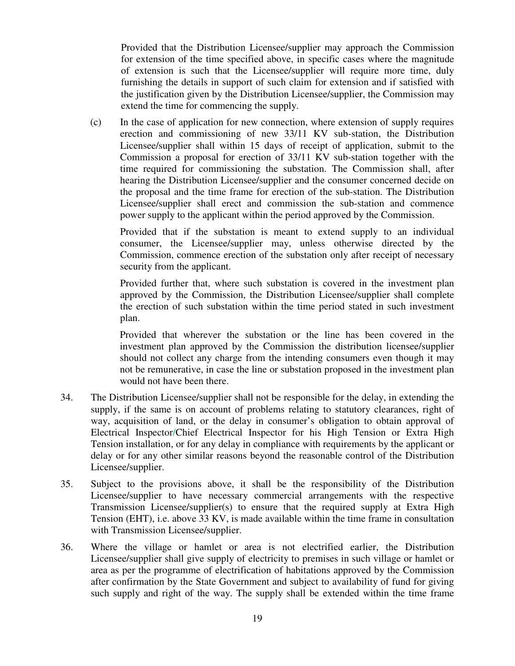Provided that the Distribution Licensee/supplier may approach the Commission for extension of the time specified above, in specific cases where the magnitude of extension is such that the Licensee/supplier will require more time, duly furnishing the details in support of such claim for extension and if satisfied with the justification given by the Distribution Licensee/supplier, the Commission may extend the time for commencing the supply.

(c) In the case of application for new connection, where extension of supply requires erection and commissioning of new 33/11 KV sub-station, the Distribution Licensee/supplier shall within 15 days of receipt of application, submit to the Commission a proposal for erection of 33/11 KV sub-station together with the time required for commissioning the substation. The Commission shall, after hearing the Distribution Licensee/supplier and the consumer concerned decide on the proposal and the time frame for erection of the sub-station. The Distribution Licensee/supplier shall erect and commission the sub-station and commence power supply to the applicant within the period approved by the Commission.

Provided that if the substation is meant to extend supply to an individual consumer, the Licensee/supplier may, unless otherwise directed by the Commission, commence erection of the substation only after receipt of necessary security from the applicant.

Provided further that, where such substation is covered in the investment plan approved by the Commission, the Distribution Licensee/supplier shall complete the erection of such substation within the time period stated in such investment plan.

Provided that wherever the substation or the line has been covered in the investment plan approved by the Commission the distribution licensee/supplier should not collect any charge from the intending consumers even though it may not be remunerative, in case the line or substation proposed in the investment plan would not have been there.

- 34. The Distribution Licensee/supplier shall not be responsible for the delay, in extending the supply, if the same is on account of problems relating to statutory clearances, right of way, acquisition of land, or the delay in consumer's obligation to obtain approval of Electrical Inspector/Chief Electrical Inspector for his High Tension or Extra High Tension installation, or for any delay in compliance with requirements by the applicant or delay or for any other similar reasons beyond the reasonable control of the Distribution Licensee/supplier.
- 35. Subject to the provisions above, it shall be the responsibility of the Distribution Licensee/supplier to have necessary commercial arrangements with the respective Transmission Licensee/supplier(s) to ensure that the required supply at Extra High Tension (EHT), i.e. above 33 KV, is made available within the time frame in consultation with Transmission Licensee/supplier.
- 36. Where the village or hamlet or area is not electrified earlier, the Distribution Licensee/supplier shall give supply of electricity to premises in such village or hamlet or area as per the programme of electrification of habitations approved by the Commission after confirmation by the State Government and subject to availability of fund for giving such supply and right of the way. The supply shall be extended within the time frame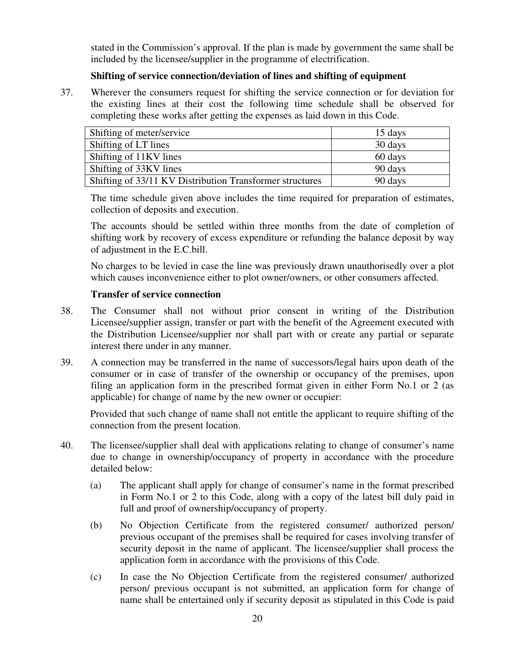stated in the Commission's approval. If the plan is made by government the same shall be included by the licensee/supplier in the programme of electrification.

# **Shifting of service connection/deviation of lines and shifting of equipment**

37. Wherever the consumers request for shifting the service connection or for deviation for the existing lines at their cost the following time schedule shall be observed for completing these works after getting the expenses as laid down in this Code.

| Shifting of meter/service                                | 15 days |
|----------------------------------------------------------|---------|
| Shifting of LT lines                                     | 30 days |
| Shifting of 11KV lines                                   | 60 days |
| Shifting of 33KV lines                                   | 90 days |
| Shifting of 33/11 KV Distribution Transformer structures | 90 days |

The time schedule given above includes the time required for preparation of estimates, collection of deposits and execution.

The accounts should be settled within three months from the date of completion of shifting work by recovery of excess expenditure or refunding the balance deposit by way of adjustment in the E.C.bill.

No charges to be levied in case the line was previously drawn unauthorisedly over a plot which causes inconvenience either to plot owner/owners, or other consumers affected.

#### **Transfer of service connection**

- 38. The Consumer shall not without prior consent in writing of the Distribution Licensee/supplier assign, transfer or part with the benefit of the Agreement executed with the Distribution Licensee/supplier nor shall part with or create any partial or separate interest there under in any manner.
- 39. A connection may be transferred in the name of successors/legal hairs upon death of the consumer or in case of transfer of the ownership or occupancy of the premises, upon filing an application form in the prescribed format given in either Form No.1 or 2 (as applicable) for change of name by the new owner or occupier:

Provided that such change of name shall not entitle the applicant to require shifting of the connection from the present location.

- 40. The licensee/supplier shall deal with applications relating to change of consumer's name due to change in ownership/occupancy of property in accordance with the procedure detailed below:
	- (a) The applicant shall apply for change of consumer's name in the format prescribed in Form No.1 or 2 to this Code, along with a copy of the latest bill duly paid in full and proof of ownership/occupancy of property.
	- (b) No Objection Certificate from the registered consumer/ authorized person/ previous occupant of the premises shall be required for cases involving transfer of security deposit in the name of applicant. The licensee/supplier shall process the application form in accordance with the provisions of this Code.
	- (c) In case the No Objection Certificate from the registered consumer/ authorized person/ previous occupant is not submitted, an application form for change of name shall be entertained only if security deposit as stipulated in this Code is paid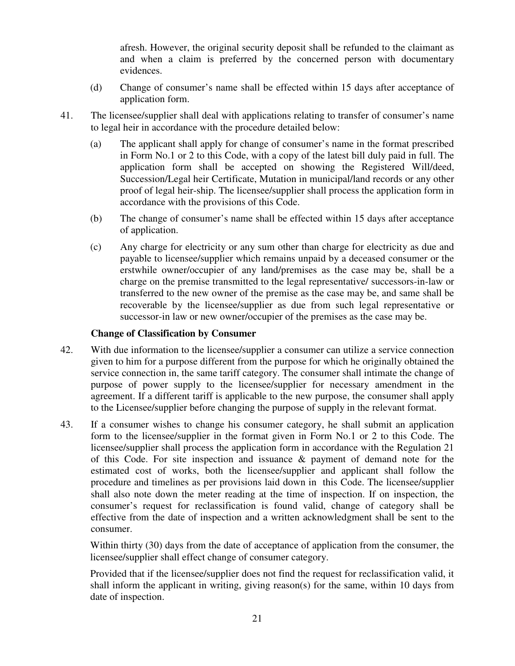afresh. However, the original security deposit shall be refunded to the claimant as and when a claim is preferred by the concerned person with documentary evidences.

- (d) Change of consumer's name shall be effected within 15 days after acceptance of application form.
- 41. The licensee/supplier shall deal with applications relating to transfer of consumer's name to legal heir in accordance with the procedure detailed below:
	- (a) The applicant shall apply for change of consumer's name in the format prescribed in Form No.1 or 2 to this Code, with a copy of the latest bill duly paid in full. The application form shall be accepted on showing the Registered Will/deed, Succession/Legal heir Certificate, Mutation in municipal/land records or any other proof of legal heir-ship. The licensee/supplier shall process the application form in accordance with the provisions of this Code.
	- (b) The change of consumer's name shall be effected within 15 days after acceptance of application.
	- (c) Any charge for electricity or any sum other than charge for electricity as due and payable to licensee/supplier which remains unpaid by a deceased consumer or the erstwhile owner/occupier of any land/premises as the case may be, shall be a charge on the premise transmitted to the legal representative/ successors-in-law or transferred to the new owner of the premise as the case may be, and same shall be recoverable by the licensee/supplier as due from such legal representative or successor-in law or new owner/occupier of the premises as the case may be.

#### **Change of Classification by Consumer**

- 42. With due information to the licensee/supplier a consumer can utilize a service connection given to him for a purpose different from the purpose for which he originally obtained the service connection in, the same tariff category. The consumer shall intimate the change of purpose of power supply to the licensee/supplier for necessary amendment in the agreement. If a different tariff is applicable to the new purpose, the consumer shall apply to the Licensee/supplier before changing the purpose of supply in the relevant format.
- 43. If a consumer wishes to change his consumer category, he shall submit an application form to the licensee/supplier in the format given in Form No.1 or 2 to this Code. The licensee/supplier shall process the application form in accordance with the Regulation 21 of this Code. For site inspection and issuance  $\&$  payment of demand note for the estimated cost of works, both the licensee/supplier and applicant shall follow the procedure and timelines as per provisions laid down in this Code. The licensee/supplier shall also note down the meter reading at the time of inspection. If on inspection, the consumer's request for reclassification is found valid, change of category shall be effective from the date of inspection and a written acknowledgment shall be sent to the consumer.

Within thirty (30) days from the date of acceptance of application from the consumer, the licensee/supplier shall effect change of consumer category.

Provided that if the licensee/supplier does not find the request for reclassification valid, it shall inform the applicant in writing, giving reason(s) for the same, within 10 days from date of inspection.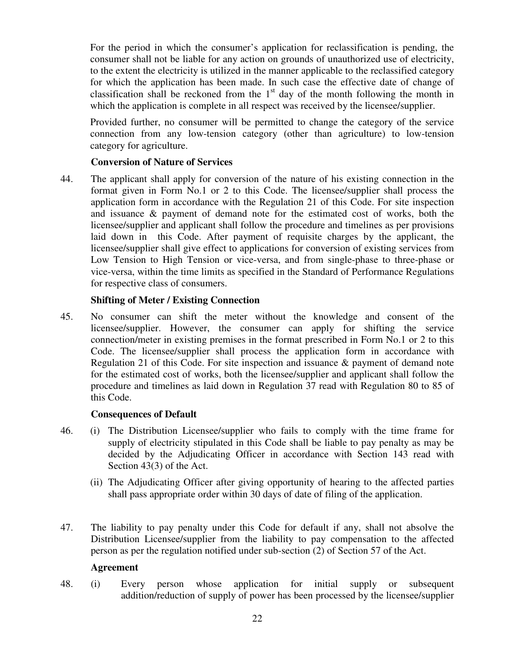For the period in which the consumer's application for reclassification is pending, the consumer shall not be liable for any action on grounds of unauthorized use of electricity, to the extent the electricity is utilized in the manner applicable to the reclassified category for which the application has been made. In such case the effective date of change of classification shall be reckoned from the  $1<sup>st</sup>$  day of the month following the month in which the application is complete in all respect was received by the licensee/supplier.

Provided further, no consumer will be permitted to change the category of the service connection from any low-tension category (other than agriculture) to low-tension category for agriculture.

# **Conversion of Nature of Services**

44. The applicant shall apply for conversion of the nature of his existing connection in the format given in Form No.1 or 2 to this Code. The licensee/supplier shall process the application form in accordance with the Regulation 21 of this Code. For site inspection and issuance & payment of demand note for the estimated cost of works, both the licensee/supplier and applicant shall follow the procedure and timelines as per provisions laid down in this Code. After payment of requisite charges by the applicant, the licensee/supplier shall give effect to applications for conversion of existing services from Low Tension to High Tension or vice-versa, and from single-phase to three-phase or vice-versa, within the time limits as specified in the Standard of Performance Regulations for respective class of consumers.

# **Shifting of Meter / Existing Connection**

45. No consumer can shift the meter without the knowledge and consent of the licensee/supplier. However, the consumer can apply for shifting the service connection/meter in existing premises in the format prescribed in Form No.1 or 2 to this Code. The licensee/supplier shall process the application form in accordance with Regulation 21 of this Code. For site inspection and issuance & payment of demand note for the estimated cost of works, both the licensee/supplier and applicant shall follow the procedure and timelines as laid down in Regulation 37 read with Regulation 80 to 85 of this Code.

#### **Consequences of Default**

- 46. (i) The Distribution Licensee/supplier who fails to comply with the time frame for supply of electricity stipulated in this Code shall be liable to pay penalty as may be decided by the Adjudicating Officer in accordance with Section 143 read with Section 43(3) of the Act.
	- (ii) The Adjudicating Officer after giving opportunity of hearing to the affected parties shall pass appropriate order within 30 days of date of filing of the application.
- 47. The liability to pay penalty under this Code for default if any, shall not absolve the Distribution Licensee/supplier from the liability to pay compensation to the affected person as per the regulation notified under sub-section (2) of Section 57 of the Act.

#### **Agreement**

48. (i) Every person whose application for initial supply or subsequent addition/reduction of supply of power has been processed by the licensee/supplier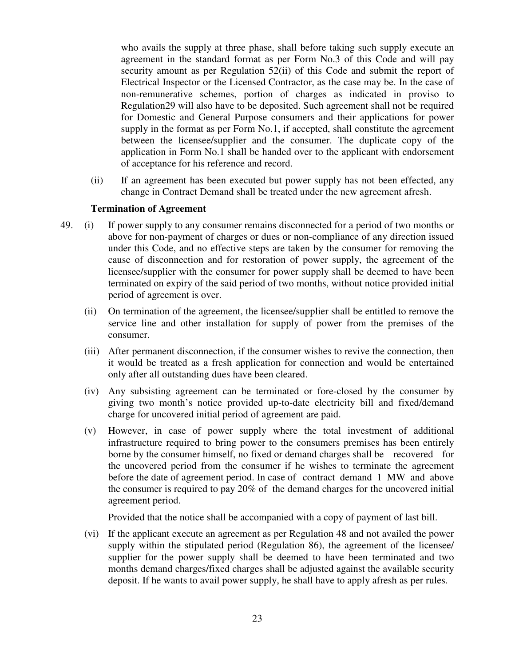who avails the supply at three phase, shall before taking such supply execute an agreement in the standard format as per Form No.3 of this Code and will pay security amount as per Regulation 52(ii) of this Code and submit the report of Electrical Inspector or the Licensed Contractor, as the case may be. In the case of non-remunerative schemes, portion of charges as indicated in proviso to Regulation29 will also have to be deposited. Such agreement shall not be required for Domestic and General Purpose consumers and their applications for power supply in the format as per Form No.1, if accepted, shall constitute the agreement between the licensee/supplier and the consumer. The duplicate copy of the application in Form No.1 shall be handed over to the applicant with endorsement of acceptance for his reference and record.

 (ii) If an agreement has been executed but power supply has not been effected, any change in Contract Demand shall be treated under the new agreement afresh.

#### **Termination of Agreement**

- 49. (i) If power supply to any consumer remains disconnected for a period of two months or above for non-payment of charges or dues or non-compliance of any direction issued under this Code, and no effective steps are taken by the consumer for removing the cause of disconnection and for restoration of power supply, the agreement of the licensee/supplier with the consumer for power supply shall be deemed to have been terminated on expiry of the said period of two months, without notice provided initial period of agreement is over.
	- (ii) On termination of the agreement, the licensee/supplier shall be entitled to remove the service line and other installation for supply of power from the premises of the consumer.
	- (iii) After permanent disconnection, if the consumer wishes to revive the connection, then it would be treated as a fresh application for connection and would be entertained only after all outstanding dues have been cleared.
	- (iv) Any subsisting agreement can be terminated or fore-closed by the consumer by giving two month's notice provided up-to-date electricity bill and fixed/demand charge for uncovered initial period of agreement are paid.
	- (v) However, in case of power supply where the total investment of additional infrastructure required to bring power to the consumers premises has been entirely borne by the consumer himself, no fixed or demand charges shall be recovered for the uncovered period from the consumer if he wishes to terminate the agreement before the date of agreement period. In case of contract demand 1 MW and above the consumer is required to pay 20% of the demand charges for the uncovered initial agreement period.

Provided that the notice shall be accompanied with a copy of payment of last bill.

(vi) If the applicant execute an agreement as per Regulation 48 and not availed the power supply within the stipulated period (Regulation 86), the agreement of the licensee/ supplier for the power supply shall be deemed to have been terminated and two months demand charges/fixed charges shall be adjusted against the available security deposit. If he wants to avail power supply, he shall have to apply afresh as per rules.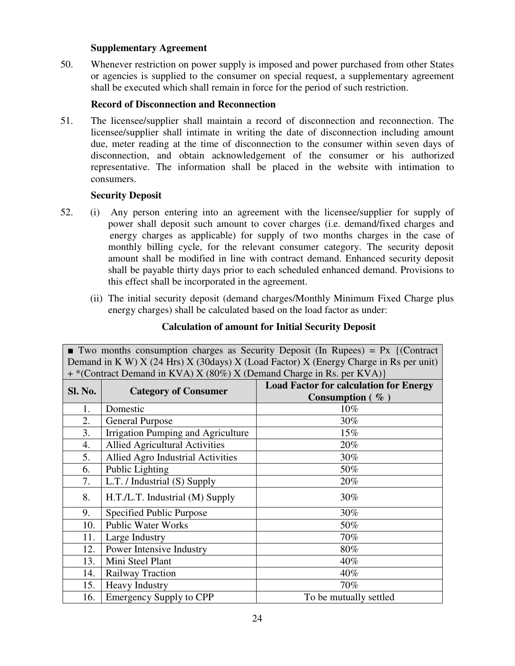### **Supplementary Agreement**

50. Whenever restriction on power supply is imposed and power purchased from other States or agencies is supplied to the consumer on special request, a supplementary agreement shall be executed which shall remain in force for the period of such restriction.

# **Record of Disconnection and Reconnection**

51. The licensee/supplier shall maintain a record of disconnection and reconnection. The licensee/supplier shall intimate in writing the date of disconnection including amount due, meter reading at the time of disconnection to the consumer within seven days of disconnection, and obtain acknowledgement of the consumer or his authorized representative. The information shall be placed in the website with intimation to consumers.

#### **Security Deposit**

- 52. (i) Any person entering into an agreement with the licensee/supplier for supply of power shall deposit such amount to cover charges (i.e. demand/fixed charges and energy charges as applicable) for supply of two months charges in the case of monthly billing cycle, for the relevant consumer category. The security deposit amount shall be modified in line with contract demand. Enhanced security deposit shall be payable thirty days prior to each scheduled enhanced demand. Provisions to this effect shall be incorporated in the agreement.
	- (ii) The initial security deposit (demand charges/Monthly Minimum Fixed Charge plus energy charges) shall be calculated based on the load factor as under:

| Demand in K W) $X$ (24 Hrs) $X$ (30days) $X$ (Load Factor) $X$ (Energy Charge in Rs per unit) |                                       |                                               |  |
|-----------------------------------------------------------------------------------------------|---------------------------------------|-----------------------------------------------|--|
| + *(Contract Demand in KVA) X (80%) X (Demand Charge in Rs. per KVA)}                         |                                       |                                               |  |
| Sl. No.                                                                                       | <b>Category of Consumer</b>           | <b>Load Factor for calculation for Energy</b> |  |
|                                                                                               |                                       | Consumption $(\% )$                           |  |
| 1.                                                                                            | Domestic                              | 10%                                           |  |
| 2.                                                                                            | <b>General Purpose</b>                | 30%                                           |  |
| 3.                                                                                            | Irrigation Pumping and Agriculture    | 15%                                           |  |
| 4.                                                                                            | <b>Allied Agricultural Activities</b> | 20%                                           |  |
| 5.                                                                                            | Allied Agro Industrial Activities     | 30%                                           |  |
| 6.                                                                                            | Public Lighting                       | 50%                                           |  |
| 7.                                                                                            | L.T. / Industrial (S) Supply          | 20%                                           |  |
| 8.                                                                                            | H.T./L.T. Industrial (M) Supply       | 30%                                           |  |
| 9.                                                                                            | <b>Specified Public Purpose</b>       | 30%                                           |  |
| 10.                                                                                           | <b>Public Water Works</b>             | 50%                                           |  |
| 11.                                                                                           | Large Industry                        | 70%                                           |  |
| 12.                                                                                           | Power Intensive Industry              | 80%                                           |  |
| 13.                                                                                           | Mini Steel Plant                      | 40%                                           |  |
| 14.                                                                                           | Railway Traction                      | 40%                                           |  |
| 15.                                                                                           | <b>Heavy Industry</b>                 | 70%                                           |  |
| 16.                                                                                           | <b>Emergency Supply to CPP</b>        | To be mutually settled                        |  |

# **Calculation of amount for Initial Security Deposit**

**Two months consumption charges as Security Deposit (In Rupees) = Px {(Contract)**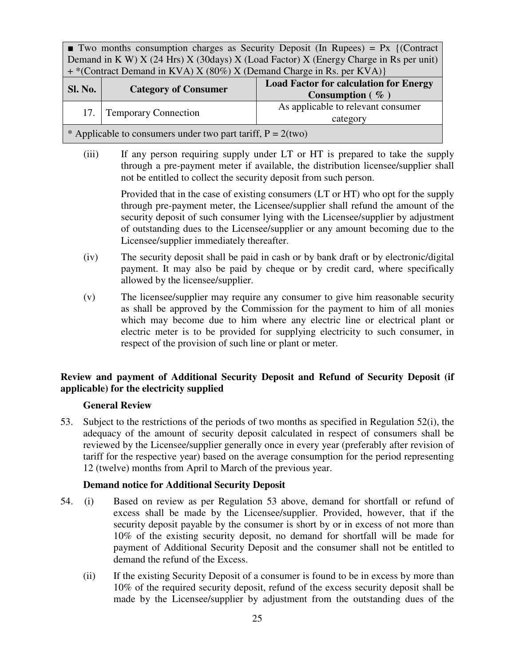**Two months consumption charges as Security Deposit (In Rupees) = Px {(Contract)** Demand in K W)  $X$  (24 Hrs)  $X$  (30days)  $X$  (Load Factor)  $X$  (Energy Charge in Rs per unit) + \*(Contract Demand in KVA) X (80%) X (Demand Charge in Rs. per KVA)}

| <b>Sl. No.</b>                                                 | <b>Category of Consumer</b> | <b>Load Factor for calculation for Energy</b><br>Consumption $(\%$ |  |
|----------------------------------------------------------------|-----------------------------|--------------------------------------------------------------------|--|
| 17.1                                                           | <b>Temporary Connection</b> | As applicable to relevant consumer<br>category                     |  |
| * Applicable to consumers under two part tariff, $P = 2$ (two) |                             |                                                                    |  |

(iii) If any person requiring supply under LT or HT is prepared to take the supply through a pre-payment meter if available, the distribution licensee/supplier shall not be entitled to collect the security deposit from such person.

> Provided that in the case of existing consumers (LT or HT) who opt for the supply through pre-payment meter, the Licensee/supplier shall refund the amount of the security deposit of such consumer lying with the Licensee/supplier by adjustment of outstanding dues to the Licensee/supplier or any amount becoming due to the Licensee/supplier immediately thereafter.

- (iv) The security deposit shall be paid in cash or by bank draft or by electronic/digital payment. It may also be paid by cheque or by credit card, where specifically allowed by the licensee/supplier.
- (v) The licensee/supplier may require any consumer to give him reasonable security as shall be approved by the Commission for the payment to him of all monies which may become due to him where any electric line or electrical plant or electric meter is to be provided for supplying electricity to such consumer, in respect of the provision of such line or plant or meter.

# **Review and payment of Additional Security Deposit and Refund of Security Deposit (if applicable) for the electricity supplied**

# **General Review**

53. Subject to the restrictions of the periods of two months as specified in Regulation 52(i), the adequacy of the amount of security deposit calculated in respect of consumers shall be reviewed by the Licensee/supplier generally once in every year (preferably after revision of tariff for the respective year) based on the average consumption for the period representing 12 (twelve) months from April to March of the previous year.

# **Demand notice for Additional Security Deposit**

- 54. (i) Based on review as per Regulation 53 above, demand for shortfall or refund of excess shall be made by the Licensee/supplier. Provided, however, that if the security deposit payable by the consumer is short by or in excess of not more than 10% of the existing security deposit, no demand for shortfall will be made for payment of Additional Security Deposit and the consumer shall not be entitled to demand the refund of the Excess.
	- (ii) If the existing Security Deposit of a consumer is found to be in excess by more than 10% of the required security deposit, refund of the excess security deposit shall be made by the Licensee/supplier by adjustment from the outstanding dues of the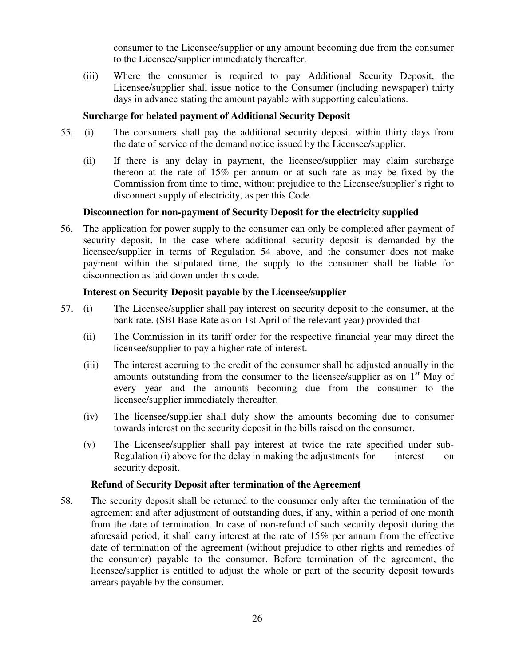consumer to the Licensee/supplier or any amount becoming due from the consumer to the Licensee/supplier immediately thereafter.

(iii) Where the consumer is required to pay Additional Security Deposit, the Licensee/supplier shall issue notice to the Consumer (including newspaper) thirty days in advance stating the amount payable with supporting calculations.

#### **Surcharge for belated payment of Additional Security Deposit**

- 55. (i) The consumers shall pay the additional security deposit within thirty days from the date of service of the demand notice issued by the Licensee/supplier.
	- (ii) If there is any delay in payment, the licensee/supplier may claim surcharge thereon at the rate of 15% per annum or at such rate as may be fixed by the Commission from time to time, without prejudice to the Licensee/supplier's right to disconnect supply of electricity, as per this Code.

#### **Disconnection for non-payment of Security Deposit for the electricity supplied**

56. The application for power supply to the consumer can only be completed after payment of security deposit. In the case where additional security deposit is demanded by the licensee/supplier in terms of Regulation 54 above, and the consumer does not make payment within the stipulated time, the supply to the consumer shall be liable for disconnection as laid down under this code.

#### **Interest on Security Deposit payable by the Licensee/supplier**

- 57. (i) The Licensee/supplier shall pay interest on security deposit to the consumer, at the bank rate. (SBI Base Rate as on 1st April of the relevant year) provided that
	- (ii) The Commission in its tariff order for the respective financial year may direct the licensee/supplier to pay a higher rate of interest.
	- (iii) The interest accruing to the credit of the consumer shall be adjusted annually in the amounts outstanding from the consumer to the licensee/supplier as on  $1<sup>st</sup>$  May of every year and the amounts becoming due from the consumer to the licensee/supplier immediately thereafter.
	- (iv) The licensee/supplier shall duly show the amounts becoming due to consumer towards interest on the security deposit in the bills raised on the consumer.
	- (v) The Licensee/supplier shall pay interest at twice the rate specified under sub-Regulation (i) above for the delay in making the adjustments for interest on security deposit.

#### **Refund of Security Deposit after termination of the Agreement**

58. The security deposit shall be returned to the consumer only after the termination of the agreement and after adjustment of outstanding dues, if any, within a period of one month from the date of termination. In case of non-refund of such security deposit during the aforesaid period, it shall carry interest at the rate of 15% per annum from the effective date of termination of the agreement (without prejudice to other rights and remedies of the consumer) payable to the consumer. Before termination of the agreement, the licensee/supplier is entitled to adjust the whole or part of the security deposit towards arrears payable by the consumer.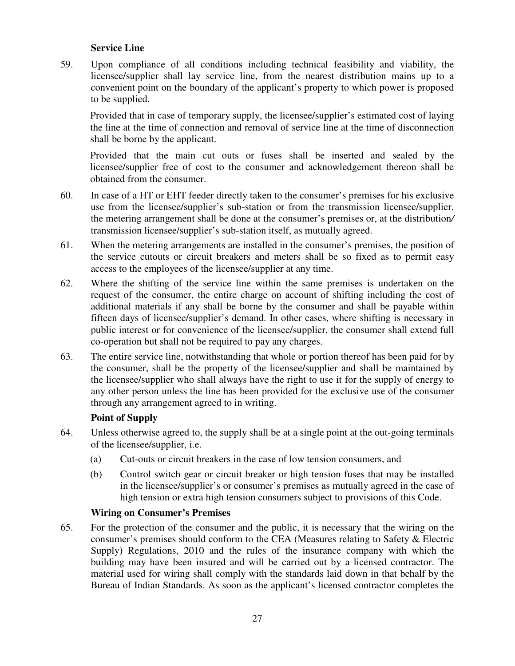### **Service Line**

59. Upon compliance of all conditions including technical feasibility and viability, the licensee/supplier shall lay service line, from the nearest distribution mains up to a convenient point on the boundary of the applicant's property to which power is proposed to be supplied.

Provided that in case of temporary supply, the licensee/supplier's estimated cost of laying the line at the time of connection and removal of service line at the time of disconnection shall be borne by the applicant.

Provided that the main cut outs or fuses shall be inserted and sealed by the licensee/supplier free of cost to the consumer and acknowledgement thereon shall be obtained from the consumer.

- 60. In case of a HT or EHT feeder directly taken to the consumer's premises for his exclusive use from the licensee/supplier's sub-station or from the transmission licensee/supplier, the metering arrangement shall be done at the consumer's premises or, at the distribution*/*  transmission licensee/supplier's sub-station itself, as mutually agreed.
- 61. When the metering arrangements are installed in the consumer's premises, the position of the service cutouts or circuit breakers and meters shall be so fixed as to permit easy access to the employees of the licensee/supplier at any time.
- 62. Where the shifting of the service line within the same premises is undertaken on the request of the consumer, the entire charge on account of shifting including the cost of additional materials if any shall be borne by the consumer and shall be payable within fifteen days of licensee/supplier's demand. In other cases, where shifting is necessary in public interest or for convenience of the licensee/supplier, the consumer shall extend full co-operation but shall not be required to pay any charges.
- 63. The entire service line, notwithstanding that whole or portion thereof has been paid for by the consumer, shall be the property of the licensee/supplier and shall be maintained by the licensee/supplier who shall always have the right to use it for the supply of energy to any other person unless the line has been provided for the exclusive use of the consumer through any arrangement agreed to in writing.

# **Point of Supply**

- 64. Unless otherwise agreed to, the supply shall be at a single point at the out-going terminals of the licensee/supplier, i.e.
	- (a) Cut-outs or circuit breakers in the case of low tension consumers, and
	- (b) Control switch gear or circuit breaker or high tension fuses that may be installed in the licensee/supplier's or consumer's premises as mutually agreed in the case of high tension or extra high tension consumers subject to provisions of this Code.

# **Wiring on Consumer's Premises**

65. For the protection of the consumer and the public, it is necessary that the wiring on the consumer's premises should conform to the CEA (Measures relating to Safety & Electric Supply) Regulations, 2010 and the rules of the insurance company with which the building may have been insured and will be carried out by a licensed contractor. The material used for wiring shall comply with the standards laid down in that behalf by the Bureau of Indian Standards. As soon as the applicant's licensed contractor completes the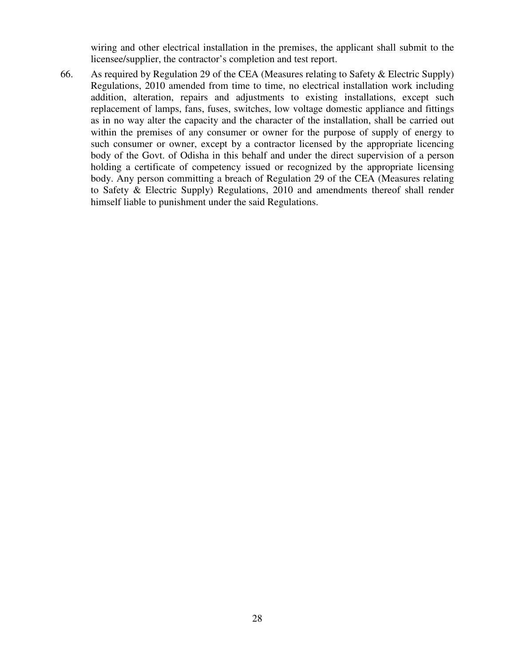wiring and other electrical installation in the premises, the applicant shall submit to the licensee/supplier, the contractor's completion and test report.

66. As required by Regulation 29 of the CEA (Measures relating to Safety & Electric Supply) Regulations, 2010 amended from time to time, no electrical installation work including addition, alteration, repairs and adjustments to existing installations, except such replacement of lamps, fans, fuses, switches, low voltage domestic appliance and fittings as in no way alter the capacity and the character of the installation, shall be carried out within the premises of any consumer or owner for the purpose of supply of energy to such consumer or owner, except by a contractor licensed by the appropriate licencing body of the Govt. of Odisha in this behalf and under the direct supervision of a person holding a certificate of competency issued or recognized by the appropriate licensing body. Any person committing a breach of Regulation 29 of the CEA (Measures relating to Safety & Electric Supply) Regulations, 2010 and amendments thereof shall render himself liable to punishment under the said Regulations.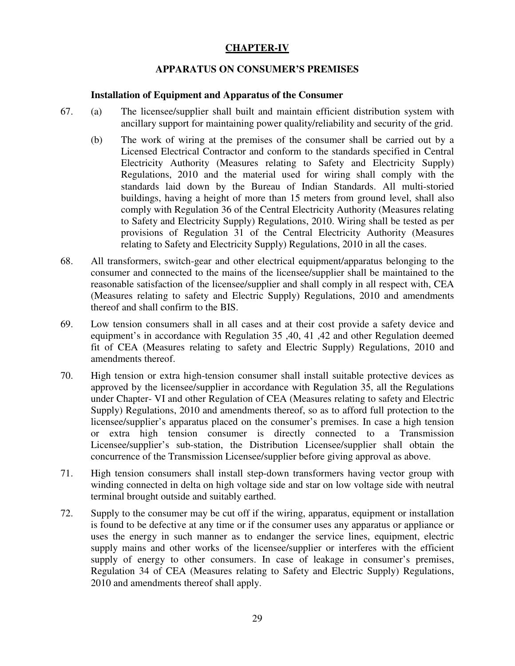# **CHAPTER-IV**

# **APPARATUS ON CONSUMER'S PREMISES**

#### **Installation of Equipment and Apparatus of the Consumer**

- 67. (a) The licensee/supplier shall built and maintain efficient distribution system with ancillary support for maintaining power quality/reliability and security of the grid.
	- (b) The work of wiring at the premises of the consumer shall be carried out by a Licensed Electrical Contractor and conform to the standards specified in Central Electricity Authority (Measures relating to Safety and Electricity Supply) Regulations, 2010 and the material used for wiring shall comply with the standards laid down by the Bureau of Indian Standards. All multi-storied buildings, having a height of more than 15 meters from ground level, shall also comply with Regulation 36 of the Central Electricity Authority (Measures relating to Safety and Electricity Supply) Regulations, 2010. Wiring shall be tested as per provisions of Regulation 31 of the Central Electricity Authority (Measures relating to Safety and Electricity Supply) Regulations, 2010 in all the cases.
- 68. All transformers, switch-gear and other electrical equipment/apparatus belonging to the consumer and connected to the mains of the licensee/supplier shall be maintained to the reasonable satisfaction of the licensee/supplier and shall comply in all respect with, CEA (Measures relating to safety and Electric Supply) Regulations, 2010 and amendments thereof and shall confirm to the BIS.
- 69. Low tension consumers shall in all cases and at their cost provide a safety device and equipment's in accordance with Regulation 35 ,40, 41 ,42 and other Regulation deemed fit of CEA (Measures relating to safety and Electric Supply) Regulations, 2010 and amendments thereof.
- 70. High tension or extra high-tension consumer shall install suitable protective devices as approved by the licensee/supplier in accordance with Regulation 35, all the Regulations under Chapter- VI and other Regulation of CEA (Measures relating to safety and Electric Supply) Regulations, 2010 and amendments thereof, so as to afford full protection to the licensee/supplier's apparatus placed on the consumer's premises. In case a high tension or extra high tension consumer is directly connected to a Transmission Licensee/supplier's sub-station, the Distribution Licensee/supplier shall obtain the concurrence of the Transmission Licensee/supplier before giving approval as above.
- 71. High tension consumers shall install step-down transformers having vector group with winding connected in delta on high voltage side and star on low voltage side with neutral terminal brought outside and suitably earthed.
- 72. Supply to the consumer may be cut off if the wiring, apparatus, equipment or installation is found to be defective at any time or if the consumer uses any apparatus or appliance or uses the energy in such manner as to endanger the service lines, equipment, electric supply mains and other works of the licensee/supplier or interferes with the efficient supply of energy to other consumers. In case of leakage in consumer's premises, Regulation 34 of CEA (Measures relating to Safety and Electric Supply) Regulations, 2010 and amendments thereof shall apply.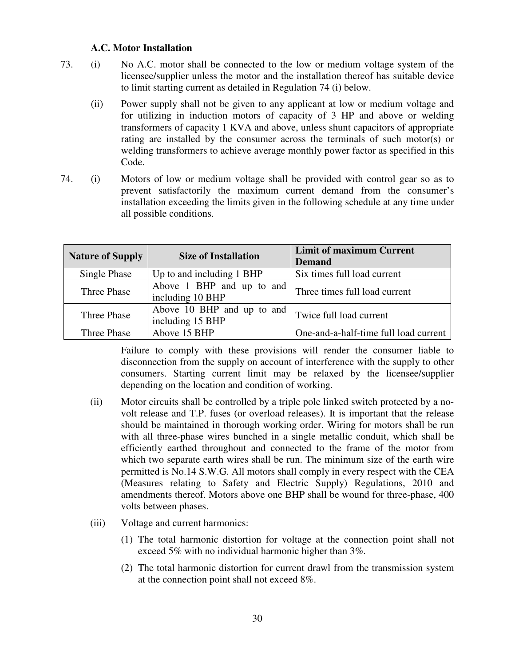#### **A.C. Motor Installation**

- 73. (i) No A.C. motor shall be connected to the low or medium voltage system of the licensee/supplier unless the motor and the installation thereof has suitable device to limit starting current as detailed in Regulation 74 (i) below.
	- (ii) Power supply shall not be given to any applicant at low or medium voltage and for utilizing in induction motors of capacity of 3 HP and above or welding transformers of capacity 1 KVA and above, unless shunt capacitors of appropriate rating are installed by the consumer across the terminals of such motor(s) or welding transformers to achieve average monthly power factor as specified in this Code.
- 74. (i) Motors of low or medium voltage shall be provided with control gear so as to prevent satisfactorily the maximum current demand from the consumer's installation exceeding the limits given in the following schedule at any time under all possible conditions.

| <b>Nature of Supply</b> | <b>Size of Installation</b> | <b>Limit of maximum Current</b>       |
|-------------------------|-----------------------------|---------------------------------------|
|                         |                             | <b>Demand</b>                         |
| Single Phase            | Up to and including 1 BHP   | Six times full load current           |
| Three Phase             | Above 1 BHP and up to and   | Three times full load current         |
|                         | including 10 BHP            |                                       |
| Three Phase             | Above 10 BHP and up to and  | Twice full load current               |
|                         | including 15 BHP            |                                       |
| Three Phase             | Above 15 BHP                | One-and-a-half-time full load current |

 Failure to comply with these provisions will render the consumer liable to disconnection from the supply on account of interference with the supply to other consumers. Starting current limit may be relaxed by the licensee/supplier depending on the location and condition of working.

- (ii) Motor circuits shall be controlled by a triple pole linked switch protected by a novolt release and T.P. fuses (or overload releases). It is important that the release should be maintained in thorough working order. Wiring for motors shall be run with all three-phase wires bunched in a single metallic conduit, which shall be efficiently earthed throughout and connected to the frame of the motor from which two separate earth wires shall be run. The minimum size of the earth wire permitted is No.14 S.W.G. All motors shall comply in every respect with the CEA (Measures relating to Safety and Electric Supply) Regulations, 2010 and amendments thereof. Motors above one BHP shall be wound for three-phase, 400 volts between phases.
- (iii) Voltage and current harmonics:
	- (1) The total harmonic distortion for voltage at the connection point shall not exceed 5% with no individual harmonic higher than 3%.
	- (2) The total harmonic distortion for current drawl from the transmission system at the connection point shall not exceed 8%.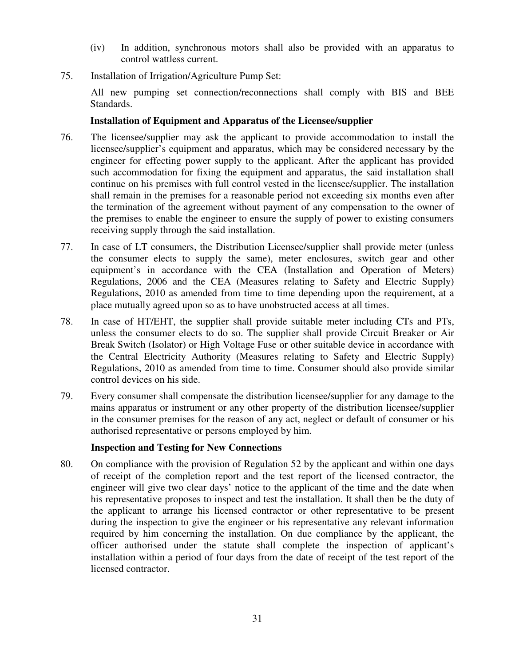- (iv) In addition, synchronous motors shall also be provided with an apparatus to control wattless current.
- 75. Installation of Irrigation/Agriculture Pump Set:

All new pumping set connection/reconnections shall comply with BIS and BEE Standards.

# **Installation of Equipment and Apparatus of the Licensee/supplier**

- 76. The licensee/supplier may ask the applicant to provide accommodation to install the licensee/supplier's equipment and apparatus, which may be considered necessary by the engineer for effecting power supply to the applicant. After the applicant has provided such accommodation for fixing the equipment and apparatus, the said installation shall continue on his premises with full control vested in the licensee/supplier. The installation shall remain in the premises for a reasonable period not exceeding six months even after the termination of the agreement without payment of any compensation to the owner of the premises to enable the engineer to ensure the supply of power to existing consumers receiving supply through the said installation.
- 77. In case of LT consumers, the Distribution Licensee/supplier shall provide meter (unless the consumer elects to supply the same), meter enclosures, switch gear and other equipment's in accordance with the CEA (Installation and Operation of Meters) Regulations, 2006 and the CEA (Measures relating to Safety and Electric Supply) Regulations, 2010 as amended from time to time depending upon the requirement, at a place mutually agreed upon so as to have unobstructed access at all times.
- 78. In case of HT/EHT, the supplier shall provide suitable meter including CTs and PTs, unless the consumer elects to do so. The supplier shall provide Circuit Breaker or Air Break Switch (Isolator) or High Voltage Fuse or other suitable device in accordance with the Central Electricity Authority (Measures relating to Safety and Electric Supply) Regulations, 2010 as amended from time to time. Consumer should also provide similar control devices on his side.
- 79. Every consumer shall compensate the distribution licensee/supplier for any damage to the mains apparatus or instrument or any other property of the distribution licensee/supplier in the consumer premises for the reason of any act, neglect or default of consumer or his authorised representative or persons employed by him.

#### **Inspection and Testing for New Connections**

80. On compliance with the provision of Regulation 52 by the applicant and within one days of receipt of the completion report and the test report of the licensed contractor, the engineer will give two clear days' notice to the applicant of the time and the date when his representative proposes to inspect and test the installation. It shall then be the duty of the applicant to arrange his licensed contractor or other representative to be present during the inspection to give the engineer or his representative any relevant information required by him concerning the installation. On due compliance by the applicant, the officer authorised under the statute shall complete the inspection of applicant's installation within a period of four days from the date of receipt of the test report of the licensed contractor.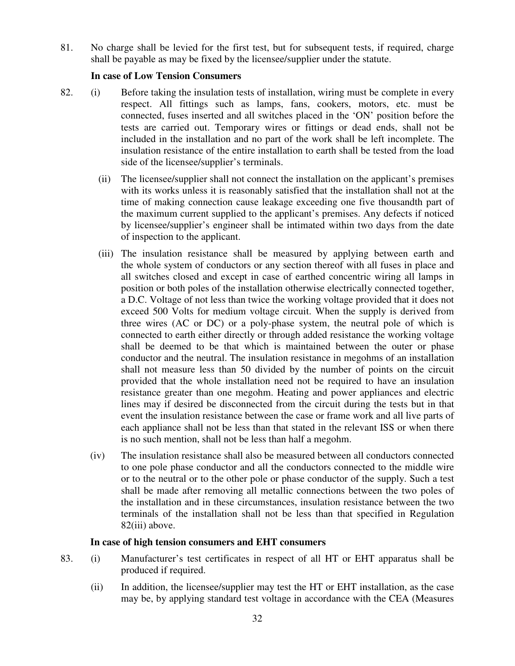81. No charge shall be levied for the first test, but for subsequent tests, if required, charge shall be payable as may be fixed by the licensee/supplier under the statute.

### **In case of Low Tension Consumers**

- 82. (i) Before taking the insulation tests of installation, wiring must be complete in every respect. All fittings such as lamps, fans, cookers, motors, etc. must be connected, fuses inserted and all switches placed in the 'ON' position before the tests are carried out. Temporary wires or fittings or dead ends, shall not be included in the installation and no part of the work shall be left incomplete. The insulation resistance of the entire installation to earth shall be tested from the load side of the licensee/supplier's terminals.
	- (ii) The licensee/supplier shall not connect the installation on the applicant's premises with its works unless it is reasonably satisfied that the installation shall not at the time of making connection cause leakage exceeding one five thousandth part of the maximum current supplied to the applicant's premises. Any defects if noticed by licensee/supplier's engineer shall be intimated within two days from the date of inspection to the applicant.
	- (iii) The insulation resistance shall be measured by applying between earth and the whole system of conductors or any section thereof with all fuses in place and all switches closed and except in case of earthed concentric wiring all lamps in position or both poles of the installation otherwise electrically connected together, a D.C. Voltage of not less than twice the working voltage provided that it does not exceed 500 Volts for medium voltage circuit. When the supply is derived from three wires (AC or DC) or a poly-phase system, the neutral pole of which is connected to earth either directly or through added resistance the working voltage shall be deemed to be that which is maintained between the outer or phase conductor and the neutral. The insulation resistance in megohms of an installation shall not measure less than 50 divided by the number of points on the circuit provided that the whole installation need not be required to have an insulation resistance greater than one megohm. Heating and power appliances and electric lines may if desired be disconnected from the circuit during the tests but in that event the insulation resistance between the case or frame work and all live parts of each appliance shall not be less than that stated in the relevant ISS or when there is no such mention, shall not be less than half a megohm.
	- (iv) The insulation resistance shall also be measured between all conductors connected to one pole phase conductor and all the conductors connected to the middle wire or to the neutral or to the other pole or phase conductor of the supply. Such a test shall be made after removing all metallic connections between the two poles of the installation and in these circumstances, insulation resistance between the two terminals of the installation shall not be less than that specified in Regulation 82(iii) above.

#### **In case of high tension consumers and EHT consumers**

- 83. (i) Manufacturer's test certificates in respect of all HT or EHT apparatus shall be produced if required.
	- (ii) In addition, the licensee/supplier may test the HT or EHT installation, as the case may be, by applying standard test voltage in accordance with the CEA (Measures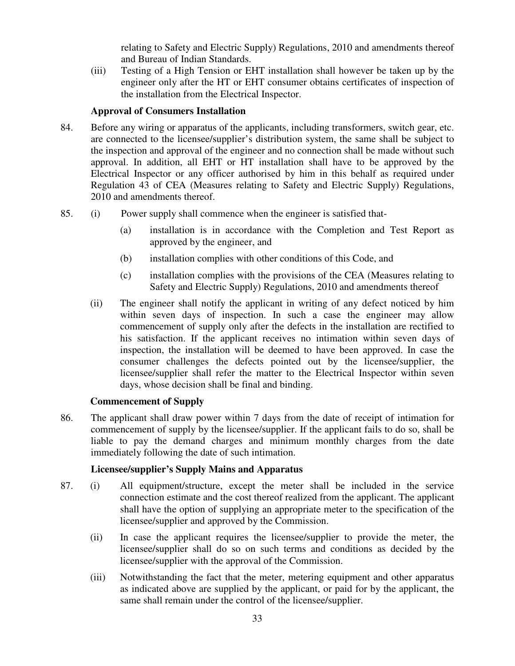relating to Safety and Electric Supply) Regulations, 2010 and amendments thereof and Bureau of Indian Standards.

 (iii) Testing of a High Tension or EHT installation shall however be taken up by the engineer only after the HT or EHT consumer obtains certificates of inspection of the installation from the Electrical Inspector.

# **Approval of Consumers Installation**

- 84. Before any wiring or apparatus of the applicants, including transformers, switch gear, etc. are connected to the licensee/supplier's distribution system, the same shall be subject to the inspection and approval of the engineer and no connection shall be made without such approval. In addition, all EHT or HT installation shall have to be approved by the Electrical Inspector or any officer authorised by him in this behalf as required under Regulation 43 of CEA (Measures relating to Safety and Electric Supply) Regulations, 2010 and amendments thereof.
- 85. (i) Power supply shall commence when the engineer is satisfied that-
	- (a) installation is in accordance with the Completion and Test Report as approved by the engineer, and
	- (b) installation complies with other conditions of this Code, and
	- (c) installation complies with the provisions of the CEA (Measures relating to Safety and Electric Supply) Regulations, 2010 and amendments thereof
	- (ii) The engineer shall notify the applicant in writing of any defect noticed by him within seven days of inspection. In such a case the engineer may allow commencement of supply only after the defects in the installation are rectified to his satisfaction. If the applicant receives no intimation within seven days of inspection, the installation will be deemed to have been approved. In case the consumer challenges the defects pointed out by the licensee/supplier, the licensee/supplier shall refer the matter to the Electrical Inspector within seven days, whose decision shall be final and binding.

# **Commencement of Supply**

86. The applicant shall draw power within 7 days from the date of receipt of intimation for commencement of supply by the licensee/supplier. If the applicant fails to do so, shall be liable to pay the demand charges and minimum monthly charges from the date immediately following the date of such intimation.

# **Licensee/supplier's Supply Mains and Apparatus**

- 87. (i) All equipment/structure, except the meter shall be included in the service connection estimate and the cost thereof realized from the applicant. The applicant shall have the option of supplying an appropriate meter to the specification of the licensee/supplier and approved by the Commission.
	- (ii) In case the applicant requires the licensee/supplier to provide the meter, the licensee/supplier shall do so on such terms and conditions as decided by the licensee/supplier with the approval of the Commission.
	- (iii) Notwithstanding the fact that the meter, metering equipment and other apparatus as indicated above are supplied by the applicant, or paid for by the applicant, the same shall remain under the control of the licensee/supplier.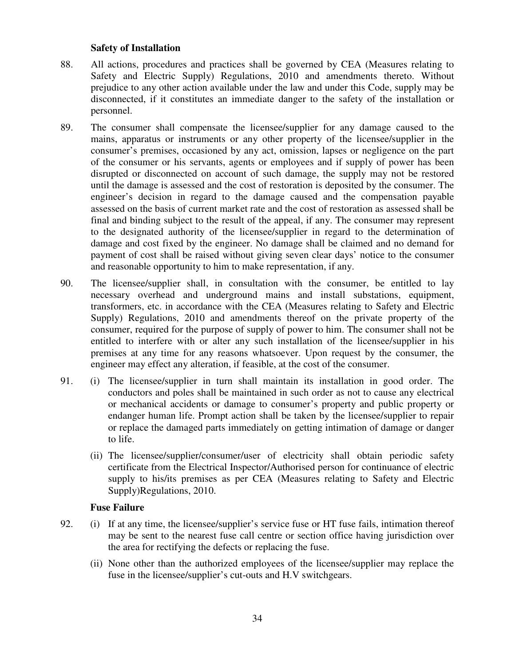#### **Safety of Installation**

- 88. All actions, procedures and practices shall be governed by CEA (Measures relating to Safety and Electric Supply) Regulations, 2010 and amendments thereto. Without prejudice to any other action available under the law and under this Code, supply may be disconnected, if it constitutes an immediate danger to the safety of the installation or personnel.
- 89. The consumer shall compensate the licensee/supplier for any damage caused to the mains, apparatus or instruments or any other property of the licensee/supplier in the consumer's premises, occasioned by any act, omission, lapses or negligence on the part of the consumer or his servants, agents or employees and if supply of power has been disrupted or disconnected on account of such damage, the supply may not be restored until the damage is assessed and the cost of restoration is deposited by the consumer. The engineer's decision in regard to the damage caused and the compensation payable assessed on the basis of current market rate and the cost of restoration as assessed shall be final and binding subject to the result of the appeal, if any. The consumer may represent to the designated authority of the licensee/supplier in regard to the determination of damage and cost fixed by the engineer. No damage shall be claimed and no demand for payment of cost shall be raised without giving seven clear days' notice to the consumer and reasonable opportunity to him to make representation, if any.
- 90. The licensee/supplier shall, in consultation with the consumer, be entitled to lay necessary overhead and underground mains and install substations, equipment, transformers, etc. in accordance with the CEA (Measures relating to Safety and Electric Supply) Regulations, 2010 and amendments thereof on the private property of the consumer, required for the purpose of supply of power to him. The consumer shall not be entitled to interfere with or alter any such installation of the licensee/supplier in his premises at any time for any reasons whatsoever. Upon request by the consumer, the engineer may effect any alteration, if feasible, at the cost of the consumer.
- 91. (i) The licensee/supplier in turn shall maintain its installation in good order. The conductors and poles shall be maintained in such order as not to cause any electrical or mechanical accidents or damage to consumer's property and public property or endanger human life. Prompt action shall be taken by the licensee/supplier to repair or replace the damaged parts immediately on getting intimation of damage or danger to life.
	- (ii) The licensee/supplier/consumer/user of electricity shall obtain periodic safety certificate from the Electrical Inspector/Authorised person for continuance of electric supply to his/its premises as per CEA (Measures relating to Safety and Electric Supply)Regulations, 2010.

#### **Fuse Failure**

- 92. (i) If at any time, the licensee/supplier's service fuse or HT fuse fails, intimation thereof may be sent to the nearest fuse call centre or section office having jurisdiction over the area for rectifying the defects or replacing the fuse.
	- (ii) None other than the authorized employees of the licensee/supplier may replace the fuse in the licensee/supplier's cut-outs and H.V switchgears.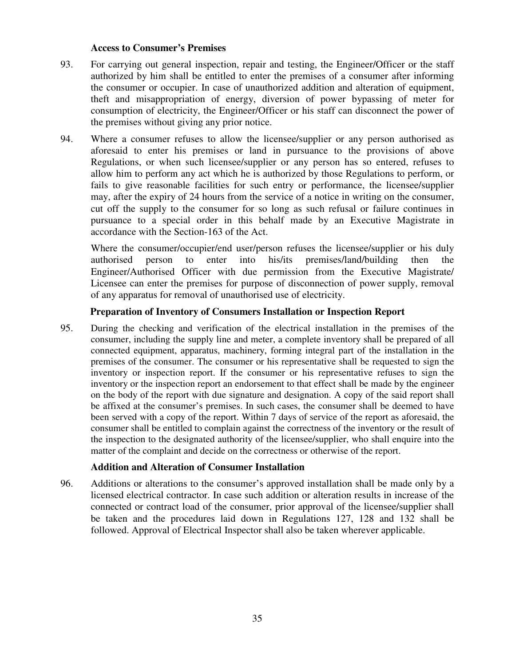#### **Access to Consumer's Premises**

- 93. For carrying out general inspection, repair and testing, the Engineer/Officer or the staff authorized by him shall be entitled to enter the premises of a consumer after informing the consumer or occupier. In case of unauthorized addition and alteration of equipment, theft and misappropriation of energy, diversion of power bypassing of meter for consumption of electricity, the Engineer/Officer or his staff can disconnect the power of the premises without giving any prior notice.
- 94. Where a consumer refuses to allow the licensee/supplier or any person authorised as aforesaid to enter his premises or land in pursuance to the provisions of above Regulations, or when such licensee/supplier or any person has so entered, refuses to allow him to perform any act which he is authorized by those Regulations to perform, or fails to give reasonable facilities for such entry or performance, the licensee/supplier may, after the expiry of 24 hours from the service of a notice in writing on the consumer, cut off the supply to the consumer for so long as such refusal or failure continues in pursuance to a special order in this behalf made by an Executive Magistrate in accordance with the Section-163 of the Act.

Where the consumer/occupier/end user/person refuses the licensee/supplier or his duly authorised person to enter into his/its premises/land/building then the Engineer/Authorised Officer with due permission from the Executive Magistrate/ Licensee can enter the premises for purpose of disconnection of power supply, removal of any apparatus for removal of unauthorised use of electricity.

#### **Preparation of Inventory of Consumers Installation or Inspection Report**

95. During the checking and verification of the electrical installation in the premises of the consumer, including the supply line and meter, a complete inventory shall be prepared of all connected equipment, apparatus, machinery, forming integral part of the installation in the premises of the consumer. The consumer or his representative shall be requested to sign the inventory or inspection report. If the consumer or his representative refuses to sign the inventory or the inspection report an endorsement to that effect shall be made by the engineer on the body of the report with due signature and designation. A copy of the said report shall be affixed at the consumer's premises. In such cases, the consumer shall be deemed to have been served with a copy of the report. Within 7 days of service of the report as aforesaid, the consumer shall be entitled to complain against the correctness of the inventory or the result of the inspection to the designated authority of the licensee/supplier, who shall enquire into the matter of the complaint and decide on the correctness or otherwise of the report.

#### **Addition and Alteration of Consumer Installation**

96. Additions or alterations to the consumer's approved installation shall be made only by a licensed electrical contractor. In case such addition or alteration results in increase of the connected or contract load of the consumer, prior approval of the licensee/supplier shall be taken and the procedures laid down in Regulations 127, 128 and 132 shall be followed. Approval of Electrical Inspector shall also be taken wherever applicable.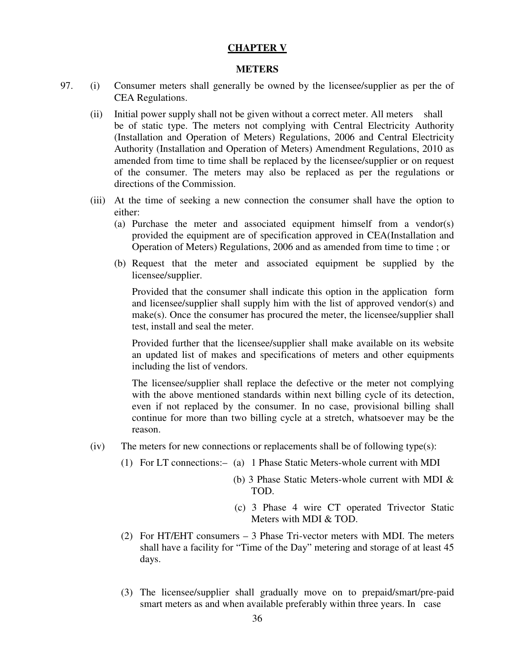#### **CHAPTER V**

#### **METERS**

- 97. (i) Consumer meters shall generally be owned by the licensee/supplier as per the of CEA Regulations.
	- (ii) Initial power supply shall not be given without a correct meter. All meters shall be of static type. The meters not complying with Central Electricity Authority (Installation and Operation of Meters) Regulations, 2006 and Central Electricity Authority (Installation and Operation of Meters) Amendment Regulations, 2010 as amended from time to time shall be replaced by the licensee/supplier or on request of the consumer. The meters may also be replaced as per the regulations or directions of the Commission.
	- (iii) At the time of seeking a new connection the consumer shall have the option to either:
		- (a) Purchase the meter and associated equipment himself from a vendor(s) provided the equipment are of specification approved in CEA(Installation and Operation of Meters) Regulations, 2006 and as amended from time to time ; or
		- (b) Request that the meter and associated equipment be supplied by the licensee/supplier.

Provided that the consumer shall indicate this option in the application form and licensee/supplier shall supply him with the list of approved vendor(s) and make(s). Once the consumer has procured the meter, the licensee/supplier shall test, install and seal the meter.

Provided further that the licensee/supplier shall make available on its website an updated list of makes and specifications of meters and other equipments including the list of vendors.

The licensee/supplier shall replace the defective or the meter not complying with the above mentioned standards within next billing cycle of its detection, even if not replaced by the consumer. In no case, provisional billing shall continue for more than two billing cycle at a stretch, whatsoever may be the reason.

- $(iv)$  The meters for new connections or replacements shall be of following type(s):
	- (1) For LT connections:– (a) 1 Phase Static Meters-whole current with MDI
		- (b) 3 Phase Static Meters-whole current with MDI & TOD.
		- (c) 3 Phase 4 wire CT operated Trivector Static Meters with MDI & TOD.
	- (2) For HT/EHT consumers 3 Phase Tri-vector meters with MDI. The meters shall have a facility for "Time of the Day" metering and storage of at least 45 days.
	- (3) The licensee/supplier shall gradually move on to prepaid/smart/pre-paid smart meters as and when available preferably within three years. In case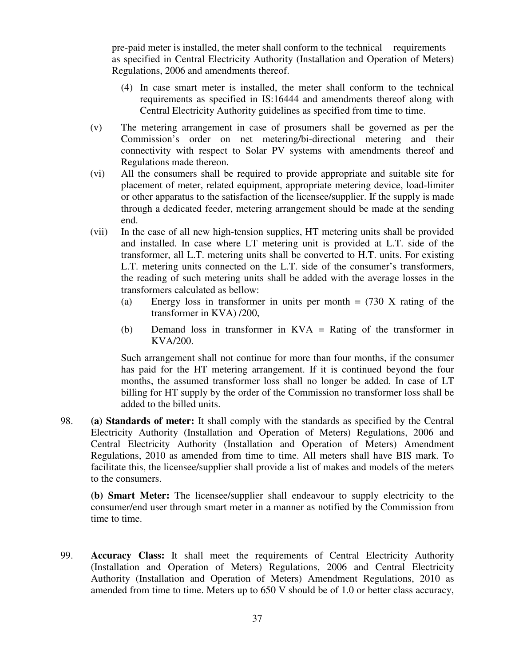pre-paid meter is installed, the meter shall conform to the technical requirements as specified in Central Electricity Authority (Installation and Operation of Meters) Regulations, 2006 and amendments thereof.

- (4) In case smart meter is installed, the meter shall conform to the technical requirements as specified in IS:16444 and amendments thereof along with Central Electricity Authority guidelines as specified from time to time.
- (v) The metering arrangement in case of prosumers shall be governed as per the Commission's order on net metering/bi-directional metering and their connectivity with respect to Solar PV systems with amendments thereof and Regulations made thereon.
- (vi) All the consumers shall be required to provide appropriate and suitable site for placement of meter, related equipment, appropriate metering device, load-limiter or other apparatus to the satisfaction of the licensee/supplier. If the supply is made through a dedicated feeder, metering arrangement should be made at the sending end.
- (vii) In the case of all new high-tension supplies, HT metering units shall be provided and installed. In case where LT metering unit is provided at L.T. side of the transformer, all L.T. metering units shall be converted to H.T. units. For existing L.T. metering units connected on the L.T. side of the consumer's transformers, the reading of such metering units shall be added with the average losses in the transformers calculated as bellow:
	- (a) Energy loss in transformer in units per month  $= (730 \text{ X} \text{ rating of the})$ transformer in KVA) /200,
	- (b) Demand loss in transformer in KVA = Rating of the transformer in KVA/200.

Such arrangement shall not continue for more than four months, if the consumer has paid for the HT metering arrangement. If it is continued beyond the four months, the assumed transformer loss shall no longer be added. In case of LT billing for HT supply by the order of the Commission no transformer loss shall be added to the billed units.

98. **(a) Standards of meter:** It shall comply with the standards as specified by the Central Electricity Authority (Installation and Operation of Meters) Regulations, 2006 and Central Electricity Authority (Installation and Operation of Meters) Amendment Regulations, 2010 as amended from time to time. All meters shall have BIS mark. To facilitate this, the licensee/supplier shall provide a list of makes and models of the meters to the consumers.

**(b) Smart Meter:** The licensee/supplier shall endeavour to supply electricity to the consumer/end user through smart meter in a manner as notified by the Commission from time to time.

99. **Accuracy Class:** It shall meet the requirements of Central Electricity Authority (Installation and Operation of Meters) Regulations, 2006 and Central Electricity Authority (Installation and Operation of Meters) Amendment Regulations, 2010 as amended from time to time. Meters up to 650 V should be of 1.0 or better class accuracy,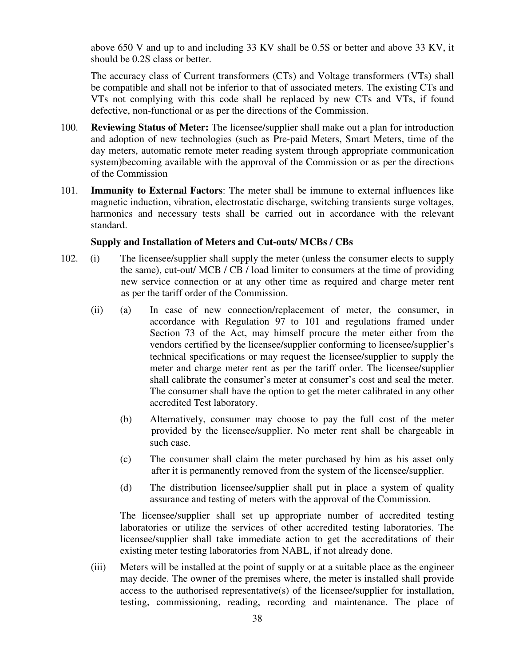above 650 V and up to and including 33 KV shall be 0.5S or better and above 33 KV, it should be 0.2S class or better.

The accuracy class of Current transformers (CTs) and Voltage transformers (VTs) shall be compatible and shall not be inferior to that of associated meters. The existing CTs and VTs not complying with this code shall be replaced by new CTs and VTs, if found defective, non-functional or as per the directions of the Commission.

- 100. **Reviewing Status of Meter:** The licensee/supplier shall make out a plan for introduction and adoption of new technologies (such as Pre-paid Meters, Smart Meters, time of the day meters, automatic remote meter reading system through appropriate communication system)becoming available with the approval of the Commission or as per the directions of the Commission
- 101. **Immunity to External Factors**: The meter shall be immune to external influences like magnetic induction, vibration, electrostatic discharge, switching transients surge voltages, harmonics and necessary tests shall be carried out in accordance with the relevant standard.

## **Supply and Installation of Meters and Cut-outs/ MCBs / CBs**

- 102. (i) The licensee/supplier shall supply the meter (unless the consumer elects to supply the same), cut-out/ MCB / CB / load limiter to consumers at the time of providing new service connection or at any other time as required and charge meter rent as per the tariff order of the Commission.
	- (ii) (a) In case of new connection/replacement of meter, the consumer, in accordance with Regulation 97 to 101 and regulations framed under Section 73 of the Act, may himself procure the meter either from the vendors certified by the licensee/supplier conforming to licensee/supplier's technical specifications or may request the licensee/supplier to supply the meter and charge meter rent as per the tariff order. The licensee/supplier shall calibrate the consumer's meter at consumer's cost and seal the meter. The consumer shall have the option to get the meter calibrated in any other accredited Test laboratory.
		- (b) Alternatively, consumer may choose to pay the full cost of the meter provided by the licensee/supplier. No meter rent shall be chargeable in such case.
		- (c) The consumer shall claim the meter purchased by him as his asset only after it is permanently removed from the system of the licensee/supplier.
		- (d) The distribution licensee/supplier shall put in place a system of quality assurance and testing of meters with the approval of the Commission.

The licensee/supplier shall set up appropriate number of accredited testing laboratories or utilize the services of other accredited testing laboratories. The licensee/supplier shall take immediate action to get the accreditations of their existing meter testing laboratories from NABL, if not already done.

(iii) Meters will be installed at the point of supply or at a suitable place as the engineer may decide. The owner of the premises where, the meter is installed shall provide access to the authorised representative(s) of the licensee/supplier for installation, testing, commissioning, reading, recording and maintenance. The place of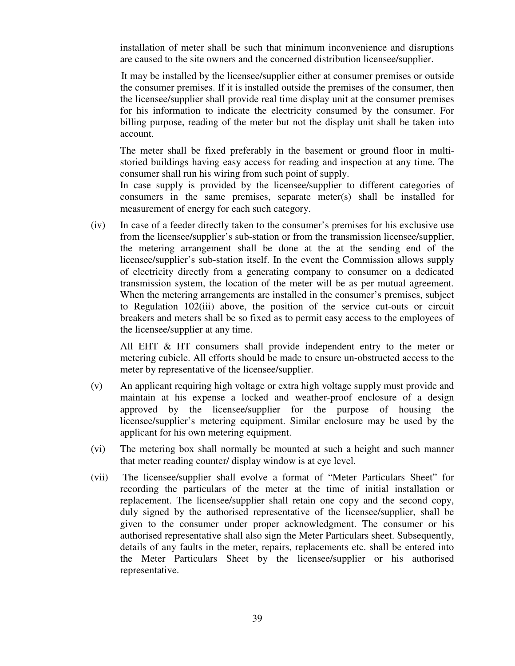installation of meter shall be such that minimum inconvenience and disruptions are caused to the site owners and the concerned distribution licensee/supplier.

It may be installed by the licensee/supplier either at consumer premises or outside the consumer premises. If it is installed outside the premises of the consumer, then the licensee/supplier shall provide real time display unit at the consumer premises for his information to indicate the electricity consumed by the consumer. For billing purpose, reading of the meter but not the display unit shall be taken into account.

The meter shall be fixed preferably in the basement or ground floor in multistoried buildings having easy access for reading and inspection at any time. The consumer shall run his wiring from such point of supply.

In case supply is provided by the licensee/supplier to different categories of consumers in the same premises, separate meter(s) shall be installed for measurement of energy for each such category.

(iv) In case of a feeder directly taken to the consumer's premises for his exclusive use from the licensee/supplier's sub-station or from the transmission licensee/supplier, the metering arrangement shall be done at the at the sending end of the licensee/supplier's sub-station itself. In the event the Commission allows supply of electricity directly from a generating company to consumer on a dedicated transmission system, the location of the meter will be as per mutual agreement. When the metering arrangements are installed in the consumer's premises, subject to Regulation 102(iii) above, the position of the service cut-outs or circuit breakers and meters shall be so fixed as to permit easy access to the employees of the licensee/supplier at any time.

All EHT & HT consumers shall provide independent entry to the meter or metering cubicle. All efforts should be made to ensure un-obstructed access to the meter by representative of the licensee/supplier.

- (v) An applicant requiring high voltage or extra high voltage supply must provide and maintain at his expense a locked and weather-proof enclosure of a design approved by the licensee/supplier for the purpose of housing the licensee/supplier's metering equipment. Similar enclosure may be used by the applicant for his own metering equipment.
- (vi) The metering box shall normally be mounted at such a height and such manner that meter reading counter/ display window is at eye level.
- (vii) The licensee/supplier shall evolve a format of "Meter Particulars Sheet" for recording the particulars of the meter at the time of initial installation or replacement. The licensee/supplier shall retain one copy and the second copy, duly signed by the authorised representative of the licensee/supplier, shall be given to the consumer under proper acknowledgment. The consumer or his authorised representative shall also sign the Meter Particulars sheet. Subsequently, details of any faults in the meter, repairs, replacements etc. shall be entered into the Meter Particulars Sheet by the licensee/supplier or his authorised representative.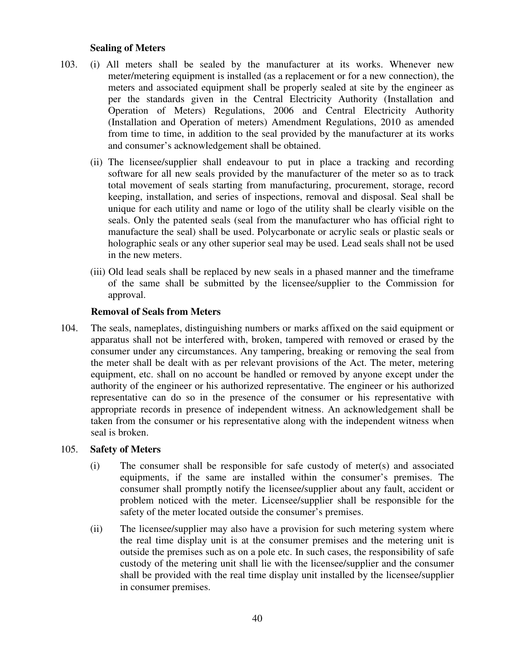#### **Sealing of Meters**

- 103. (i) All meters shall be sealed by the manufacturer at its works. Whenever new meter/metering equipment is installed (as a replacement or for a new connection), the meters and associated equipment shall be properly sealed at site by the engineer as per the standards given in the Central Electricity Authority (Installation and Operation of Meters) Regulations, 2006 and Central Electricity Authority (Installation and Operation of meters) Amendment Regulations, 2010 as amended from time to time, in addition to the seal provided by the manufacturer at its works and consumer's acknowledgement shall be obtained.
	- (ii) The licensee/supplier shall endeavour to put in place a tracking and recording software for all new seals provided by the manufacturer of the meter so as to track total movement of seals starting from manufacturing, procurement, storage, record keeping, installation, and series of inspections, removal and disposal. Seal shall be unique for each utility and name or logo of the utility shall be clearly visible on the seals. Only the patented seals (seal from the manufacturer who has official right to manufacture the seal) shall be used. Polycarbonate or acrylic seals or plastic seals or holographic seals or any other superior seal may be used. Lead seals shall not be used in the new meters.
	- (iii) Old lead seals shall be replaced by new seals in a phased manner and the timeframe of the same shall be submitted by the licensee/supplier to the Commission for approval.

#### **Removal of Seals from Meters**

104. The seals, nameplates, distinguishing numbers or marks affixed on the said equipment or apparatus shall not be interfered with, broken, tampered with removed or erased by the consumer under any circumstances. Any tampering, breaking or removing the seal from the meter shall be dealt with as per relevant provisions of the Act. The meter, metering equipment, etc. shall on no account be handled or removed by anyone except under the authority of the engineer or his authorized representative. The engineer or his authorized representative can do so in the presence of the consumer or his representative with appropriate records in presence of independent witness. An acknowledgement shall be taken from the consumer or his representative along with the independent witness when seal is broken.

#### 105. **Safety of Meters**

- (i) The consumer shall be responsible for safe custody of meter(s) and associated equipments, if the same are installed within the consumer's premises. The consumer shall promptly notify the licensee/supplier about any fault, accident or problem noticed with the meter. Licensee/supplier shall be responsible for the safety of the meter located outside the consumer's premises.
- (ii) The licensee/supplier may also have a provision for such metering system where the real time display unit is at the consumer premises and the metering unit is outside the premises such as on a pole etc. In such cases, the responsibility of safe custody of the metering unit shall lie with the licensee/supplier and the consumer shall be provided with the real time display unit installed by the licensee/supplier in consumer premises.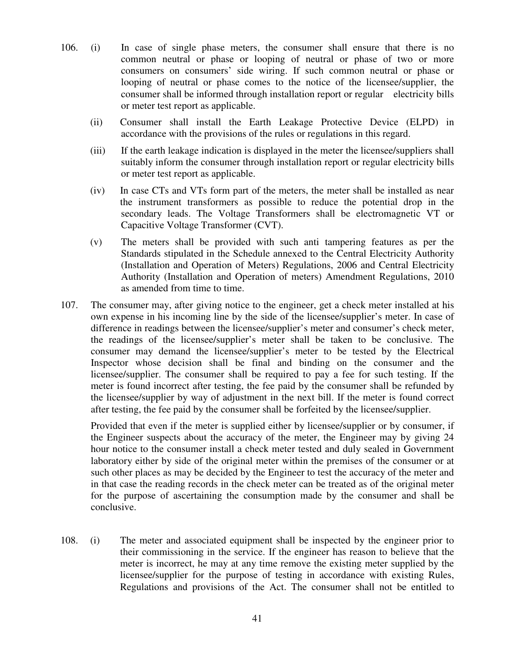- 106. (i) In case of single phase meters, the consumer shall ensure that there is no common neutral or phase or looping of neutral or phase of two or more consumers on consumers' side wiring. If such common neutral or phase or looping of neutral or phase comes to the notice of the licensee/supplier, the consumer shall be informed through installation report or regular electricity bills or meter test report as applicable.
	- (ii) Consumer shall install the Earth Leakage Protective Device (ELPD) in accordance with the provisions of the rules or regulations in this regard.
	- (iii) If the earth leakage indication is displayed in the meter the licensee/suppliers shall suitably inform the consumer through installation report or regular electricity bills or meter test report as applicable.
	- (iv) In case CTs and VTs form part of the meters, the meter shall be installed as near the instrument transformers as possible to reduce the potential drop in the secondary leads. The Voltage Transformers shall be electromagnetic VT or Capacitive Voltage Transformer (CVT).
	- (v) The meters shall be provided with such anti tampering features as per the Standards stipulated in the Schedule annexed to the Central Electricity Authority (Installation and Operation of Meters) Regulations, 2006 and Central Electricity Authority (Installation and Operation of meters) Amendment Regulations, 2010 as amended from time to time.
- 107. The consumer may, after giving notice to the engineer, get a check meter installed at his own expense in his incoming line by the side of the licensee/supplier's meter. In case of difference in readings between the licensee/supplier's meter and consumer's check meter, the readings of the licensee/supplier's meter shall be taken to be conclusive. The consumer may demand the licensee/supplier's meter to be tested by the Electrical Inspector whose decision shall be final and binding on the consumer and the licensee/supplier. The consumer shall be required to pay a fee for such testing. If the meter is found incorrect after testing, the fee paid by the consumer shall be refunded by the licensee/supplier by way of adjustment in the next bill. If the meter is found correct after testing, the fee paid by the consumer shall be forfeited by the licensee/supplier.

Provided that even if the meter is supplied either by licensee/supplier or by consumer, if the Engineer suspects about the accuracy of the meter, the Engineer may by giving 24 hour notice to the consumer install a check meter tested and duly sealed in Government laboratory either by side of the original meter within the premises of the consumer or at such other places as may be decided by the Engineer to test the accuracy of the meter and in that case the reading records in the check meter can be treated as of the original meter for the purpose of ascertaining the consumption made by the consumer and shall be conclusive.

108. (i) The meter and associated equipment shall be inspected by the engineer prior to their commissioning in the service. If the engineer has reason to believe that the meter is incorrect, he may at any time remove the existing meter supplied by the licensee/supplier for the purpose of testing in accordance with existing Rules, Regulations and provisions of the Act. The consumer shall not be entitled to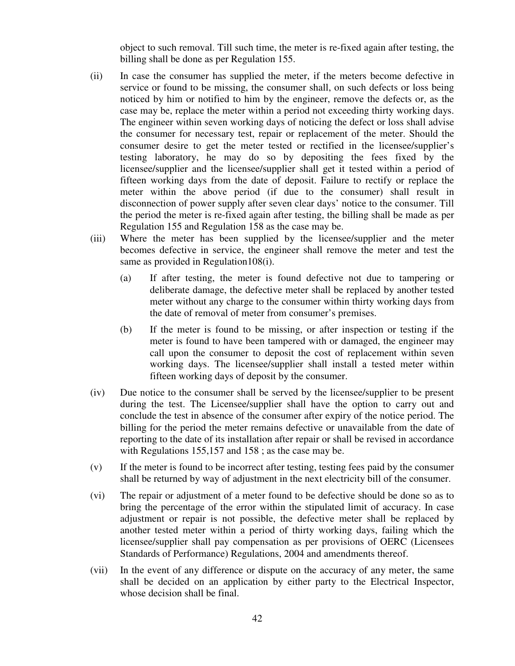object to such removal. Till such time, the meter is re-fixed again after testing, the billing shall be done as per Regulation 155.

- (ii) In case the consumer has supplied the meter, if the meters become defective in service or found to be missing, the consumer shall, on such defects or loss being noticed by him or notified to him by the engineer, remove the defects or, as the case may be, replace the meter within a period not exceeding thirty working days. The engineer within seven working days of noticing the defect or loss shall advise the consumer for necessary test, repair or replacement of the meter. Should the consumer desire to get the meter tested or rectified in the licensee/supplier's testing laboratory, he may do so by depositing the fees fixed by the licensee/supplier and the licensee/supplier shall get it tested within a period of fifteen working days from the date of deposit. Failure to rectify or replace the meter within the above period (if due to the consumer) shall result in disconnection of power supply after seven clear days' notice to the consumer. Till the period the meter is re-fixed again after testing, the billing shall be made as per Regulation 155 and Regulation 158 as the case may be.
- (iii) Where the meter has been supplied by the licensee/supplier and the meter becomes defective in service, the engineer shall remove the meter and test the same as provided in Regulation 108(i).
	- (a) If after testing, the meter is found defective not due to tampering or deliberate damage, the defective meter shall be replaced by another tested meter without any charge to the consumer within thirty working days from the date of removal of meter from consumer's premises.
	- (b) If the meter is found to be missing, or after inspection or testing if the meter is found to have been tampered with or damaged, the engineer may call upon the consumer to deposit the cost of replacement within seven working days. The licensee/supplier shall install a tested meter within fifteen working days of deposit by the consumer.
- (iv) Due notice to the consumer shall be served by the licensee/supplier to be present during the test. The Licensee/supplier shall have the option to carry out and conclude the test in absence of the consumer after expiry of the notice period. The billing for the period the meter remains defective or unavailable from the date of reporting to the date of its installation after repair or shall be revised in accordance with Regulations 155,157 and 158; as the case may be.
- (v) If the meter is found to be incorrect after testing, testing fees paid by the consumer shall be returned by way of adjustment in the next electricity bill of the consumer.
- (vi) The repair or adjustment of a meter found to be defective should be done so as to bring the percentage of the error within the stipulated limit of accuracy. In case adjustment or repair is not possible, the defective meter shall be replaced by another tested meter within a period of thirty working days, failing which the licensee/supplier shall pay compensation as per provisions of OERC (Licensees Standards of Performance) Regulations, 2004 and amendments thereof.
- (vii) In the event of any difference or dispute on the accuracy of any meter, the same shall be decided on an application by either party to the Electrical Inspector, whose decision shall be final.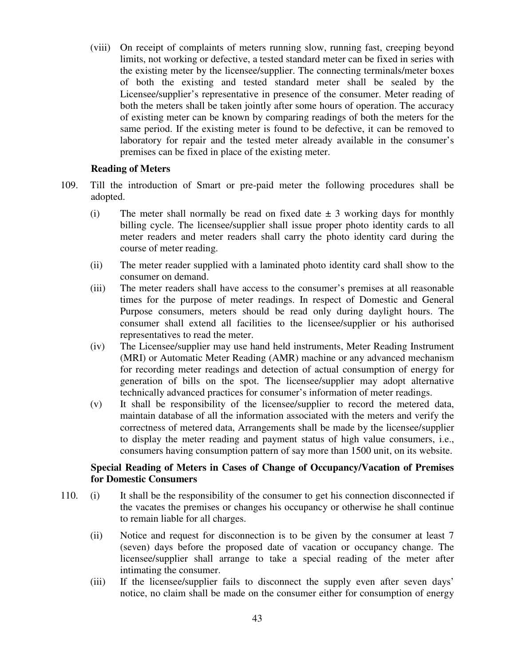(viii) On receipt of complaints of meters running slow, running fast, creeping beyond limits, not working or defective, a tested standard meter can be fixed in series with the existing meter by the licensee/supplier. The connecting terminals/meter boxes of both the existing and tested standard meter shall be sealed by the Licensee/supplier's representative in presence of the consumer. Meter reading of both the meters shall be taken jointly after some hours of operation. The accuracy of existing meter can be known by comparing readings of both the meters for the same period. If the existing meter is found to be defective, it can be removed to laboratory for repair and the tested meter already available in the consumer's premises can be fixed in place of the existing meter.

#### **Reading of Meters**

- 109. Till the introduction of Smart or pre-paid meter the following procedures shall be adopted.
	- (i) The meter shall normally be read on fixed date  $\pm$  3 working days for monthly billing cycle. The licensee/supplier shall issue proper photo identity cards to all meter readers and meter readers shall carry the photo identity card during the course of meter reading.
	- (ii) The meter reader supplied with a laminated photo identity card shall show to the consumer on demand.
	- (iii) The meter readers shall have access to the consumer's premises at all reasonable times for the purpose of meter readings. In respect of Domestic and General Purpose consumers, meters should be read only during daylight hours. The consumer shall extend all facilities to the licensee/supplier or his authorised representatives to read the meter.
	- (iv) The Licensee/supplier may use hand held instruments, Meter Reading Instrument (MRI) or Automatic Meter Reading (AMR) machine or any advanced mechanism for recording meter readings and detection of actual consumption of energy for generation of bills on the spot. The licensee/supplier may adopt alternative technically advanced practices for consumer's information of meter readings.
	- (v) It shall be responsibility of the licensee/supplier to record the metered data, maintain database of all the information associated with the meters and verify the correctness of metered data, Arrangements shall be made by the licensee/supplier to display the meter reading and payment status of high value consumers, i.e., consumers having consumption pattern of say more than 1500 unit, on its website.

## **Special Reading of Meters in Cases of Change of Occupancy/Vacation of Premises for Domestic Consumers**

- 110. (i) It shall be the responsibility of the consumer to get his connection disconnected if the vacates the premises or changes his occupancy or otherwise he shall continue to remain liable for all charges.
	- (ii) Notice and request for disconnection is to be given by the consumer at least 7 (seven) days before the proposed date of vacation or occupancy change. The licensee/supplier shall arrange to take a special reading of the meter after intimating the consumer.
	- (iii) If the licensee/supplier fails to disconnect the supply even after seven days' notice, no claim shall be made on the consumer either for consumption of energy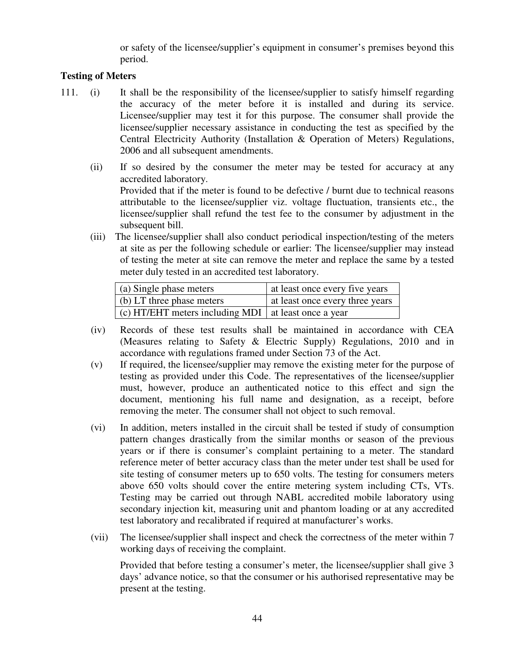or safety of the licensee/supplier's equipment in consumer's premises beyond this period.

# **Testing of Meters**

- 111. (i) It shall be the responsibility of the licensee/supplier to satisfy himself regarding the accuracy of the meter before it is installed and during its service. Licensee/supplier may test it for this purpose. The consumer shall provide the licensee/supplier necessary assistance in conducting the test as specified by the Central Electricity Authority (Installation & Operation of Meters) Regulations, 2006 and all subsequent amendments.
	- (ii) If so desired by the consumer the meter may be tested for accuracy at any accredited laboratory. Provided that if the meter is found to be defective / burnt due to technical reasons attributable to the licensee/supplier viz. voltage fluctuation, transients etc., the licensee/supplier shall refund the test fee to the consumer by adjustment in the subsequent bill.
	- (iii) The licensee/supplier shall also conduct periodical inspection/testing of the meters at site as per the following schedule or earlier: The licensee/supplier may instead of testing the meter at site can remove the meter and replace the same by a tested meter duly tested in an accredited test laboratory.

| (a) Single phase meters                                              | at least once every five years  |
|----------------------------------------------------------------------|---------------------------------|
| $\vert$ (b) LT three phase meters                                    | at least once every three years |
| $\vert$ (c) HT/EHT meters including MDI $\vert$ at least once a year |                                 |

- (iv) Records of these test results shall be maintained in accordance with CEA (Measures relating to Safety & Electric Supply) Regulations, 2010 and in accordance with regulations framed under Section 73 of the Act.
- (v) If required, the licensee/supplier may remove the existing meter for the purpose of testing as provided under this Code. The representatives of the licensee/supplier must, however, produce an authenticated notice to this effect and sign the document, mentioning his full name and designation, as a receipt, before removing the meter. The consumer shall not object to such removal.
- (vi) In addition, meters installed in the circuit shall be tested if study of consumption pattern changes drastically from the similar months or season of the previous years or if there is consumer's complaint pertaining to a meter. The standard reference meter of better accuracy class than the meter under test shall be used for site testing of consumer meters up to 650 volts. The testing for consumers meters above 650 volts should cover the entire metering system including CTs, VTs. Testing may be carried out through NABL accredited mobile laboratory using secondary injection kit, measuring unit and phantom loading or at any accredited test laboratory and recalibrated if required at manufacturer's works.
- (vii) The licensee/supplier shall inspect and check the correctness of the meter within 7 working days of receiving the complaint.

Provided that before testing a consumer's meter, the licensee/supplier shall give 3 days' advance notice, so that the consumer or his authorised representative may be present at the testing.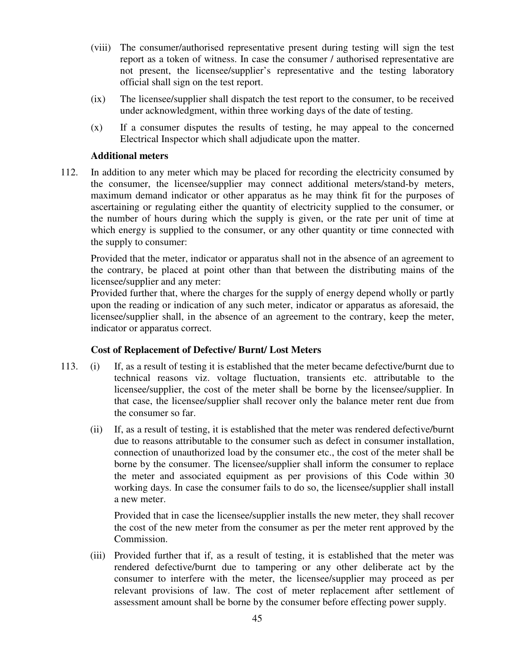- (viii) The consumer/authorised representative present during testing will sign the test report as a token of witness. In case the consumer / authorised representative are not present, the licensee/supplier's representative and the testing laboratory official shall sign on the test report.
- (ix) The licensee/supplier shall dispatch the test report to the consumer, to be received under acknowledgment, within three working days of the date of testing.
- (x) If a consumer disputes the results of testing, he may appeal to the concerned Electrical Inspector which shall adjudicate upon the matter.

## **Additional meters**

112. In addition to any meter which may be placed for recording the electricity consumed by the consumer, the licensee/supplier may connect additional meters/stand-by meters, maximum demand indicator or other apparatus as he may think fit for the purposes of ascertaining or regulating either the quantity of electricity supplied to the consumer, or the number of hours during which the supply is given, or the rate per unit of time at which energy is supplied to the consumer, or any other quantity or time connected with the supply to consumer:

Provided that the meter, indicator or apparatus shall not in the absence of an agreement to the contrary, be placed at point other than that between the distributing mains of the licensee/supplier and any meter:

Provided further that, where the charges for the supply of energy depend wholly or partly upon the reading or indication of any such meter, indicator or apparatus as aforesaid, the licensee/supplier shall, in the absence of an agreement to the contrary, keep the meter, indicator or apparatus correct.

## **Cost of Replacement of Defective/ Burnt/ Lost Meters**

- 113. (i) If, as a result of testing it is established that the meter became defective/burnt due to technical reasons viz. voltage fluctuation, transients etc. attributable to the licensee/supplier, the cost of the meter shall be borne by the licensee/supplier. In that case, the licensee/supplier shall recover only the balance meter rent due from the consumer so far.
	- (ii) If, as a result of testing, it is established that the meter was rendered defective/burnt due to reasons attributable to the consumer such as defect in consumer installation, connection of unauthorized load by the consumer etc., the cost of the meter shall be borne by the consumer. The licensee/supplier shall inform the consumer to replace the meter and associated equipment as per provisions of this Code within 30 working days. In case the consumer fails to do so, the licensee/supplier shall install a new meter.

 Provided that in case the licensee/supplier installs the new meter, they shall recover the cost of the new meter from the consumer as per the meter rent approved by the Commission.

 (iii) Provided further that if, as a result of testing, it is established that the meter was rendered defective/burnt due to tampering or any other deliberate act by the consumer to interfere with the meter, the licensee/supplier may proceed as per relevant provisions of law. The cost of meter replacement after settlement of assessment amount shall be borne by the consumer before effecting power supply.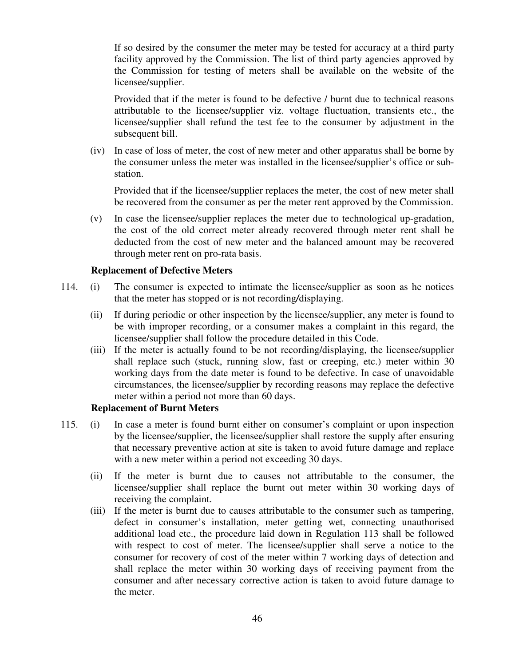If so desired by the consumer the meter may be tested for accuracy at a third party facility approved by the Commission. The list of third party agencies approved by the Commission for testing of meters shall be available on the website of the licensee/supplier.

 Provided that if the meter is found to be defective / burnt due to technical reasons attributable to the licensee/supplier viz. voltage fluctuation, transients etc., the licensee/supplier shall refund the test fee to the consumer by adjustment in the subsequent bill.

 (iv) In case of loss of meter, the cost of new meter and other apparatus shall be borne by the consumer unless the meter was installed in the licensee/supplier's office or substation.

 Provided that if the licensee/supplier replaces the meter, the cost of new meter shall be recovered from the consumer as per the meter rent approved by the Commission.

 (v) In case the licensee/supplier replaces the meter due to technological up-gradation, the cost of the old correct meter already recovered through meter rent shall be deducted from the cost of new meter and the balanced amount may be recovered through meter rent on pro-rata basis.

#### **Replacement of Defective Meters**

- 114. (i) The consumer is expected to intimate the licensee/supplier as soon as he notices that the meter has stopped or is not recording*/*displaying.
	- (ii) If during periodic or other inspection by the licensee/supplier, any meter is found to be with improper recording, or a consumer makes a complaint in this regard, the licensee/supplier shall follow the procedure detailed in this Code.
	- (iii) If the meter is actually found to be not recording/displaying, the licensee/supplier shall replace such (stuck, running slow, fast or creeping, etc.) meter within 30 working days from the date meter is found to be defective. In case of unavoidable circumstances, the licensee/supplier by recording reasons may replace the defective meter within a period not more than 60 days.

#### **Replacement of Burnt Meters**

- 115. (i) In case a meter is found burnt either on consumer's complaint or upon inspection by the licensee/supplier, the licensee/supplier shall restore the supply after ensuring that necessary preventive action at site is taken to avoid future damage and replace with a new meter within a period not exceeding 30 days.
	- (ii) If the meter is burnt due to causes not attributable to the consumer, the licensee/supplier shall replace the burnt out meter within 30 working days of receiving the complaint.
	- (iii) If the meter is burnt due to causes attributable to the consumer such as tampering, defect in consumer's installation, meter getting wet, connecting unauthorised additional load etc., the procedure laid down in Regulation 113 shall be followed with respect to cost of meter. The licensee/supplier shall serve a notice to the consumer for recovery of cost of the meter within 7 working days of detection and shall replace the meter within 30 working days of receiving payment from the consumer and after necessary corrective action is taken to avoid future damage to the meter.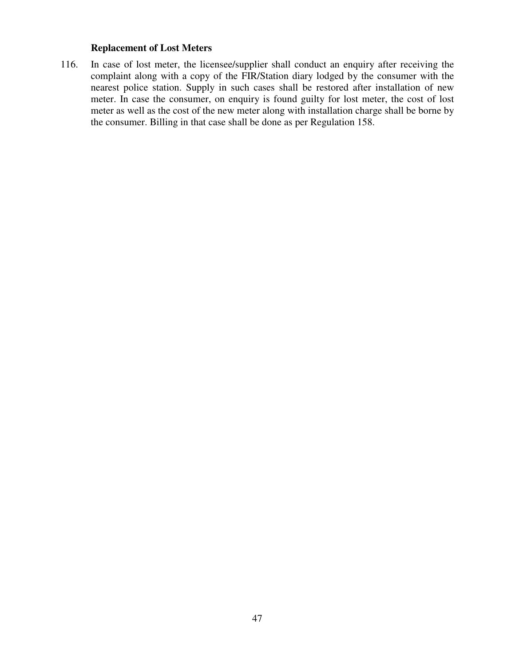# **Replacement of Lost Meters**

116. In case of lost meter, the licensee/supplier shall conduct an enquiry after receiving the complaint along with a copy of the FIR/Station diary lodged by the consumer with the nearest police station. Supply in such cases shall be restored after installation of new meter. In case the consumer, on enquiry is found guilty for lost meter, the cost of lost meter as well as the cost of the new meter along with installation charge shall be borne by the consumer. Billing in that case shall be done as per Regulation 158.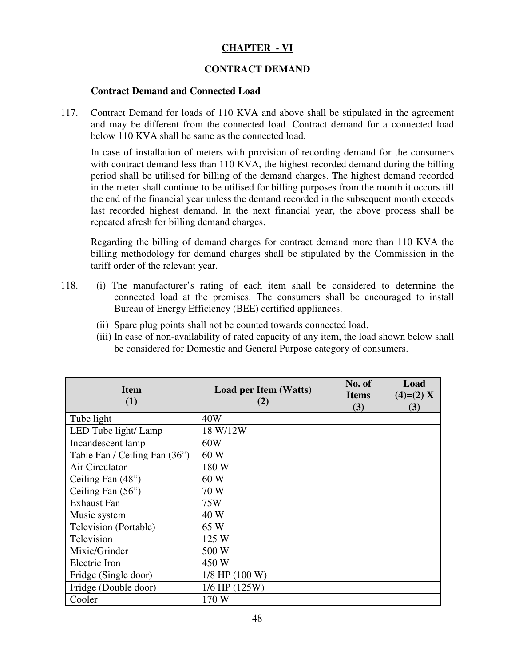# **CHAPTER - VI**

## **CONTRACT DEMAND**

#### **Contract Demand and Connected Load**

117. Contract Demand for loads of 110 KVA and above shall be stipulated in the agreement and may be different from the connected load. Contract demand for a connected load below 110 KVA shall be same as the connected load.

In case of installation of meters with provision of recording demand for the consumers with contract demand less than 110 KVA, the highest recorded demand during the billing period shall be utilised for billing of the demand charges. The highest demand recorded in the meter shall continue to be utilised for billing purposes from the month it occurs till the end of the financial year unless the demand recorded in the subsequent month exceeds last recorded highest demand. In the next financial year, the above process shall be repeated afresh for billing demand charges.

Regarding the billing of demand charges for contract demand more than 110 KVA the billing methodology for demand charges shall be stipulated by the Commission in the tariff order of the relevant year.

- 118. (i) The manufacturer's rating of each item shall be considered to determine the connected load at the premises. The consumers shall be encouraged to install Bureau of Energy Efficiency (BEE) certified appliances.
	- (ii) Spare plug points shall not be counted towards connected load.
	- (iii) In case of non-availability of rated capacity of any item, the load shown below shall be considered for Domestic and General Purpose category of consumers.

| <b>Item</b><br>(1)            | <b>Load per Item (Watts)</b><br>(2) | No. of<br><b>Items</b><br>(3) | Load<br>$(4)=(2) X$<br>(3) |
|-------------------------------|-------------------------------------|-------------------------------|----------------------------|
| Tube light                    | 40W                                 |                               |                            |
| LED Tube light/ Lamp          | 18 W/12W                            |                               |                            |
| Incandescent lamp             | 60W                                 |                               |                            |
| Table Fan / Ceiling Fan (36") | 60 W                                |                               |                            |
| Air Circulator                | 180 W                               |                               |                            |
| Ceiling Fan (48")             | 60 W                                |                               |                            |
| Ceiling Fan (56")             | 70 W                                |                               |                            |
| <b>Exhaust Fan</b>            | 75W                                 |                               |                            |
| Music system                  | 40 W                                |                               |                            |
| Television (Portable)         | 65 W                                |                               |                            |
| Television                    | 125 W                               |                               |                            |
| Mixie/Grinder                 | 500 W                               |                               |                            |
| Electric Iron                 | 450 W                               |                               |                            |
| Fridge (Single door)          | $1/8$ HP $(100 W)$                  |                               |                            |
| Fridge (Double door)          | $1/6$ HP $(125W)$                   |                               |                            |
| Cooler                        | 170 W                               |                               |                            |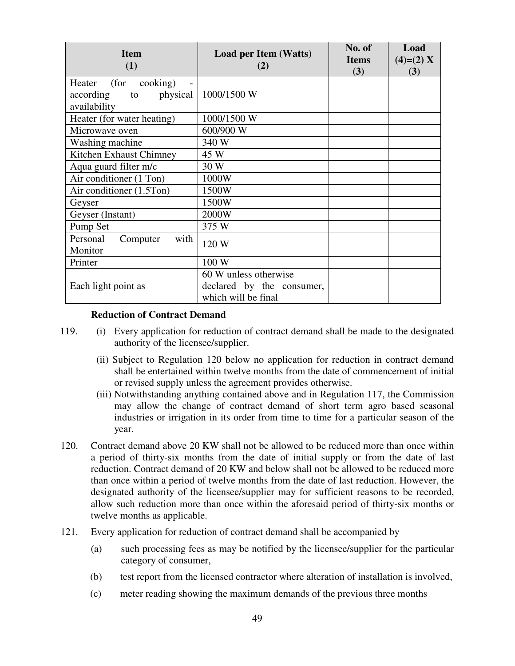| <b>Item</b><br>(1)                                                        | <b>Load per Item (Watts)</b><br>(2)                                       | No. of<br><b>Items</b><br>(3) | Load<br>$(4)=(2) X$<br>(3) |
|---------------------------------------------------------------------------|---------------------------------------------------------------------------|-------------------------------|----------------------------|
| (for<br>cooking)<br>Heater<br>physical<br>according<br>to<br>availability | 1000/1500 W                                                               |                               |                            |
| Heater (for water heating)                                                | 1000/1500 W                                                               |                               |                            |
| Microwave oven                                                            | 600/900 W                                                                 |                               |                            |
| Washing machine                                                           | 340 W                                                                     |                               |                            |
| Kitchen Exhaust Chimney                                                   | 45 W                                                                      |                               |                            |
| Aqua guard filter m/c                                                     | 30 W                                                                      |                               |                            |
| Air conditioner (1 Ton)                                                   | 1000W                                                                     |                               |                            |
| Air conditioner (1.5Ton)                                                  | 1500W                                                                     |                               |                            |
| Geyser                                                                    | 1500W                                                                     |                               |                            |
| Geyser (Instant)                                                          | 2000W                                                                     |                               |                            |
| Pump Set                                                                  | 375 W                                                                     |                               |                            |
| Personal<br>with<br>Computer<br>Monitor                                   | 120 W                                                                     |                               |                            |
| Printer                                                                   | 100 W                                                                     |                               |                            |
| Each light point as                                                       | 60 W unless otherwise<br>declared by the consumer,<br>which will be final |                               |                            |

#### **Reduction of Contract Demand**

- 119. (i) Every application for reduction of contract demand shall be made to the designated authority of the licensee/supplier.
	- (ii) Subject to Regulation 120 below no application for reduction in contract demand shall be entertained within twelve months from the date of commencement of initial or revised supply unless the agreement provides otherwise.
	- (iii) Notwithstanding anything contained above and in Regulation 117, the Commission may allow the change of contract demand of short term agro based seasonal industries or irrigation in its order from time to time for a particular season of the year.
- 120. Contract demand above 20 KW shall not be allowed to be reduced more than once within a period of thirty-six months from the date of initial supply or from the date of last reduction. Contract demand of 20 KW and below shall not be allowed to be reduced more than once within a period of twelve months from the date of last reduction. However, the designated authority of the licensee/supplier may for sufficient reasons to be recorded, allow such reduction more than once within the aforesaid period of thirty-six months or twelve months as applicable.
- 121. Every application for reduction of contract demand shall be accompanied by
	- (a) such processing fees as may be notified by the licensee/supplier for the particular category of consumer,
	- (b) test report from the licensed contractor where alteration of installation is involved,
	- (c) meter reading showing the maximum demands of the previous three months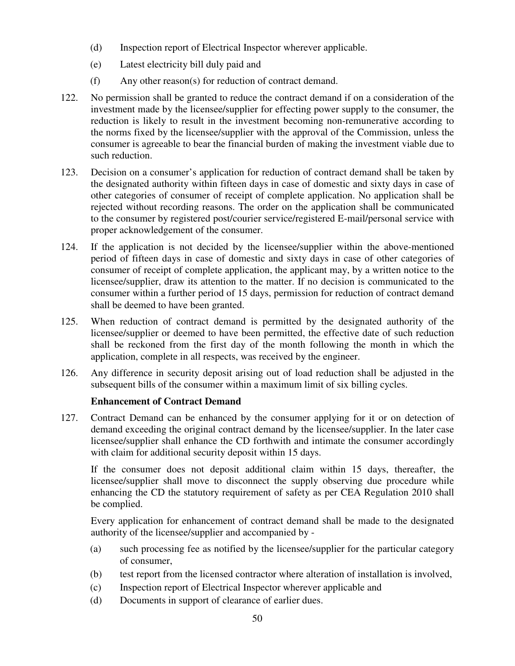- (d) Inspection report of Electrical Inspector wherever applicable.
- (e) Latest electricity bill duly paid and
- (f) Any other reason(s) for reduction of contract demand.
- 122. No permission shall be granted to reduce the contract demand if on a consideration of the investment made by the licensee/supplier for effecting power supply to the consumer, the reduction is likely to result in the investment becoming non-remunerative according to the norms fixed by the licensee/supplier with the approval of the Commission, unless the consumer is agreeable to bear the financial burden of making the investment viable due to such reduction.
- 123. Decision on a consumer's application for reduction of contract demand shall be taken by the designated authority within fifteen days in case of domestic and sixty days in case of other categories of consumer of receipt of complete application. No application shall be rejected without recording reasons. The order on the application shall be communicated to the consumer by registered post/courier service/registered E-mail/personal service with proper acknowledgement of the consumer.
- 124. If the application is not decided by the licensee/supplier within the above-mentioned period of fifteen days in case of domestic and sixty days in case of other categories of consumer of receipt of complete application, the applicant may, by a written notice to the licensee/supplier, draw its attention to the matter. If no decision is communicated to the consumer within a further period of 15 days, permission for reduction of contract demand shall be deemed to have been granted.
- 125. When reduction of contract demand is permitted by the designated authority of the licensee/supplier or deemed to have been permitted, the effective date of such reduction shall be reckoned from the first day of the month following the month in which the application, complete in all respects, was received by the engineer.
- 126. Any difference in security deposit arising out of load reduction shall be adjusted in the subsequent bills of the consumer within a maximum limit of six billing cycles.

# **Enhancement of Contract Demand**

127. Contract Demand can be enhanced by the consumer applying for it or on detection of demand exceeding the original contract demand by the licensee/supplier. In the later case licensee/supplier shall enhance the CD forthwith and intimate the consumer accordingly with claim for additional security deposit within 15 days.

If the consumer does not deposit additional claim within 15 days, thereafter, the licensee/supplier shall move to disconnect the supply observing due procedure while enhancing the CD the statutory requirement of safety as per CEA Regulation 2010 shall be complied.

Every application for enhancement of contract demand shall be made to the designated authority of the licensee/supplier and accompanied by -

- (a) such processing fee as notified by the licensee/supplier for the particular category of consumer,
- (b) test report from the licensed contractor where alteration of installation is involved,
- (c) Inspection report of Electrical Inspector wherever applicable and
- (d) Documents in support of clearance of earlier dues.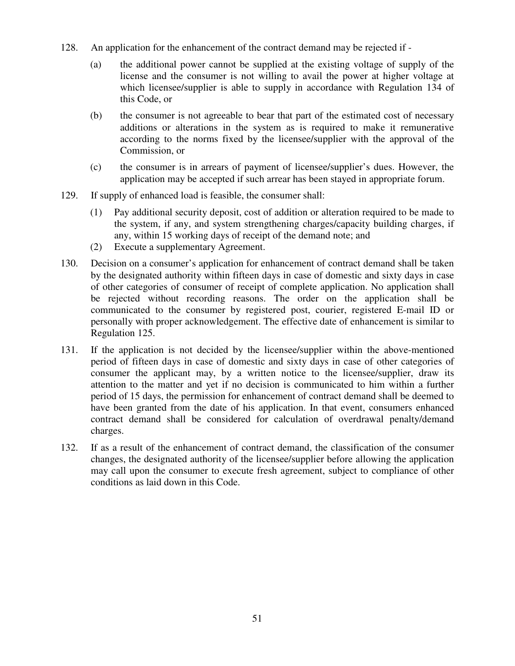- 128. An application for the enhancement of the contract demand may be rejected if
	- (a) the additional power cannot be supplied at the existing voltage of supply of the license and the consumer is not willing to avail the power at higher voltage at which licensee/supplier is able to supply in accordance with Regulation 134 of this Code, or
	- (b) the consumer is not agreeable to bear that part of the estimated cost of necessary additions or alterations in the system as is required to make it remunerative according to the norms fixed by the licensee/supplier with the approval of the Commission, or
	- (c) the consumer is in arrears of payment of licensee/supplier's dues. However, the application may be accepted if such arrear has been stayed in appropriate forum.
- 129. If supply of enhanced load is feasible, the consumer shall:
	- (1) Pay additional security deposit, cost of addition or alteration required to be made to the system, if any, and system strengthening charges/capacity building charges, if any, within 15 working days of receipt of the demand note; and
	- (2) Execute a supplementary Agreement.
- 130. Decision on a consumer's application for enhancement of contract demand shall be taken by the designated authority within fifteen days in case of domestic and sixty days in case of other categories of consumer of receipt of complete application. No application shall be rejected without recording reasons. The order on the application shall be communicated to the consumer by registered post, courier, registered E-mail ID or personally with proper acknowledgement. The effective date of enhancement is similar to Regulation 125.
- 131. If the application is not decided by the licensee/supplier within the above-mentioned period of fifteen days in case of domestic and sixty days in case of other categories of consumer the applicant may, by a written notice to the licensee/supplier, draw its attention to the matter and yet if no decision is communicated to him within a further period of 15 days, the permission for enhancement of contract demand shall be deemed to have been granted from the date of his application. In that event, consumers enhanced contract demand shall be considered for calculation of overdrawal penalty/demand charges.
- 132. If as a result of the enhancement of contract demand, the classification of the consumer changes, the designated authority of the licensee/supplier before allowing the application may call upon the consumer to execute fresh agreement, subject to compliance of other conditions as laid down in this Code.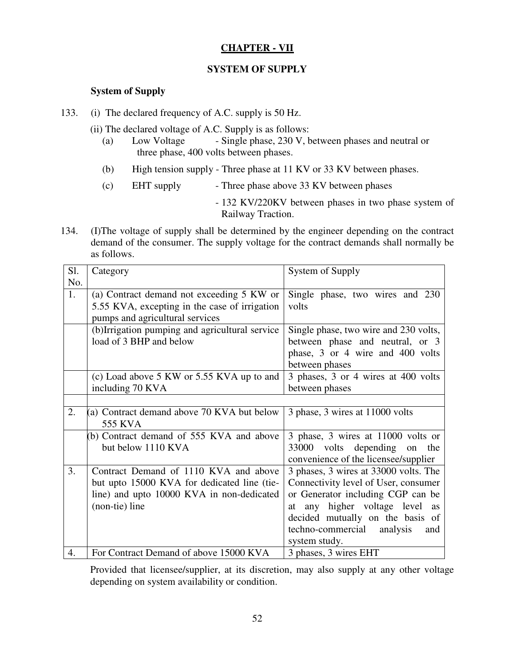# **CHAPTER - VII**

## **SYSTEM OF SUPPLY**

## **System of Supply**

- 133. (i) The declared frequency of A.C. supply is 50 Hz.
	- (ii) The declared voltage of A.C. Supply is as follows:
		- (a) Low Voltage Single phase, 230 V, between phases and neutral or three phase, 400 volts between phases.
		- (b) High tension supply Three phase at 11 KV or 33 KV between phases.
		- (c) EHT supply Three phase above 33 KV between phases
			- 132 KV/220KV between phases in two phase system of Railway Traction.
- 134. (I)The voltage of supply shall be determined by the engineer depending on the contract demand of the consumer. The supply voltage for the contract demands shall normally be as follows.

| Sl. | Category                                       | System of Supply                         |
|-----|------------------------------------------------|------------------------------------------|
| No. |                                                |                                          |
| 1.  | (a) Contract demand not exceeding 5 KW or      | Single phase, two wires and 230          |
|     | 5.55 KVA, excepting in the case of irrigation  | volts                                    |
|     | pumps and agricultural services                |                                          |
|     | (b)Irrigation pumping and agricultural service | Single phase, two wire and 230 volts,    |
|     | load of 3 BHP and below                        | between phase and neutral, or 3          |
|     |                                                | phase, 3 or 4 wire and 400 volts         |
|     |                                                | between phases                           |
|     | (c) Load above 5 KW or 5.55 KVA up to and      | 3 phases, 3 or 4 wires at 400 volts      |
|     | including 70 KVA                               | between phases                           |
|     |                                                |                                          |
| 2.  | (a) Contract demand above 70 KVA but below     | 3 phase, 3 wires at 11000 volts          |
|     | <b>555 KVA</b>                                 |                                          |
|     | (b) Contract demand of 555 KVA and above       | 3 phase, 3 wires at 11000 volts or       |
|     | but below 1110 KVA                             | 33000 volts depending on the             |
|     |                                                | convenience of the licensee/supplier     |
| 3.  | Contract Demand of 1110 KVA and above          | 3 phases, 3 wires at 33000 volts. The    |
|     | but upto 15000 KVA for dedicated line (tie-    | Connectivity level of User, consumer     |
|     | line) and upto 10000 KVA in non-dedicated      | or Generator including CGP can be        |
|     | (non-tie) line                                 | at any higher voltage level<br><b>as</b> |
|     |                                                | decided mutually on the basis of         |
|     |                                                | techno-commercial analysis<br>and        |
|     |                                                | system study.                            |
| 4.  | For Contract Demand of above 15000 KVA         | 3 phases, 3 wires EHT                    |

Provided that licensee/supplier, at its discretion, may also supply at any other voltage depending on system availability or condition.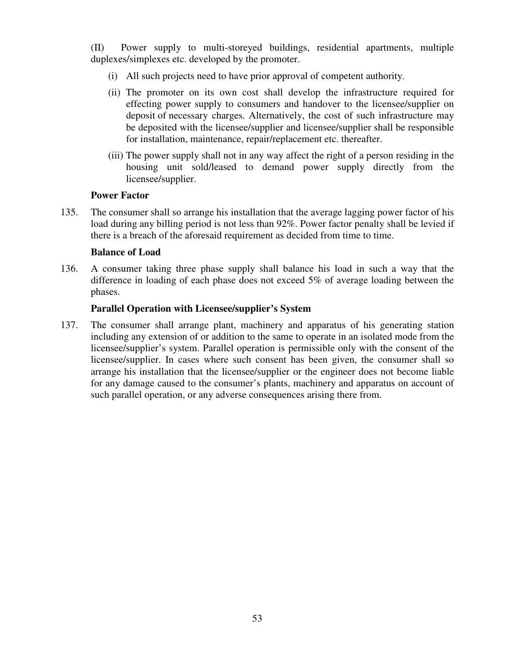(II) Power supply to multi-storeyed buildings, residential apartments, multiple duplexes/simplexes etc. developed by the promoter.

- (i) All such projects need to have prior approval of competent authority.
- (ii) The promoter on its own cost shall develop the infrastructure required for effecting power supply to consumers and handover to the licensee/supplier on deposit of necessary charges. Alternatively, the cost of such infrastructure may be deposited with the licensee/supplier and licensee/supplier shall be responsible for installation, maintenance, repair/replacement etc. thereafter.
- (iii) The power supply shall not in any way affect the right of a person residing in the housing unit sold/leased to demand power supply directly from the licensee/supplier.

#### **Power Factor**

135. The consumer shall so arrange his installation that the average lagging power factor of his load during any billing period is not less than 92%. Power factor penalty shall be levied if there is a breach of the aforesaid requirement as decided from time to time.

#### **Balance of Load**

136. A consumer taking three phase supply shall balance his load in such a way that the difference in loading of each phase does not exceed 5% of average loading between the phases.

## **Parallel Operation with Licensee/supplier's System**

137. The consumer shall arrange plant, machinery and apparatus of his generating station including any extension of or addition to the same to operate in an isolated mode from the licensee/supplier's system. Parallel operation is permissible only with the consent of the licensee/supplier. In cases where such consent has been given, the consumer shall so arrange his installation that the licensee/supplier or the engineer does not become liable for any damage caused to the consumer's plants, machinery and apparatus on account of such parallel operation, or any adverse consequences arising there from.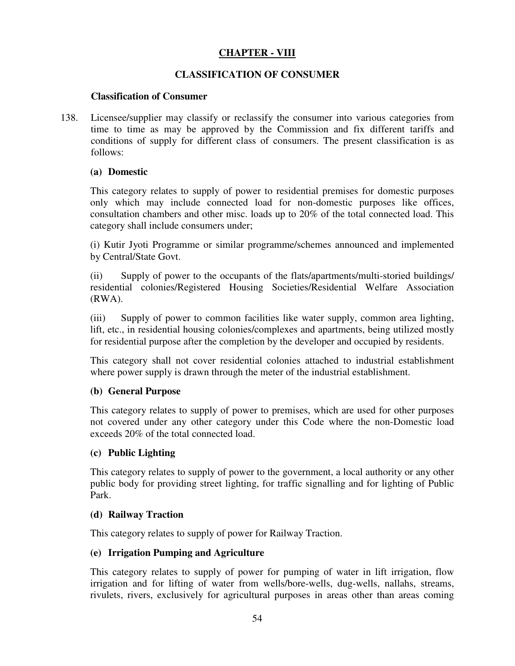# **CHAPTER - VIII**

## **CLASSIFICATION OF CONSUMER**

## **Classification of Consumer**

138. Licensee/supplier may classify or reclassify the consumer into various categories from time to time as may be approved by the Commission and fix different tariffs and conditions of supply for different class of consumers. The present classification is as follows:

## **(a) Domestic**

This category relates to supply of power to residential premises for domestic purposes only which may include connected load for non-domestic purposes like offices, consultation chambers and other misc. loads up to 20% of the total connected load. This category shall include consumers under;

(i) Kutir Jyoti Programme or similar programme/schemes announced and implemented by Central/State Govt.

(ii) Supply of power to the occupants of the flats/apartments/multi-storied buildings/ residential colonies/Registered Housing Societies/Residential Welfare Association (RWA).

(iii) Supply of power to common facilities like water supply, common area lighting, lift, etc., in residential housing colonies/complexes and apartments, being utilized mostly for residential purpose after the completion by the developer and occupied by residents.

This category shall not cover residential colonies attached to industrial establishment where power supply is drawn through the meter of the industrial establishment.

## **(b) General Purpose**

This category relates to supply of power to premises, which are used for other purposes not covered under any other category under this Code where the non-Domestic load exceeds 20% of the total connected load.

#### **(c) Public Lighting**

This category relates to supply of power to the government, a local authority or any other public body for providing street lighting, for traffic signalling and for lighting of Public Park.

#### **(d) Railway Traction**

This category relates to supply of power for Railway Traction.

## **(e) Irrigation Pumping and Agriculture**

This category relates to supply of power for pumping of water in lift irrigation, flow irrigation and for lifting of water from wells/bore-wells, dug-wells, nallahs, streams, rivulets, rivers, exclusively for agricultural purposes in areas other than areas coming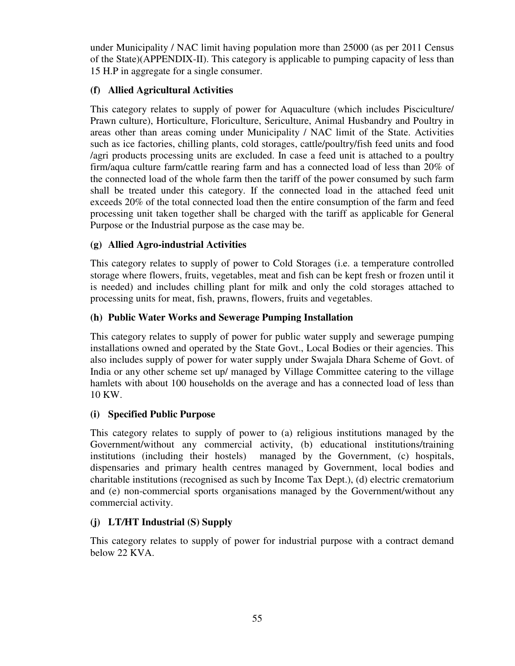under Municipality / NAC limit having population more than 25000 (as per 2011 Census of the State)(APPENDIX-II). This category is applicable to pumping capacity of less than 15 H.P in aggregate for a single consumer.

# **(f) Allied Agricultural Activities**

This category relates to supply of power for Aquaculture (which includes Pisciculture/ Prawn culture), Horticulture, Floriculture, Sericulture, Animal Husbandry and Poultry in areas other than areas coming under Municipality / NAC limit of the State. Activities such as ice factories, chilling plants, cold storages, cattle/poultry/fish feed units and food /agri products processing units are excluded. In case a feed unit is attached to a poultry firm/aqua culture farm/cattle rearing farm and has a connected load of less than 20% of the connected load of the whole farm then the tariff of the power consumed by such farm shall be treated under this category. If the connected load in the attached feed unit exceeds 20% of the total connected load then the entire consumption of the farm and feed processing unit taken together shall be charged with the tariff as applicable for General Purpose or the Industrial purpose as the case may be.

# **(g) Allied Agro-industrial Activities**

This category relates to supply of power to Cold Storages (i.e. a temperature controlled storage where flowers, fruits, vegetables, meat and fish can be kept fresh or frozen until it is needed) and includes chilling plant for milk and only the cold storages attached to processing units for meat, fish, prawns, flowers, fruits and vegetables.

# **(h) Public Water Works and Sewerage Pumping Installation**

This category relates to supply of power for public water supply and sewerage pumping installations owned and operated by the State Govt., Local Bodies or their agencies. This also includes supply of power for water supply under Swajala Dhara Scheme of Govt. of India or any other scheme set up/ managed by Village Committee catering to the village hamlets with about 100 households on the average and has a connected load of less than 10 KW.

# **(i) Specified Public Purpose**

This category relates to supply of power to (a) religious institutions managed by the Government/without any commercial activity, (b) educational institutions/training institutions (including their hostels) managed by the Government, (c) hospitals, dispensaries and primary health centres managed by Government, local bodies and charitable institutions (recognised as such by Income Tax Dept.), (d) electric crematorium and (e) non-commercial sports organisations managed by the Government/without any commercial activity.

# **(j) LT***/***HT Industrial (S) Supply**

This category relates to supply of power for industrial purpose with a contract demand below 22 KVA.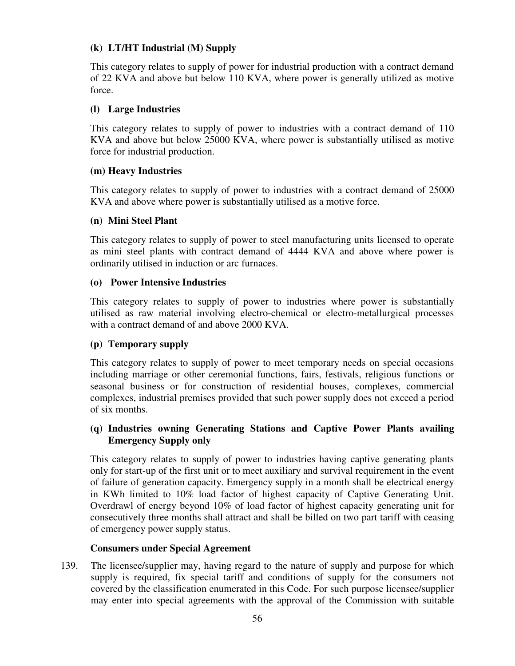## **(k) LT/HT Industrial (M) Supply**

This category relates to supply of power for industrial production with a contract demand of 22 KVA and above but below 110 KVA, where power is generally utilized as motive force.

## **(l) Large Industries**

This category relates to supply of power to industries with a contract demand of 110 KVA and above but below 25000 KVA, where power is substantially utilised as motive force for industrial production.

## **(m) Heavy Industries**

This category relates to supply of power to industries with a contract demand of 25000 KVA and above where power is substantially utilised as a motive force.

## **(n) Mini Steel Plant**

This category relates to supply of power to steel manufacturing units licensed to operate as mini steel plants with contract demand of 4444 KVA and above where power is ordinarily utilised in induction or arc furnaces.

#### **(o) Power Intensive Industries**

This category relates to supply of power to industries where power is substantially utilised as raw material involving electro-chemical or electro-metallurgical processes with a contract demand of and above 2000 KVA.

## **(p) Temporary supply**

This category relates to supply of power to meet temporary needs on special occasions including marriage or other ceremonial functions, fairs, festivals, religious functions or seasonal business or for construction of residential houses, complexes, commercial complexes, industrial premises provided that such power supply does not exceed a period of six months.

## **(q) Industries owning Generating Stations and Captive Power Plants availing Emergency Supply only**

This category relates to supply of power to industries having captive generating plants only for start-up of the first unit or to meet auxiliary and survival requirement in the event of failure of generation capacity. Emergency supply in a month shall be electrical energy in KWh limited to 10% load factor of highest capacity of Captive Generating Unit. Overdrawl of energy beyond 10% of load factor of highest capacity generating unit for consecutively three months shall attract and shall be billed on two part tariff with ceasing of emergency power supply status.

## **Consumers under Special Agreement**

139. The licensee/supplier may, having regard to the nature of supply and purpose for which supply is required, fix special tariff and conditions of supply for the consumers not covered by the classification enumerated in this Code. For such purpose licensee/supplier may enter into special agreements with the approval of the Commission with suitable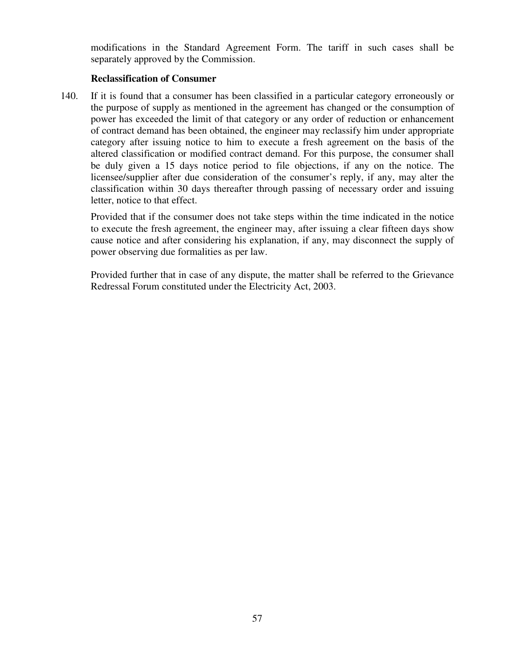modifications in the Standard Agreement Form. The tariff in such cases shall be separately approved by the Commission.

## **Reclassification of Consumer**

140. If it is found that a consumer has been classified in a particular category erroneously or the purpose of supply as mentioned in the agreement has changed or the consumption of power has exceeded the limit of that category or any order of reduction or enhancement of contract demand has been obtained, the engineer may reclassify him under appropriate category after issuing notice to him to execute a fresh agreement on the basis of the altered classification or modified contract demand. For this purpose, the consumer shall be duly given a 15 days notice period to file objections, if any on the notice. The licensee/supplier after due consideration of the consumer's reply, if any, may alter the classification within 30 days thereafter through passing of necessary order and issuing letter, notice to that effect.

Provided that if the consumer does not take steps within the time indicated in the notice to execute the fresh agreement, the engineer may, after issuing a clear fifteen days show cause notice and after considering his explanation, if any, may disconnect the supply of power observing due formalities as per law.

Provided further that in case of any dispute, the matter shall be referred to the Grievance Redressal Forum constituted under the Electricity Act, 2003.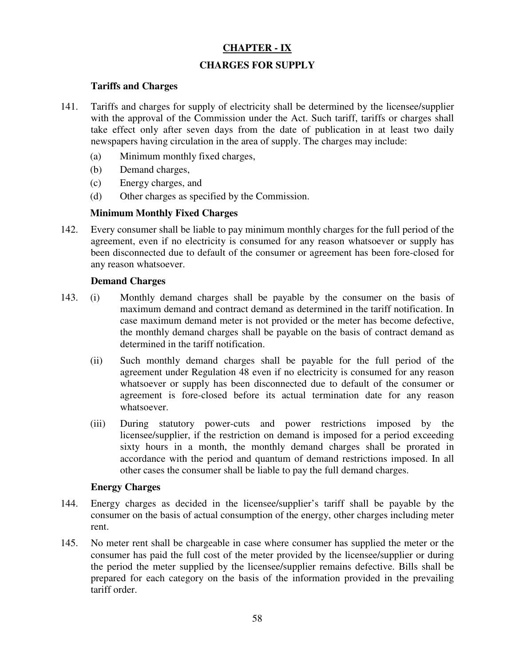# **CHAPTER - IX**

# **CHARGES FOR SUPPLY**

## **Tariffs and Charges**

- 141. Tariffs and charges for supply of electricity shall be determined by the licensee/supplier with the approval of the Commission under the Act. Such tariff, tariffs or charges shall take effect only after seven days from the date of publication in at least two daily newspapers having circulation in the area of supply. The charges may include:
	- (a) Minimum monthly fixed charges,
	- (b) Demand charges,
	- (c) Energy charges, and
	- (d) Other charges as specified by the Commission.

## **Minimum Monthly Fixed Charges**

142. Every consumer shall be liable to pay minimum monthly charges for the full period of the agreement, even if no electricity is consumed for any reason whatsoever or supply has been disconnected due to default of the consumer or agreement has been fore-closed for any reason whatsoever.

## **Demand Charges**

- 143. (i) Monthly demand charges shall be payable by the consumer on the basis of maximum demand and contract demand as determined in the tariff notification. In case maximum demand meter is not provided or the meter has become defective, the monthly demand charges shall be payable on the basis of contract demand as determined in the tariff notification.
	- (ii) Such monthly demand charges shall be payable for the full period of the agreement under Regulation 48 even if no electricity is consumed for any reason whatsoever or supply has been disconnected due to default of the consumer or agreement is fore-closed before its actual termination date for any reason whatsoever.
	- (iii) During statutory power-cuts and power restrictions imposed by the licensee/supplier, if the restriction on demand is imposed for a period exceeding sixty hours in a month, the monthly demand charges shall be prorated in accordance with the period and quantum of demand restrictions imposed. In all other cases the consumer shall be liable to pay the full demand charges.

## **Energy Charges**

- 144. Energy charges as decided in the licensee/supplier's tariff shall be payable by the consumer on the basis of actual consumption of the energy, other charges including meter rent.
- 145. No meter rent shall be chargeable in case where consumer has supplied the meter or the consumer has paid the full cost of the meter provided by the licensee/supplier or during the period the meter supplied by the licensee/supplier remains defective. Bills shall be prepared for each category on the basis of the information provided in the prevailing tariff order.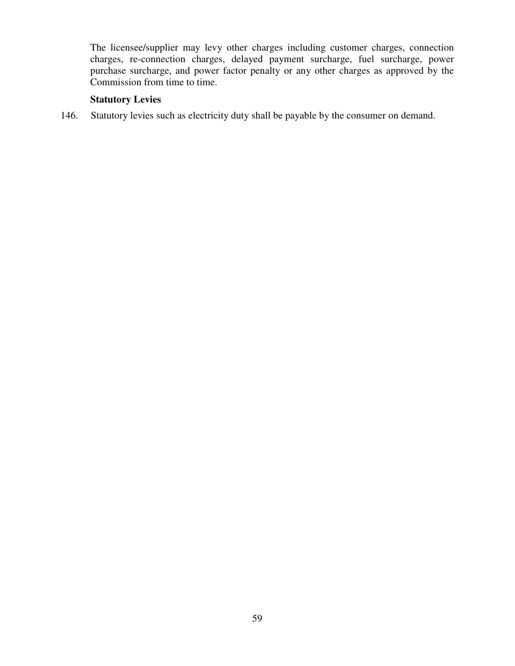The licensee/supplier may levy other charges including customer charges, connection charges, re-connection charges, delayed payment surcharge, fuel surcharge, power purchase surcharge, and power factor penalty or any other charges as approved by the Commission from time to time.

# **Statutory Levies**

146. Statutory levies such as electricity duty shall be payable by the consumer on demand.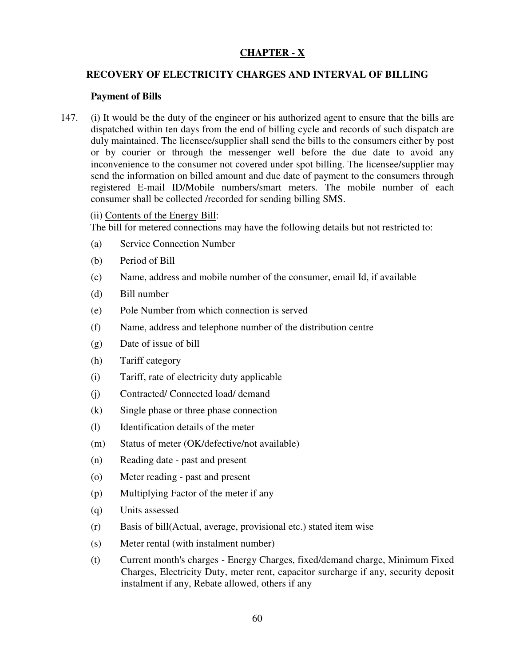# **CHAPTER - X**

## **RECOVERY OF ELECTRICITY CHARGES AND INTERVAL OF BILLING**

#### **Payment of Bills**

147. (i) It would be the duty of the engineer or his authorized agent to ensure that the bills are dispatched within ten days from the end of billing cycle and records of such dispatch are duly maintained. The licensee/supplier shall send the bills to the consumers either by post or by courier or through the messenger well before the due date to avoid any inconvenience to the consumer not covered under spot billing. The licensee/supplier may send the information on billed amount and due date of payment to the consumers through registered E-mail ID/Mobile numbers/smart meters. The mobile number of each consumer shall be collected /recorded for sending billing SMS.

#### (ii) Contents of the Energy Bill:

The bill for metered connections may have the following details but not restricted to:

- (a) Service Connection Number
- (b) Period of Bill
- (c) Name, address and mobile number of the consumer, email Id, if available
- (d) Bill number
- (e) Pole Number from which connection is served
- (f) Name, address and telephone number of the distribution centre
- (g) Date of issue of bill
- (h) Tariff category
- (i) Tariff, rate of electricity duty applicable
- (j) Contracted/ Connected load/ demand
- (k) Single phase or three phase connection
- (l) Identification details of the meter
- (m) Status of meter (OK/defective/not available)
- (n) Reading date past and present
- (o) Meter reading past and present
- (p) Multiplying Factor of the meter if any
- (q) Units assessed
- (r) Basis of bill(Actual, average, provisional etc.) stated item wise
- (s) Meter rental (with instalment number)
- (t) Current month's charges Energy Charges, fixed/demand charge, Minimum Fixed Charges, Electricity Duty, meter rent, capacitor surcharge if any, security deposit instalment if any, Rebate allowed, others if any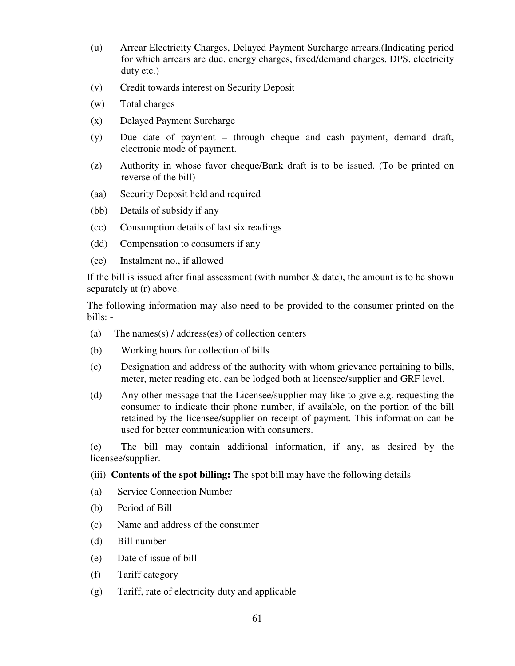- (u) Arrear Electricity Charges, Delayed Payment Surcharge arrears.(Indicating period for which arrears are due, energy charges, fixed/demand charges, DPS, electricity duty etc.)
- (v) Credit towards interest on Security Deposit
- (w) Total charges
- (x) Delayed Payment Surcharge
- (y) Due date of payment through cheque and cash payment, demand draft, electronic mode of payment.
- (z) Authority in whose favor cheque/Bank draft is to be issued. (To be printed on reverse of the bill)
- (aa) Security Deposit held and required
- (bb) Details of subsidy if any
- (cc) Consumption details of last six readings
- (dd) Compensation to consumers if any
- (ee) Instalment no., if allowed

If the bill is issued after final assessment (with number  $\&$  date), the amount is to be shown separately at (r) above.

The following information may also need to be provided to the consumer printed on the bills: -

- (a) The names(s) / address(es) of collection centers
- (b) Working hours for collection of bills
- (c) Designation and address of the authority with whom grievance pertaining to bills, meter, meter reading etc. can be lodged both at licensee/supplier and GRF level.
- (d) Any other message that the Licensee/supplier may like to give e.g. requesting the consumer to indicate their phone number, if available, on the portion of the bill retained by the licensee/supplier on receipt of payment. This information can be used for better communication with consumers.

(e) The bill may contain additional information, if any, as desired by the licensee/supplier.

- (iii) **Contents of the spot billing:** The spot bill may have the following details
- (a) Service Connection Number
- (b) Period of Bill
- (c) Name and address of the consumer
- (d) Bill number
- (e) Date of issue of bill
- (f) Tariff category
- (g) Tariff, rate of electricity duty and applicable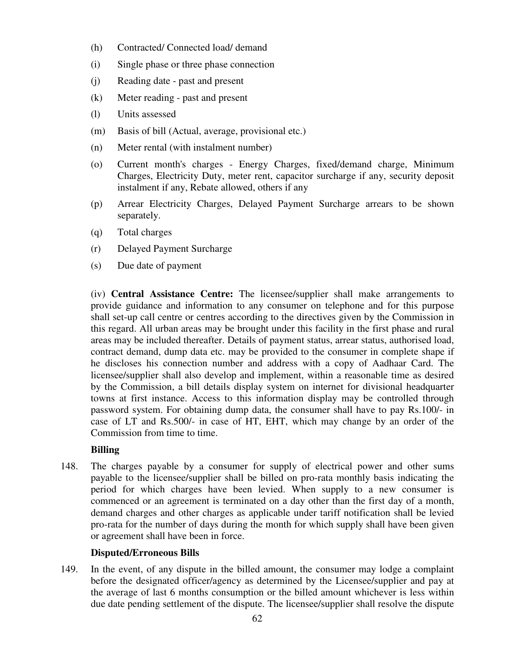- (h) Contracted/ Connected load/ demand
- (i) Single phase or three phase connection
- (j) Reading date past and present
- (k) Meter reading past and present
- (l) Units assessed
- (m) Basis of bill (Actual, average, provisional etc.)
- (n) Meter rental (with instalment number)
- (o) Current month's charges Energy Charges, fixed/demand charge, Minimum Charges, Electricity Duty, meter rent, capacitor surcharge if any, security deposit instalment if any, Rebate allowed, others if any
- (p) Arrear Electricity Charges, Delayed Payment Surcharge arrears to be shown separately.
- (q) Total charges
- (r) Delayed Payment Surcharge
- (s) Due date of payment

(iv) **Central Assistance Centre:** The licensee/supplier shall make arrangements to provide guidance and information to any consumer on telephone and for this purpose shall set-up call centre or centres according to the directives given by the Commission in this regard. All urban areas may be brought under this facility in the first phase and rural areas may be included thereafter. Details of payment status, arrear status, authorised load, contract demand, dump data etc. may be provided to the consumer in complete shape if he discloses his connection number and address with a copy of Aadhaar Card. The licensee/supplier shall also develop and implement, within a reasonable time as desired by the Commission, a bill details display system on internet for divisional headquarter towns at first instance. Access to this information display may be controlled through password system. For obtaining dump data, the consumer shall have to pay Rs.100/- in case of LT and Rs.500/- in case of HT, EHT, which may change by an order of the Commission from time to time.

#### **Billing**

148. The charges payable by a consumer for supply of electrical power and other sums payable to the licensee/supplier shall be billed on pro-rata monthly basis indicating the period for which charges have been levied. When supply to a new consumer is commenced or an agreement is terminated on a day other than the first day of a month, demand charges and other charges as applicable under tariff notification shall be levied pro-rata for the number of days during the month for which supply shall have been given or agreement shall have been in force.

#### **Disputed/Erroneous Bills**

149. In the event, of any dispute in the billed amount, the consumer may lodge a complaint before the designated officer/agency as determined by the Licensee/supplier and pay at the average of last 6 months consumption or the billed amount whichever is less within due date pending settlement of the dispute. The licensee/supplier shall resolve the dispute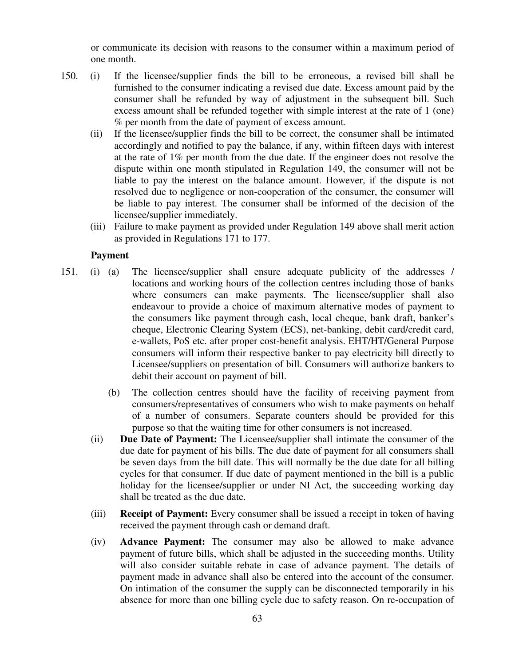or communicate its decision with reasons to the consumer within a maximum period of one month.

- 150. (i) If the licensee/supplier finds the bill to be erroneous, a revised bill shall be furnished to the consumer indicating a revised due date. Excess amount paid by the consumer shall be refunded by way of adjustment in the subsequent bill. Such excess amount shall be refunded together with simple interest at the rate of 1 (one) % per month from the date of payment of excess amount.
	- (ii) If the licensee/supplier finds the bill to be correct, the consumer shall be intimated accordingly and notified to pay the balance, if any, within fifteen days with interest at the rate of 1% per month from the due date. If the engineer does not resolve the dispute within one month stipulated in Regulation 149, the consumer will not be liable to pay the interest on the balance amount. However, if the dispute is not resolved due to negligence or non-cooperation of the consumer, the consumer will be liable to pay interest. The consumer shall be informed of the decision of the licensee/supplier immediately.
	- (iii) Failure to make payment as provided under Regulation 149 above shall merit action as provided in Regulations 171 to 177.

#### **Payment**

- 151. (i) (a) The licensee/supplier shall ensure adequate publicity of the addresses / locations and working hours of the collection centres including those of banks where consumers can make payments. The licensee/supplier shall also endeavour to provide a choice of maximum alternative modes of payment to the consumers like payment through cash, local cheque, bank draft, banker's cheque, Electronic Clearing System (ECS), net-banking, debit card/credit card, e-wallets, PoS etc. after proper cost-benefit analysis. EHT/HT/General Purpose consumers will inform their respective banker to pay electricity bill directly to Licensee/suppliers on presentation of bill. Consumers will authorize bankers to debit their account on payment of bill.
	- (b) The collection centres should have the facility of receiving payment from consumers/representatives of consumers who wish to make payments on behalf of a number of consumers. Separate counters should be provided for this purpose so that the waiting time for other consumers is not increased.
	- (ii) **Due Date of Payment:** The Licensee/supplier shall intimate the consumer of the due date for payment of his bills. The due date of payment for all consumers shall be seven days from the bill date. This will normally be the due date for all billing cycles for that consumer. If due date of payment mentioned in the bill is a public holiday for the licensee/supplier or under NI Act, the succeeding working day shall be treated as the due date.
	- (iii) **Receipt of Payment:** Every consumer shall be issued a receipt in token of having received the payment through cash or demand draft.
	- (iv) **Advance Payment:** The consumer may also be allowed to make advance payment of future bills, which shall be adjusted in the succeeding months. Utility will also consider suitable rebate in case of advance payment. The details of payment made in advance shall also be entered into the account of the consumer. On intimation of the consumer the supply can be disconnected temporarily in his absence for more than one billing cycle due to safety reason. On re-occupation of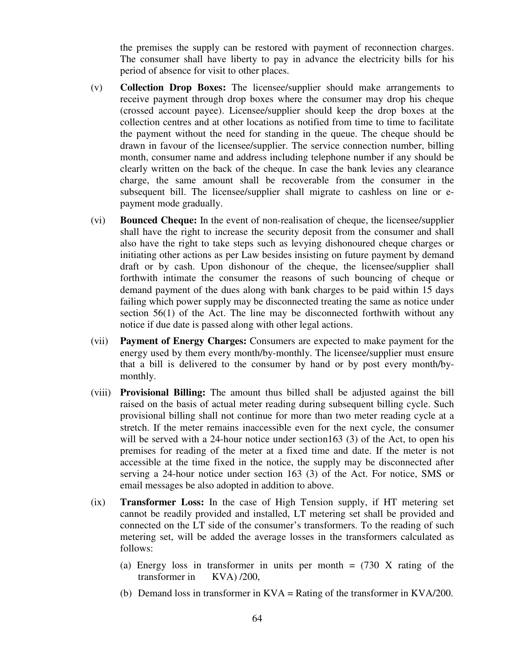the premises the supply can be restored with payment of reconnection charges. The consumer shall have liberty to pay in advance the electricity bills for his period of absence for visit to other places.

- (v) **Collection Drop Boxes:** The licensee/supplier should make arrangements to receive payment through drop boxes where the consumer may drop his cheque (crossed account payee). Licensee/supplier should keep the drop boxes at the collection centres and at other locations as notified from time to time to facilitate the payment without the need for standing in the queue. The cheque should be drawn in favour of the licensee/supplier. The service connection number, billing month, consumer name and address including telephone number if any should be clearly written on the back of the cheque. In case the bank levies any clearance charge, the same amount shall be recoverable from the consumer in the subsequent bill. The licensee/supplier shall migrate to cashless on line or epayment mode gradually.
- (vi) **Bounced Cheque:** In the event of non-realisation of cheque, the licensee/supplier shall have the right to increase the security deposit from the consumer and shall also have the right to take steps such as levying dishonoured cheque charges or initiating other actions as per Law besides insisting on future payment by demand draft or by cash. Upon dishonour of the cheque, the licensee/supplier shall forthwith intimate the consumer the reasons of such bouncing of cheque or demand payment of the dues along with bank charges to be paid within 15 days failing which power supply may be disconnected treating the same as notice under section  $56(1)$  of the Act. The line may be disconnected forthwith without any notice if due date is passed along with other legal actions.
- (vii) **Payment of Energy Charges:** Consumers are expected to make payment for the energy used by them every month/by-monthly. The licensee/supplier must ensure that a bill is delivered to the consumer by hand or by post every month/bymonthly.
- (viii) **Provisional Billing:** The amount thus billed shall be adjusted against the bill raised on the basis of actual meter reading during subsequent billing cycle. Such provisional billing shall not continue for more than two meter reading cycle at a stretch. If the meter remains inaccessible even for the next cycle, the consumer will be served with a 24-hour notice under section163 (3) of the Act, to open his premises for reading of the meter at a fixed time and date. If the meter is not accessible at the time fixed in the notice, the supply may be disconnected after serving a 24-hour notice under section 163 (3) of the Act. For notice, SMS or email messages be also adopted in addition to above.
- (ix) **Transformer Loss:** In the case of High Tension supply, if HT metering set cannot be readily provided and installed, LT metering set shall be provided and connected on the LT side of the consumer's transformers. To the reading of such metering set, will be added the average losses in the transformers calculated as follows:
	- (a) Energy loss in transformer in units per month  $= (730 \text{ X} \text{ rating of the})$ transformer in KVA) /200,
	- (b) Demand loss in transformer in KVA = Rating of the transformer in KVA/200.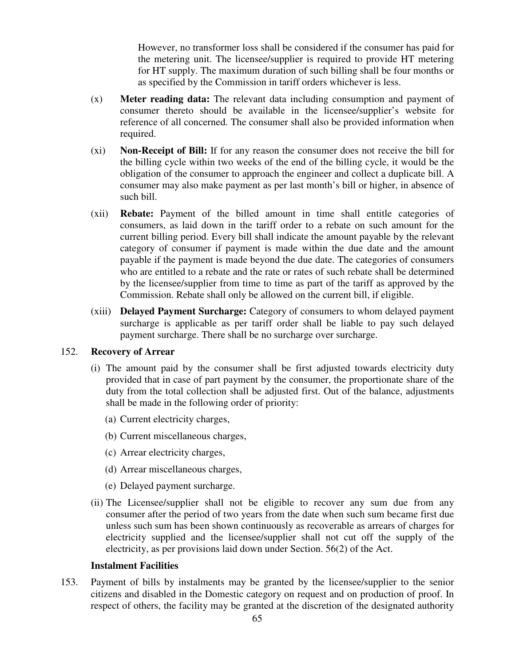However, no transformer loss shall be considered if the consumer has paid for the metering unit. The licensee/supplier is required to provide HT metering for HT supply. The maximum duration of such billing shall be four months or as specified by the Commission in tariff orders whichever is less.

- (x) **Meter reading data:** The relevant data including consumption and payment of consumer thereto should be available in the licensee/supplier's website for reference of all concerned. The consumer shall also be provided information when required.
- (xi) **Non-Receipt of Bill:** If for any reason the consumer does not receive the bill for the billing cycle within two weeks of the end of the billing cycle, it would be the obligation of the consumer to approach the engineer and collect a duplicate bill. A consumer may also make payment as per last month's bill or higher, in absence of such bill.
- (xii) **Rebate:** Payment of the billed amount in time shall entitle categories of consumers, as laid down in the tariff order to a rebate on such amount for the current billing period. Every bill shall indicate the amount payable by the relevant category of consumer if payment is made within the due date and the amount payable if the payment is made beyond the due date. The categories of consumers who are entitled to a rebate and the rate or rates of such rebate shall be determined by the licensee/supplier from time to time as part of the tariff as approved by the Commission. Rebate shall only be allowed on the current bill, if eligible.
- (xiii) **Delayed Payment Surcharge:** Category of consumers to whom delayed payment surcharge is applicable as per tariff order shall be liable to pay such delayed payment surcharge. There shall be no surcharge over surcharge.

#### 152. **Recovery of Arrear**

- (i) The amount paid by the consumer shall be first adjusted towards electricity duty provided that in case of part payment by the consumer, the proportionate share of the duty from the total collection shall be adjusted first. Out of the balance, adjustments shall be made in the following order of priority:
	- (a) Current electricity charges,
	- (b) Current miscellaneous charges,
	- (c) Arrear electricity charges,
	- (d) Arrear miscellaneous charges,
	- (e) Delayed payment surcharge.
- (ii) The Licensee/supplier shall not be eligible to recover any sum due from any consumer after the period of two years from the date when such sum became first due unless such sum has been shown continuously as recoverable as arrears of charges for electricity supplied and the licensee/supplier shall not cut off the supply of the electricity, as per provisions laid down under Section. 56(2) of the Act.

#### **Instalment Facilities**

153. Payment of bills by instalments may be granted by the licensee/supplier to the senior citizens and disabled in the Domestic category on request and on production of proof. In respect of others, the facility may be granted at the discretion of the designated authority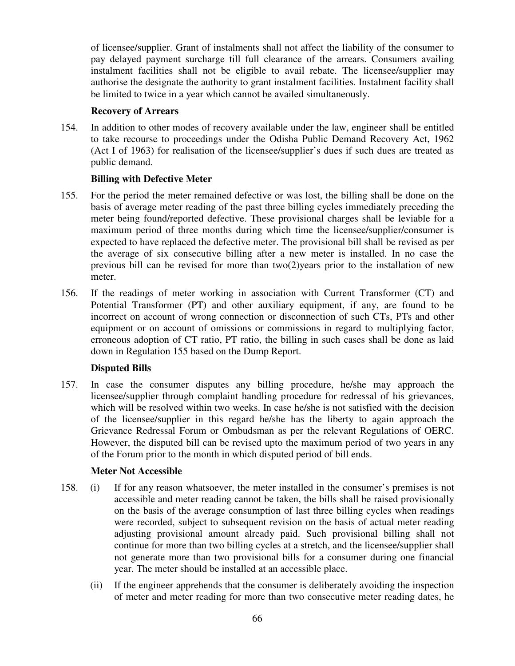of licensee/supplier. Grant of instalments shall not affect the liability of the consumer to pay delayed payment surcharge till full clearance of the arrears. Consumers availing instalment facilities shall not be eligible to avail rebate. The licensee/supplier may authorise the designate the authority to grant instalment facilities. Instalment facility shall be limited to twice in a year which cannot be availed simultaneously.

#### **Recovery of Arrears**

154. In addition to other modes of recovery available under the law, engineer shall be entitled to take recourse to proceedings under the Odisha Public Demand Recovery Act, 1962 (Act I of 1963) for realisation of the licensee/supplier's dues if such dues are treated as public demand.

## **Billing with Defective Meter**

- 155. For the period the meter remained defective or was lost, the billing shall be done on the basis of average meter reading of the past three billing cycles immediately preceding the meter being found/reported defective. These provisional charges shall be leviable for a maximum period of three months during which time the licensee/supplier/consumer is expected to have replaced the defective meter. The provisional bill shall be revised as per the average of six consecutive billing after a new meter is installed. In no case the previous bill can be revised for more than two(2)years prior to the installation of new meter.
- 156. If the readings of meter working in association with Current Transformer (CT) and Potential Transformer (PT) and other auxiliary equipment, if any, are found to be incorrect on account of wrong connection or disconnection of such CTs, PTs and other equipment or on account of omissions or commissions in regard to multiplying factor, erroneous adoption of CT ratio, PT ratio, the billing in such cases shall be done as laid down in Regulation 155 based on the Dump Report.

## **Disputed Bills**

157. In case the consumer disputes any billing procedure, he/she may approach the licensee/supplier through complaint handling procedure for redressal of his grievances, which will be resolved within two weeks. In case he/she is not satisfied with the decision of the licensee/supplier in this regard he/she has the liberty to again approach the Grievance Redressal Forum or Ombudsman as per the relevant Regulations of OERC. However, the disputed bill can be revised upto the maximum period of two years in any of the Forum prior to the month in which disputed period of bill ends.

## **Meter Not Accessible**

- 158. (i) If for any reason whatsoever, the meter installed in the consumer's premises is not accessible and meter reading cannot be taken, the bills shall be raised provisionally on the basis of the average consumption of last three billing cycles when readings were recorded, subject to subsequent revision on the basis of actual meter reading adjusting provisional amount already paid. Such provisional billing shall not continue for more than two billing cycles at a stretch, and the licensee/supplier shall not generate more than two provisional bills for a consumer during one financial year. The meter should be installed at an accessible place.
	- (ii) If the engineer apprehends that the consumer is deliberately avoiding the inspection of meter and meter reading for more than two consecutive meter reading dates, he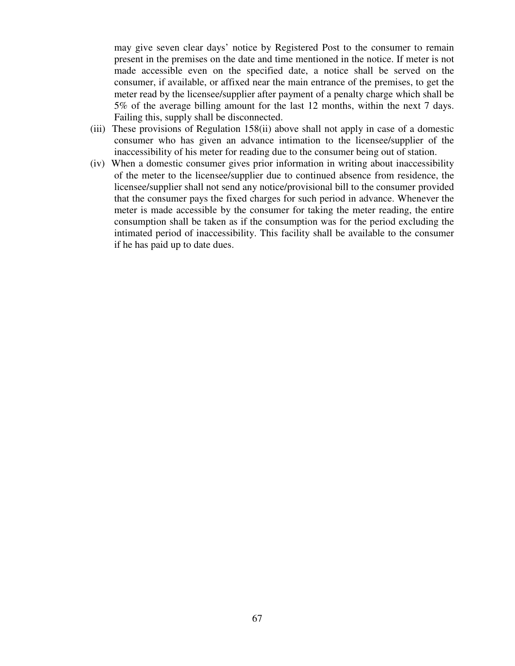may give seven clear days' notice by Registered Post to the consumer to remain present in the premises on the date and time mentioned in the notice. If meter is not made accessible even on the specified date, a notice shall be served on the consumer, if available, or affixed near the main entrance of the premises, to get the meter read by the licensee/supplier after payment of a penalty charge which shall be 5% of the average billing amount for the last 12 months, within the next 7 days. Failing this, supply shall be disconnected.

- (iii) These provisions of Regulation 158(ii) above shall not apply in case of a domestic consumer who has given an advance intimation to the licensee/supplier of the inaccessibility of his meter for reading due to the consumer being out of station.
- (iv) When a domestic consumer gives prior information in writing about inaccessibility of the meter to the licensee/supplier due to continued absence from residence, the licensee/supplier shall not send any notice/provisional bill to the consumer provided that the consumer pays the fixed charges for such period in advance. Whenever the meter is made accessible by the consumer for taking the meter reading, the entire consumption shall be taken as if the consumption was for the period excluding the intimated period of inaccessibility. This facility shall be available to the consumer if he has paid up to date dues.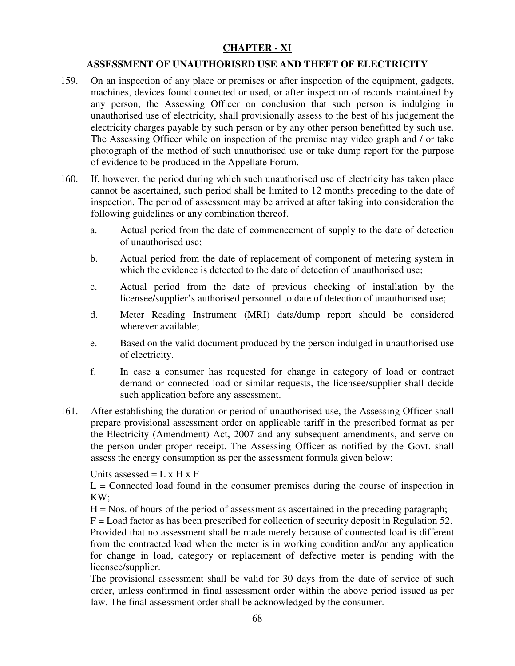# **CHAPTER - XI**

## **ASSESSMENT OF UNAUTHORISED USE AND THEFT OF ELECTRICITY**

- 159. On an inspection of any place or premises or after inspection of the equipment, gadgets, machines, devices found connected or used, or after inspection of records maintained by any person, the Assessing Officer on conclusion that such person is indulging in unauthorised use of electricity, shall provisionally assess to the best of his judgement the electricity charges payable by such person or by any other person benefitted by such use. The Assessing Officer while on inspection of the premise may video graph and / or take photograph of the method of such unauthorised use or take dump report for the purpose of evidence to be produced in the Appellate Forum.
- 160. If, however, the period during which such unauthorised use of electricity has taken place cannot be ascertained, such period shall be limited to 12 months preceding to the date of inspection. The period of assessment may be arrived at after taking into consideration the following guidelines or any combination thereof.
	- a. Actual period from the date of commencement of supply to the date of detection of unauthorised use;
	- b. Actual period from the date of replacement of component of metering system in which the evidence is detected to the date of detection of unauthorised use:
	- c. Actual period from the date of previous checking of installation by the licensee/supplier's authorised personnel to date of detection of unauthorised use;
	- d. Meter Reading Instrument (MRI) data/dump report should be considered wherever available;
	- e. Based on the valid document produced by the person indulged in unauthorised use of electricity.
	- f. In case a consumer has requested for change in category of load or contract demand or connected load or similar requests, the licensee/supplier shall decide such application before any assessment.
- 161. After establishing the duration or period of unauthorised use, the Assessing Officer shall prepare provisional assessment order on applicable tariff in the prescribed format as per the Electricity (Amendment) Act, 2007 and any subsequent amendments, and serve on the person under proper receipt. The Assessing Officer as notified by the Govt. shall assess the energy consumption as per the assessment formula given below:

Units assessed  $= L \times H \times F$ 

 $L =$  Connected load found in the consumer premises during the course of inspection in KW;

 $H = Nos.$  of hours of the period of assessment as ascertained in the preceding paragraph;

 $F =$  Load factor as has been prescribed for collection of security deposit in Regulation 52. Provided that no assessment shall be made merely because of connected load is different from the contracted load when the meter is in working condition and/or any application for change in load, category or replacement of defective meter is pending with the licensee/supplier.

The provisional assessment shall be valid for 30 days from the date of service of such order, unless confirmed in final assessment order within the above period issued as per law. The final assessment order shall be acknowledged by the consumer.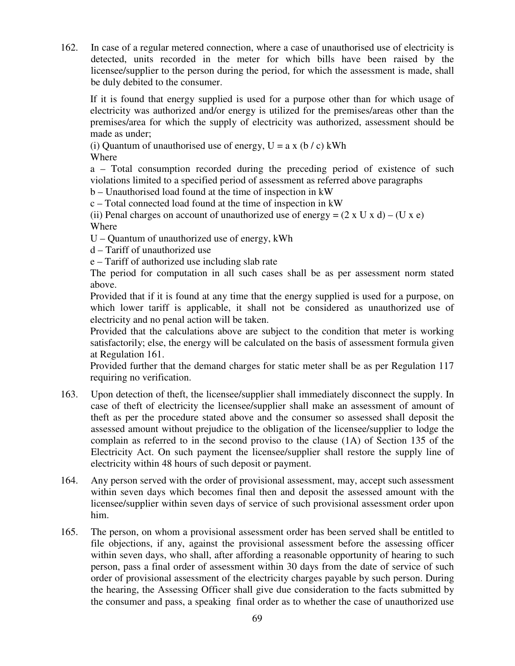162. In case of a regular metered connection, where a case of unauthorised use of electricity is detected, units recorded in the meter for which bills have been raised by the licensee/supplier to the person during the period, for which the assessment is made, shall be duly debited to the consumer.

If it is found that energy supplied is used for a purpose other than for which usage of electricity was authorized and/or energy is utilized for the premises/areas other than the premises/area for which the supply of electricity was authorized, assessment should be made as under;

(i) Quantum of unauthorised use of energy,  $U = a x (b / c)$  kWh

Where

a – Total consumption recorded during the preceding period of existence of such violations limited to a specified period of assessment as referred above paragraphs

b – Unauthorised load found at the time of inspection in kW

c – Total connected load found at the time of inspection in kW

(ii) Penal charges on account of unauthorized use of energy =  $(2 \times U \times d) - (U \times e)$ Where

- U Quantum of unauthorized use of energy, kWh
- d Tariff of unauthorized use

e – Tariff of authorized use including slab rate

The period for computation in all such cases shall be as per assessment norm stated above.

Provided that if it is found at any time that the energy supplied is used for a purpose, on which lower tariff is applicable, it shall not be considered as unauthorized use of electricity and no penal action will be taken.

Provided that the calculations above are subject to the condition that meter is working satisfactorily; else, the energy will be calculated on the basis of assessment formula given at Regulation 161.

Provided further that the demand charges for static meter shall be as per Regulation 117 requiring no verification.

- 163. Upon detection of theft, the licensee/supplier shall immediately disconnect the supply. In case of theft of electricity the licensee/supplier shall make an assessment of amount of theft as per the procedure stated above and the consumer so assessed shall deposit the assessed amount without prejudice to the obligation of the licensee/supplier to lodge the complain as referred to in the second proviso to the clause (1A) of Section 135 of the Electricity Act. On such payment the licensee/supplier shall restore the supply line of electricity within 48 hours of such deposit or payment.
- 164. Any person served with the order of provisional assessment, may, accept such assessment within seven days which becomes final then and deposit the assessed amount with the licensee/supplier within seven days of service of such provisional assessment order upon him.
- 165. The person, on whom a provisional assessment order has been served shall be entitled to file objections, if any, against the provisional assessment before the assessing officer within seven days, who shall, after affording a reasonable opportunity of hearing to such person, pass a final order of assessment within 30 days from the date of service of such order of provisional assessment of the electricity charges payable by such person. During the hearing, the Assessing Officer shall give due consideration to the facts submitted by the consumer and pass, a speaking final order as to whether the case of unauthorized use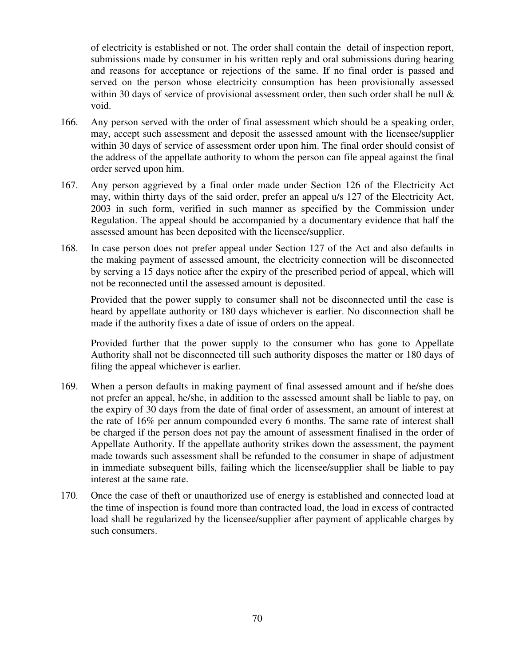of electricity is established or not. The order shall contain the detail of inspection report, submissions made by consumer in his written reply and oral submissions during hearing and reasons for acceptance or rejections of the same. If no final order is passed and served on the person whose electricity consumption has been provisionally assessed within 30 days of service of provisional assessment order, then such order shall be null  $\&$ void.

- 166. Any person served with the order of final assessment which should be a speaking order, may, accept such assessment and deposit the assessed amount with the licensee/supplier within 30 days of service of assessment order upon him. The final order should consist of the address of the appellate authority to whom the person can file appeal against the final order served upon him.
- 167. Any person aggrieved by a final order made under Section 126 of the Electricity Act may, within thirty days of the said order, prefer an appeal u/s 127 of the Electricity Act, 2003 in such form, verified in such manner as specified by the Commission under Regulation. The appeal should be accompanied by a documentary evidence that half the assessed amount has been deposited with the licensee/supplier.
- 168. In case person does not prefer appeal under Section 127 of the Act and also defaults in the making payment of assessed amount, the electricity connection will be disconnected by serving a 15 days notice after the expiry of the prescribed period of appeal, which will not be reconnected until the assessed amount is deposited.

 Provided that the power supply to consumer shall not be disconnected until the case is heard by appellate authority or 180 days whichever is earlier. No disconnection shall be made if the authority fixes a date of issue of orders on the appeal.

Provided further that the power supply to the consumer who has gone to Appellate Authority shall not be disconnected till such authority disposes the matter or 180 days of filing the appeal whichever is earlier.

- 169. When a person defaults in making payment of final assessed amount and if he/she does not prefer an appeal, he/she, in addition to the assessed amount shall be liable to pay, on the expiry of 30 days from the date of final order of assessment, an amount of interest at the rate of 16% per annum compounded every 6 months. The same rate of interest shall be charged if the person does not pay the amount of assessment finalised in the order of Appellate Authority. If the appellate authority strikes down the assessment, the payment made towards such assessment shall be refunded to the consumer in shape of adjustment in immediate subsequent bills, failing which the licensee/supplier shall be liable to pay interest at the same rate.
- 170. Once the case of theft or unauthorized use of energy is established and connected load at the time of inspection is found more than contracted load, the load in excess of contracted load shall be regularized by the licensee/supplier after payment of applicable charges by such consumers.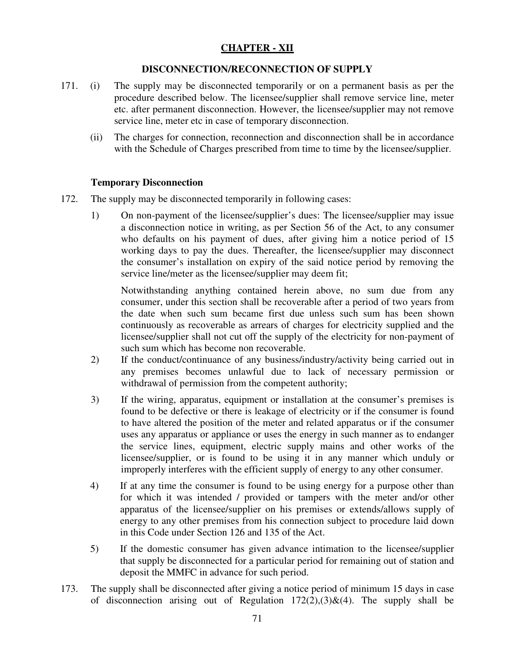# **CHAPTER - XII**

## **DISCONNECTION/RECONNECTION OF SUPPLY**

- 171. (i) The supply may be disconnected temporarily or on a permanent basis as per the procedure described below. The licensee/supplier shall remove service line, meter etc. after permanent disconnection. However, the licensee/supplier may not remove service line, meter etc in case of temporary disconnection.
	- (ii) The charges for connection, reconnection and disconnection shall be in accordance with the Schedule of Charges prescribed from time to time by the licensee/supplier.

## **Temporary Disconnection**

- 172. The supply may be disconnected temporarily in following cases:
	- 1) On non-payment of the licensee/supplier's dues: The licensee/supplier may issue a disconnection notice in writing, as per Section 56 of the Act, to any consumer who defaults on his payment of dues, after giving him a notice period of 15 working days to pay the dues. Thereafter, the licensee/supplier may disconnect the consumer's installation on expiry of the said notice period by removing the service line/meter as the licensee/supplier may deem fit;

Notwithstanding anything contained herein above, no sum due from any consumer, under this section shall be recoverable after a period of two years from the date when such sum became first due unless such sum has been shown continuously as recoverable as arrears of charges for electricity supplied and the licensee/supplier shall not cut off the supply of the electricity for non-payment of such sum which has become non recoverable.

- 2) If the conduct/continuance of any business/industry/activity being carried out in any premises becomes unlawful due to lack of necessary permission or withdrawal of permission from the competent authority;
- 3) If the wiring, apparatus, equipment or installation at the consumer's premises is found to be defective or there is leakage of electricity or if the consumer is found to have altered the position of the meter and related apparatus or if the consumer uses any apparatus or appliance or uses the energy in such manner as to endanger the service lines, equipment, electric supply mains and other works of the licensee/supplier, or is found to be using it in any manner which unduly or improperly interferes with the efficient supply of energy to any other consumer.
- 4) If at any time the consumer is found to be using energy for a purpose other than for which it was intended / provided or tampers with the meter and/or other apparatus of the licensee/supplier on his premises or extends/allows supply of energy to any other premises from his connection subject to procedure laid down in this Code under Section 126 and 135 of the Act.
- 5) If the domestic consumer has given advance intimation to the licensee/supplier that supply be disconnected for a particular period for remaining out of station and deposit the MMFC in advance for such period.
- 173. The supply shall be disconnected after giving a notice period of minimum 15 days in case of disconnection arising out of Regulation  $172(2),(3)\&(4)$ . The supply shall be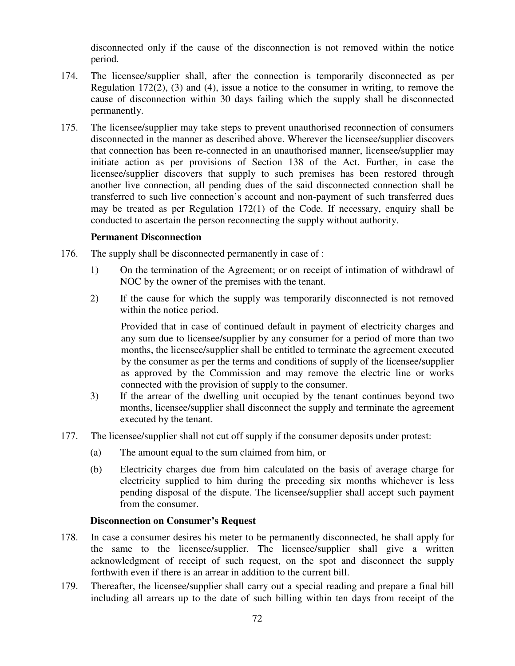disconnected only if the cause of the disconnection is not removed within the notice period.

- 174. The licensee/supplier shall, after the connection is temporarily disconnected as per Regulation 172(2), (3) and (4), issue a notice to the consumer in writing, to remove the cause of disconnection within 30 days failing which the supply shall be disconnected permanently.
- 175. The licensee/supplier may take steps to prevent unauthorised reconnection of consumers disconnected in the manner as described above. Wherever the licensee/supplier discovers that connection has been re-connected in an unauthorised manner, licensee/supplier may initiate action as per provisions of Section 138 of the Act. Further, in case the licensee/supplier discovers that supply to such premises has been restored through another live connection, all pending dues of the said disconnected connection shall be transferred to such live connection's account and non-payment of such transferred dues may be treated as per Regulation 172(1) of the Code. If necessary, enquiry shall be conducted to ascertain the person reconnecting the supply without authority.

## **Permanent Disconnection**

- 176. The supply shall be disconnected permanently in case of :
	- 1) On the termination of the Agreement; or on receipt of intimation of withdrawl of NOC by the owner of the premises with the tenant.
	- 2) If the cause for which the supply was temporarily disconnected is not removed within the notice period.

Provided that in case of continued default in payment of electricity charges and any sum due to licensee/supplier by any consumer for a period of more than two months, the licensee/supplier shall be entitled to terminate the agreement executed by the consumer as per the terms and conditions of supply of the licensee/supplier as approved by the Commission and may remove the electric line or works connected with the provision of supply to the consumer.

- 3) If the arrear of the dwelling unit occupied by the tenant continues beyond two months, licensee/supplier shall disconnect the supply and terminate the agreement executed by the tenant.
- 177. The licensee/supplier shall not cut off supply if the consumer deposits under protest:
	- (a) The amount equal to the sum claimed from him, or
	- (b) Electricity charges due from him calculated on the basis of average charge for electricity supplied to him during the preceding six months whichever is less pending disposal of the dispute. The licensee/supplier shall accept such payment from the consumer.

#### **Disconnection on Consumer's Request**

- 178. In case a consumer desires his meter to be permanently disconnected, he shall apply for the same to the licensee/supplier. The licensee/supplier shall give a written acknowledgment of receipt of such request, on the spot and disconnect the supply forthwith even if there is an arrear in addition to the current bill.
- 179. Thereafter, the licensee/supplier shall carry out a special reading and prepare a final bill including all arrears up to the date of such billing within ten days from receipt of the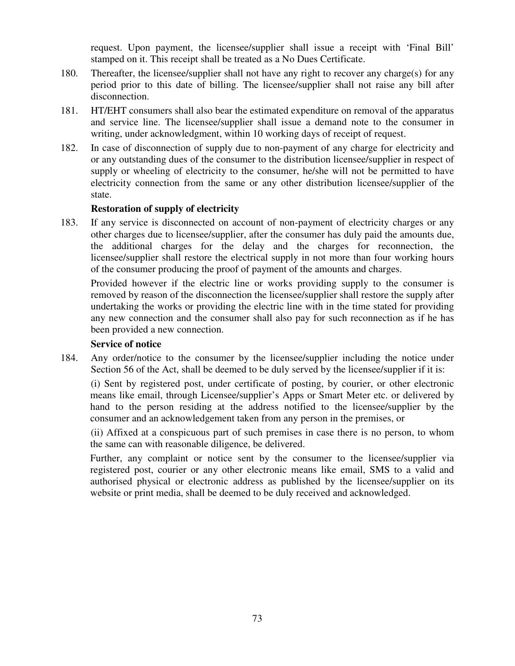request. Upon payment, the licensee/supplier shall issue a receipt with 'Final Bill' stamped on it. This receipt shall be treated as a No Dues Certificate.

- 180. Thereafter, the licensee/supplier shall not have any right to recover any charge(s) for any period prior to this date of billing. The licensee/supplier shall not raise any bill after disconnection.
- 181. HT/EHT consumers shall also bear the estimated expenditure on removal of the apparatus and service line. The licensee/supplier shall issue a demand note to the consumer in writing, under acknowledgment, within 10 working days of receipt of request.
- 182. In case of disconnection of supply due to non-payment of any charge for electricity and or any outstanding dues of the consumer to the distribution licensee/supplier in respect of supply or wheeling of electricity to the consumer, he/she will not be permitted to have electricity connection from the same or any other distribution licensee/supplier of the state.

# **Restoration of supply of electricity**

183. If any service is disconnected on account of non-payment of electricity charges or any other charges due to licensee/supplier, after the consumer has duly paid the amounts due, the additional charges for the delay and the charges for reconnection, the licensee/supplier shall restore the electrical supply in not more than four working hours of the consumer producing the proof of payment of the amounts and charges.

Provided however if the electric line or works providing supply to the consumer is removed by reason of the disconnection the licensee/supplier shall restore the supply after undertaking the works or providing the electric line with in the time stated for providing any new connection and the consumer shall also pay for such reconnection as if he has been provided a new connection.

## **Service of notice**

184. Any order/notice to the consumer by the licensee/supplier including the notice under Section 56 of the Act, shall be deemed to be duly served by the licensee/supplier if it is:

 (i) Sent by registered post, under certificate of posting, by courier, or other electronic means like email, through Licensee/supplier's Apps or Smart Meter etc. or delivered by hand to the person residing at the address notified to the licensee/supplier by the consumer and an acknowledgement taken from any person in the premises, or

 (ii) Affixed at a conspicuous part of such premises in case there is no person, to whom the same can with reasonable diligence, be delivered.

Further, any complaint or notice sent by the consumer to the licensee/supplier via registered post, courier or any other electronic means like email, SMS to a valid and authorised physical or electronic address as published by the licensee/supplier on its website or print media, shall be deemed to be duly received and acknowledged.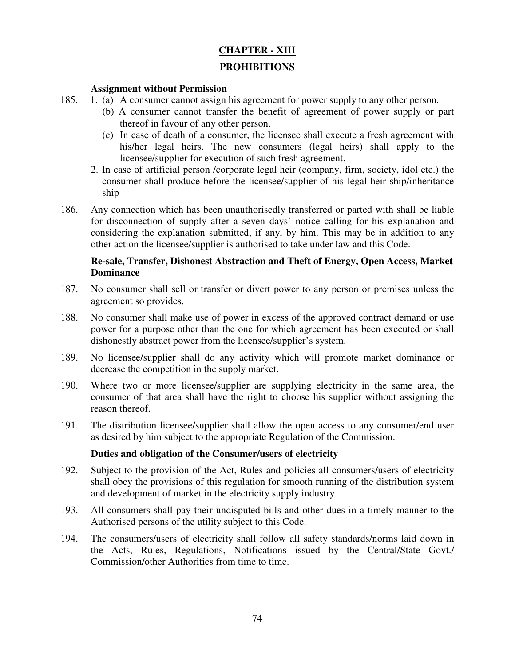# **CHAPTER - XIII**

# **PROHIBITIONS**

## **Assignment without Permission**

- 185. 1. (a) A consumer cannot assign his agreement for power supply to any other person.
	- (b) A consumer cannot transfer the benefit of agreement of power supply or part thereof in favour of any other person.
	- (c) In case of death of a consumer, the licensee shall execute a fresh agreement with his/her legal heirs. The new consumers (legal heirs) shall apply to the licensee/supplier for execution of such fresh agreement.
	- 2. In case of artificial person /corporate legal heir (company, firm, society, idol etc.) the consumer shall produce before the licensee/supplier of his legal heir ship/inheritance ship
- 186. Any connection which has been unauthorisedly transferred or parted with shall be liable for disconnection of supply after a seven days' notice calling for his explanation and considering the explanation submitted, if any, by him. This may be in addition to any other action the licensee/supplier is authorised to take under law and this Code.

# **Re-sale, Transfer, Dishonest Abstraction and Theft of Energy, Open Access, Market Dominance**

- 187. No consumer shall sell or transfer or divert power to any person or premises unless the agreement so provides.
- 188. No consumer shall make use of power in excess of the approved contract demand or use power for a purpose other than the one for which agreement has been executed or shall dishonestly abstract power from the licensee/supplier's system.
- 189. No licensee/supplier shall do any activity which will promote market dominance or decrease the competition in the supply market.
- 190. Where two or more licensee/supplier are supplying electricity in the same area, the consumer of that area shall have the right to choose his supplier without assigning the reason thereof.
- 191. The distribution licensee/supplier shall allow the open access to any consumer/end user as desired by him subject to the appropriate Regulation of the Commission.

## **Duties and obligation of the Consumer/users of electricity**

- 192. Subject to the provision of the Act, Rules and policies all consumers/users of electricity shall obey the provisions of this regulation for smooth running of the distribution system and development of market in the electricity supply industry.
- 193. All consumers shall pay their undisputed bills and other dues in a timely manner to the Authorised persons of the utility subject to this Code.
- 194. The consumers/users of electricity shall follow all safety standards/norms laid down in the Acts, Rules, Regulations, Notifications issued by the Central/State Govt./ Commission/other Authorities from time to time.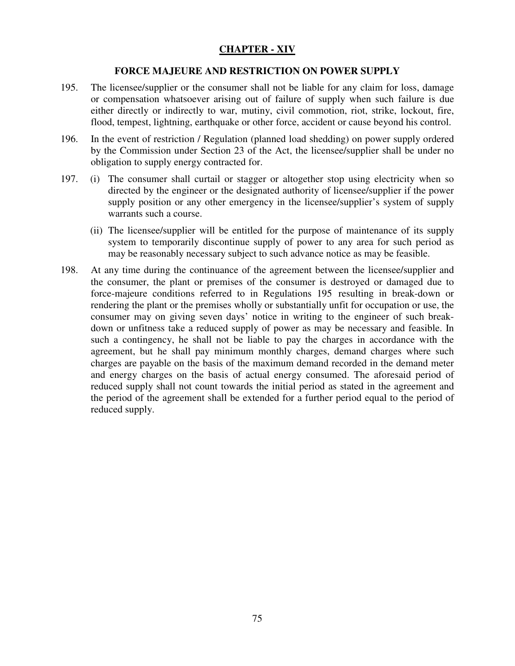# **CHAPTER - XIV**

#### **FORCE MAJEURE AND RESTRICTION ON POWER SUPPLY**

- 195. The licensee/supplier or the consumer shall not be liable for any claim for loss, damage or compensation whatsoever arising out of failure of supply when such failure is due either directly or indirectly to war, mutiny, civil commotion, riot, strike, lockout, fire, flood, tempest, lightning, earthquake or other force, accident or cause beyond his control.
- 196. In the event of restriction / Regulation (planned load shedding) on power supply ordered by the Commission under Section 23 of the Act, the licensee/supplier shall be under no obligation to supply energy contracted for.
- 197. (i) The consumer shall curtail or stagger or altogether stop using electricity when so directed by the engineer or the designated authority of licensee/supplier if the power supply position or any other emergency in the licensee/supplier's system of supply warrants such a course.
	- (ii) The licensee/supplier will be entitled for the purpose of maintenance of its supply system to temporarily discontinue supply of power to any area for such period as may be reasonably necessary subject to such advance notice as may be feasible.
- 198. At any time during the continuance of the agreement between the licensee/supplier and the consumer, the plant or premises of the consumer is destroyed or damaged due to force-majeure conditions referred to in Regulations 195 resulting in break-down or rendering the plant or the premises wholly or substantially unfit for occupation or use, the consumer may on giving seven days' notice in writing to the engineer of such breakdown or unfitness take a reduced supply of power as may be necessary and feasible. In such a contingency, he shall not be liable to pay the charges in accordance with the agreement, but he shall pay minimum monthly charges, demand charges where such charges are payable on the basis of the maximum demand recorded in the demand meter and energy charges on the basis of actual energy consumed. The aforesaid period of reduced supply shall not count towards the initial period as stated in the agreement and the period of the agreement shall be extended for a further period equal to the period of reduced supply.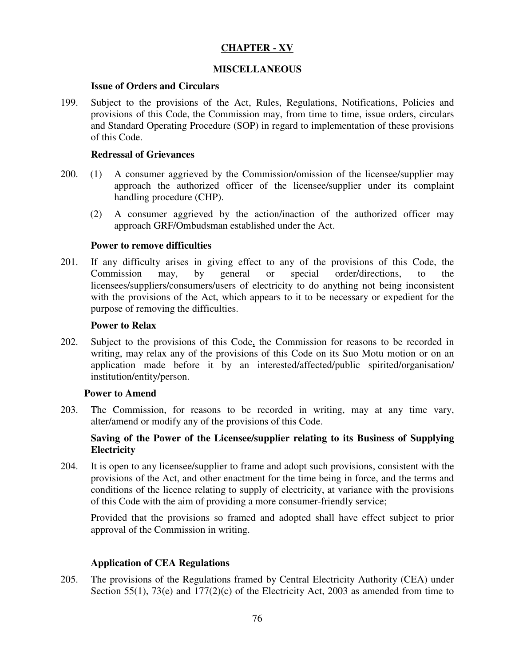# **CHAPTER - XV**

## **MISCELLANEOUS**

#### **Issue of Orders and Circulars**

199. Subject to the provisions of the Act, Rules, Regulations, Notifications, Policies and provisions of this Code, the Commission may, from time to time, issue orders, circulars and Standard Operating Procedure (SOP) in regard to implementation of these provisions of this Code.

## **Redressal of Grievances**

- 200. (1) A consumer aggrieved by the Commission/omission of the licensee/supplier may approach the authorized officer of the licensee/supplier under its complaint handling procedure (CHP).
	- (2) A consumer aggrieved by the action/inaction of the authorized officer may approach GRF/Ombudsman established under the Act.

#### **Power to remove difficulties**

201. If any difficulty arises in giving effect to any of the provisions of this Code, the Commission may, by general or special order/directions, to the licensees/suppliers/consumers/users of electricity to do anything not being inconsistent with the provisions of the Act, which appears to it to be necessary or expedient for the purpose of removing the difficulties.

#### **Power to Relax**

202. Subject to the provisions of this Code, the Commission for reasons to be recorded in writing, may relax any of the provisions of this Code on its Suo Motu motion or on an application made before it by an interested/affected/public spirited/organisation/ institution/entity/person.

## **Power to Amend**

203. The Commission, for reasons to be recorded in writing, may at any time vary, alter/amend or modify any of the provisions of this Code.

# **Saving of the Power of the Licensee/supplier relating to its Business of Supplying Electricity**

204. It is open to any licensee/supplier to frame and adopt such provisions, consistent with the provisions of the Act, and other enactment for the time being in force, and the terms and conditions of the licence relating to supply of electricity, at variance with the provisions of this Code with the aim of providing a more consumer-friendly service;

Provided that the provisions so framed and adopted shall have effect subject to prior approval of the Commission in writing.

## **Application of CEA Regulations**

205. The provisions of the Regulations framed by Central Electricity Authority (CEA) under Section 55(1), 73(e) and 177(2)(c) of the Electricity Act, 2003 as amended from time to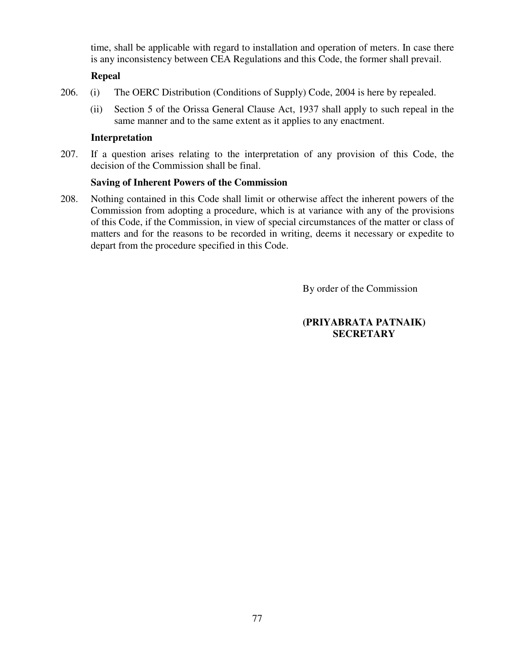time, shall be applicable with regard to installation and operation of meters. In case there is any inconsistency between CEA Regulations and this Code, the former shall prevail.

## **Repeal**

- 206. (i) The OERC Distribution (Conditions of Supply) Code, 2004 is here by repealed.
	- (ii) Section 5 of the Orissa General Clause Act, 1937 shall apply to such repeal in the same manner and to the same extent as it applies to any enactment.

## **Interpretation**

207. If a question arises relating to the interpretation of any provision of this Code, the decision of the Commission shall be final.

# **Saving of Inherent Powers of the Commission**

208. Nothing contained in this Code shall limit or otherwise affect the inherent powers of the Commission from adopting a procedure, which is at variance with any of the provisions of this Code, if the Commission, in view of special circumstances of the matter or class of matters and for the reasons to be recorded in writing, deems it necessary or expedite to depart from the procedure specified in this Code.

By order of the Commission

# **(PRIYABRATA PATNAIK) SECRETARY**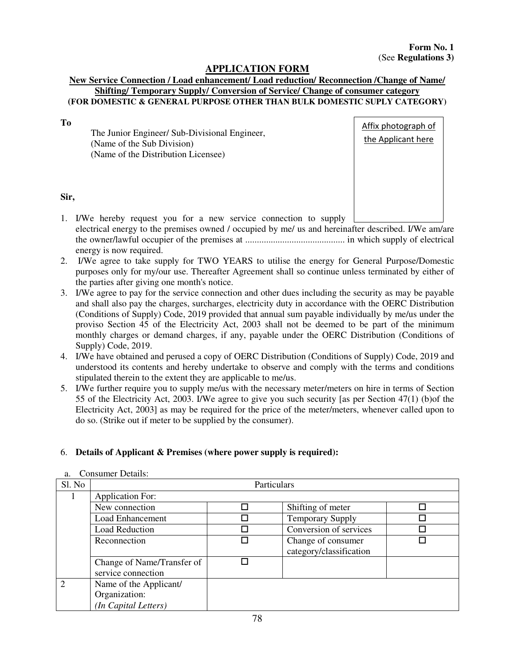# **APPLICATION FORM**

#### **New Service Connection / Load enhancement/ Load reduction/ Reconnection /Change of Name/ Shifting/ Temporary Supply/ Conversion of Service/ Change of consumer category (FOR DOMESTIC & GENERAL PURPOSE OTHER THAN BULK DOMESTIC SUPLY CATEGORY)**

**To** 

The Junior Engineer/ Sub-Divisional Engineer, (Name of the Sub Division) (Name of the Distribution Licensee)



## **Sir,**

- 1. I/We hereby request you for a new service connection to supply electrical energy to the premises owned / occupied by me/ us and hereinafter described. I/We am/are the owner/lawful occupier of the premises at ........................................... in which supply of electrical energy is now required.
- 2. I/We agree to take supply for TWO YEARS to utilise the energy for General Purpose/Domestic purposes only for my/our use. Thereafter Agreement shall so continue unless terminated by either of the parties after giving one month's notice.
- 3. I/We agree to pay for the service connection and other dues including the security as may be payable and shall also pay the charges, surcharges, electricity duty in accordance with the OERC Distribution (Conditions of Supply) Code, 2019 provided that annual sum payable individually by me/us under the proviso Section 45 of the Electricity Act, 2003 shall not be deemed to be part of the minimum monthly charges or demand charges, if any, payable under the OERC Distribution (Conditions of Supply) Code, 2019.
- 4. I/We have obtained and perused a copy of OERC Distribution (Conditions of Supply) Code, 2019 and understood its contents and hereby undertake to observe and comply with the terms and conditions stipulated therein to the extent they are applicable to me/us.
- 5. I/We further require you to supply me/us with the necessary meter/meters on hire in terms of Section 55 of the Electricity Act, 2003. I/We agree to give you such security [as per Section 47(1) (b)of the Electricity Act, 2003] as may be required for the price of the meter/meters, whenever called upon to do so. (Strike out if meter to be supplied by the consumer).

## 6. **Details of Applicant & Premises (where power supply is required):**

| Sl. No         | Particulars                |  |                         |  |  |
|----------------|----------------------------|--|-------------------------|--|--|
|                | <b>Application For:</b>    |  |                         |  |  |
|                | New connection             |  | Shifting of meter       |  |  |
|                | <b>Load Enhancement</b>    |  | <b>Temporary Supply</b> |  |  |
|                | <b>Load Reduction</b>      |  | Conversion of services  |  |  |
|                | Reconnection               |  | Change of consumer      |  |  |
|                |                            |  | category/classification |  |  |
|                | Change of Name/Transfer of |  |                         |  |  |
|                | service connection         |  |                         |  |  |
| $\overline{2}$ | Name of the Applicant/     |  |                         |  |  |
|                | Organization:              |  |                         |  |  |
|                | (In Capital Letters)       |  |                         |  |  |

a. Consumer Details: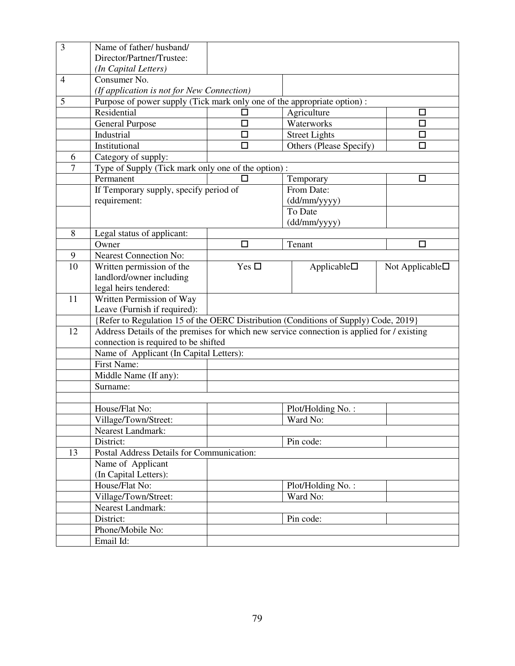| 3  | Name of father/husband/                                                                    |               |                         |                          |
|----|--------------------------------------------------------------------------------------------|---------------|-------------------------|--------------------------|
|    | Director/Partner/Trustee:                                                                  |               |                         |                          |
|    | (In Capital Letters)                                                                       |               |                         |                          |
| 4  | Consumer No.                                                                               |               |                         |                          |
|    | (If application is not for New Connection)                                                 |               |                         |                          |
| 5  | Purpose of power supply (Tick mark only one of the appropriate option):                    |               |                         |                          |
|    | Residential                                                                                |               | Agriculture             | □                        |
|    | <b>General Purpose</b>                                                                     | □             | Waterworks              | $\Box$                   |
|    | Industrial                                                                                 | □             | <b>Street Lights</b>    | $\Box$                   |
|    | Institutional                                                                              | □             | Others (Please Specify) | □                        |
| 6  | Category of supply:                                                                        |               |                         |                          |
| 7  | Type of Supply (Tick mark only one of the option):                                         |               |                         |                          |
|    | Permanent                                                                                  |               | Temporary               | □                        |
|    | If Temporary supply, specify period of                                                     |               | From Date:              |                          |
|    | requirement:                                                                               |               | (dd/mm/yyyy)            |                          |
|    |                                                                                            |               | To Date                 |                          |
|    |                                                                                            |               | $(dd/\text{mm/yyyy})$   |                          |
| 8  | Legal status of applicant:                                                                 |               |                         |                          |
|    | Owner                                                                                      | $\Box$        | Tenant                  | $\Box$                   |
| 9  | <b>Nearest Connection No:</b>                                                              |               |                         |                          |
| 10 | Written permission of the                                                                  | Yes $\square$ | Applicable              | Not Applicable $\square$ |
|    | landlord/owner including                                                                   |               |                         |                          |
|    | legal heirs tendered:                                                                      |               |                         |                          |
|    |                                                                                            |               |                         |                          |
| 11 | Written Permission of Way                                                                  |               |                         |                          |
|    | Leave (Furnish if required):                                                               |               |                         |                          |
|    | {Refer to Regulation 15 of the OERC Distribution (Conditions of Supply) Code, 2019}        |               |                         |                          |
| 12 | Address Details of the premises for which new service connection is applied for / existing |               |                         |                          |
|    | connection is required to be shifted                                                       |               |                         |                          |
|    | Name of Applicant (In Capital Letters):                                                    |               |                         |                          |
|    | <b>First Name:</b>                                                                         |               |                         |                          |
|    | Middle Name (If any):                                                                      |               |                         |                          |
|    | Surname:                                                                                   |               |                         |                          |
|    |                                                                                            |               |                         |                          |
|    | House/Flat No:                                                                             |               | Plot/Holding No.:       |                          |
|    | Village/Town/Street:                                                                       |               | Ward No:                |                          |
|    | <b>Nearest Landmark:</b>                                                                   |               |                         |                          |
|    | District:                                                                                  |               | Pin code:               |                          |
| 13 | Postal Address Details for Communication:                                                  |               |                         |                          |
|    | Name of Applicant                                                                          |               |                         |                          |
|    | (In Capital Letters):                                                                      |               |                         |                          |
|    | House/Flat No:                                                                             |               | Plot/Holding No.:       |                          |
|    | Village/Town/Street:                                                                       |               | Ward No:                |                          |
|    | Nearest Landmark:                                                                          |               |                         |                          |
|    | District:                                                                                  |               | Pin code:               |                          |
|    | Phone/Mobile No:<br>Email Id:                                                              |               |                         |                          |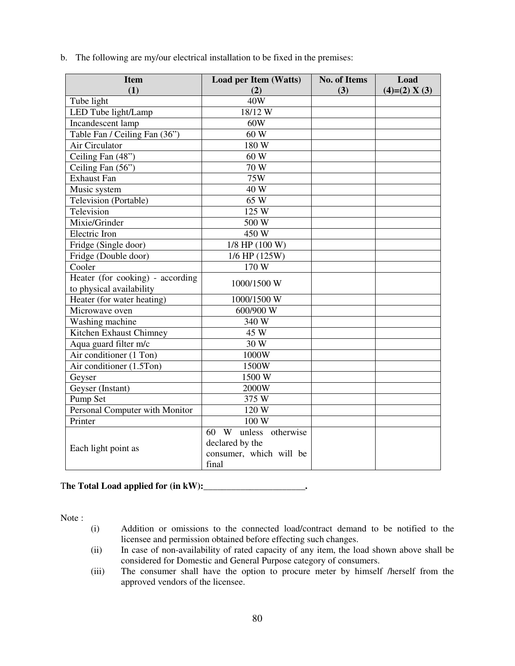b. The following are my/our electrical installation to be fixed in the premises:

| <b>Item</b>                                 | <b>Load per Item (Watts)</b> | <b>No. of Items</b> | Load            |
|---------------------------------------------|------------------------------|---------------------|-----------------|
| (1)                                         | (2)                          | (3)                 | $(4)=(2) X (3)$ |
| Tube light                                  | 40W                          |                     |                 |
| LED Tube light/Lamp                         | 18/12W                       |                     |                 |
| Incandescent lamp                           | 60W                          |                     |                 |
| Table Fan / Ceiling Fan (36")               | 60 W                         |                     |                 |
| Air Circulator                              | 180 W                        |                     |                 |
| Ceiling Fan (48")                           | 60 W                         |                     |                 |
| Ceiling Fan (56")                           | 70 W                         |                     |                 |
| <b>Exhaust Fan</b>                          | 75W                          |                     |                 |
| Music system                                | 40 W                         |                     |                 |
| Television (Portable)                       | 65 W                         |                     |                 |
| Television                                  | 125 W                        |                     |                 |
| Mixie/Grinder                               | 500 W                        |                     |                 |
| Electric Iron                               | 450 W                        |                     |                 |
| Fridge (Single door)                        | 1/8 HP (100 W)               |                     |                 |
| Fridge (Double door)                        | 1/6 HP (125W)                |                     |                 |
| Cooler                                      | 170 W                        |                     |                 |
| Heater (for cooking) - according            | 1000/1500 W                  |                     |                 |
| to physical availability                    |                              |                     |                 |
| Heater (for water heating)                  | 1000/1500 W                  |                     |                 |
| Microwave oven                              | 600/900 W                    |                     |                 |
| Washing machine                             | 340 W                        |                     |                 |
| Kitchen Exhaust Chimney                     | 45 W                         |                     |                 |
| Aqua guard filter m/c                       | 30 W                         |                     |                 |
| $\overline{\text{Air}}$ conditioner (1 Ton) | 1000W                        |                     |                 |
| Air conditioner (1.5Ton)                    | 1500W                        |                     |                 |
| Geyser                                      | 1500 W                       |                     |                 |
| Geyser (Instant)                            | 2000W                        |                     |                 |
| Pump Set                                    | 375 W                        |                     |                 |
| Personal Computer with Monitor              | 120 W                        |                     |                 |
| Printer                                     | 100 W                        |                     |                 |
|                                             | W unless otherwise<br>60     |                     |                 |
| Each light point as                         | declared by the              |                     |                 |
|                                             | consumer, which will be      |                     |                 |
|                                             | final                        |                     |                 |

## T**he Total Load applied for (in kW):\_\_\_\_\_\_\_\_\_\_\_\_\_\_\_\_\_\_\_\_\_\_.**

Note :

- (i) Addition or omissions to the connected load/contract demand to be notified to the licensee and permission obtained before effecting such changes.
- (ii) In case of non-availability of rated capacity of any item, the load shown above shall be considered for Domestic and General Purpose category of consumers.
- (iii) The consumer shall have the option to procure meter by himself /herself from the approved vendors of the licensee.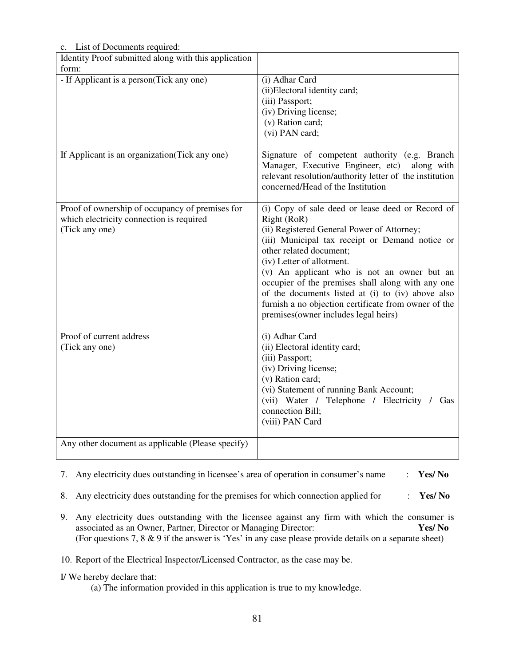| c. List of Documents required:                                                                                |                                                                                                                                                                                                                                                                                                                                                                                                                                                                                   |
|---------------------------------------------------------------------------------------------------------------|-----------------------------------------------------------------------------------------------------------------------------------------------------------------------------------------------------------------------------------------------------------------------------------------------------------------------------------------------------------------------------------------------------------------------------------------------------------------------------------|
| Identity Proof submitted along with this application                                                          |                                                                                                                                                                                                                                                                                                                                                                                                                                                                                   |
| form:                                                                                                         |                                                                                                                                                                                                                                                                                                                                                                                                                                                                                   |
| - If Applicant is a person(Tick any one)                                                                      | (i) Adhar Card<br>(ii)Electoral identity card;<br>(iii) Passport;<br>(iv) Driving license;<br>(v) Ration card;<br>(vi) PAN card;                                                                                                                                                                                                                                                                                                                                                  |
| If Applicant is an organization (Tick any one)                                                                | Signature of competent authority (e.g. Branch<br>Manager, Executive Engineer, etc) along with<br>relevant resolution/authority letter of the institution<br>concerned/Head of the Institution                                                                                                                                                                                                                                                                                     |
| Proof of ownership of occupancy of premises for<br>which electricity connection is required<br>(Tick any one) | (i) Copy of sale deed or lease deed or Record of<br>Right (RoR)<br>(ii) Registered General Power of Attorney;<br>(iii) Municipal tax receipt or Demand notice or<br>other related document;<br>(iv) Letter of allotment.<br>(v) An applicant who is not an owner but an<br>occupier of the premises shall along with any one<br>of the documents listed at (i) to (iv) above also<br>furnish a no objection certificate from owner of the<br>premises(owner includes legal heirs) |
| Proof of current address<br>(Tick any one)                                                                    | (i) Adhar Card<br>(ii) Electoral identity card;<br>(iii) Passport;<br>(iv) Driving license;<br>(v) Ration card;<br>(vi) Statement of running Bank Account;<br>(vii) Water / Telephone / Electricity / Gas<br>connection Bill;<br>(viii) PAN Card                                                                                                                                                                                                                                  |
| Any other document as applicable (Please specify)                                                             |                                                                                                                                                                                                                                                                                                                                                                                                                                                                                   |

List of Documents required

7. Any electricity dues outstanding in licensee's area of operation in consumer's name : **Yes/ No**

8. Any electricity dues outstanding for the premises for which connection applied for : **Yes/ No** 

9. Any electricity dues outstanding with the licensee against any firm with which the consumer is associated as an Owner, Partner, Director or Managing Director: **Yes/ No**  (For questions 7, 8 & 9 if the answer is 'Yes' in any case please provide details on a separate sheet)

10. Report of the Electrical Inspector/Licensed Contractor, as the case may be.

#### I/ We hereby declare that:

(a) The information provided in this application is true to my knowledge.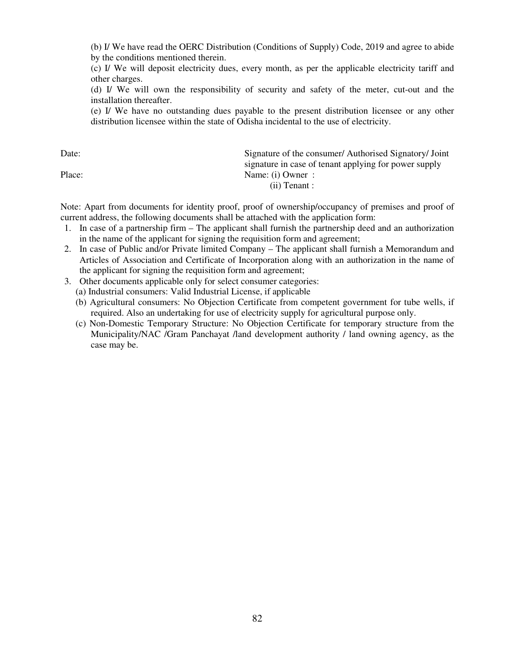(b) I/ We have read the OERC Distribution (Conditions of Supply) Code, 2019 and agree to abide by the conditions mentioned therein.

(c) I/ We will deposit electricity dues, every month, as per the applicable electricity tariff and other charges.

(d) I/ We will own the responsibility of security and safety of the meter, cut-out and the installation thereafter.

(e) I/ We have no outstanding dues payable to the present distribution licensee or any other distribution licensee within the state of Odisha incidental to the use of electricity.

Date: Signature of the consumer/ Authorised Signatory/ Joint signature in case of tenant applying for power supply Place: Name: (i) Owner : (ii) Tenant :

Note: Apart from documents for identity proof, proof of ownership/occupancy of premises and proof of current address, the following documents shall be attached with the application form:

- 1. In case of a partnership firm The applicant shall furnish the partnership deed and an authorization in the name of the applicant for signing the requisition form and agreement;
- 2. In case of Public and/or Private limited Company The applicant shall furnish a Memorandum and Articles of Association and Certificate of Incorporation along with an authorization in the name of the applicant for signing the requisition form and agreement;
- 3. Other documents applicable only for select consumer categories:
	- (a) Industrial consumers: Valid Industrial License, if applicable
	- (b) Agricultural consumers: No Objection Certificate from competent government for tube wells, if required. Also an undertaking for use of electricity supply for agricultural purpose only.
	- (c) Non-Domestic Temporary Structure: No Objection Certificate for temporary structure from the Municipality/NAC /Gram Panchayat /land development authority / land owning agency, as the case may be.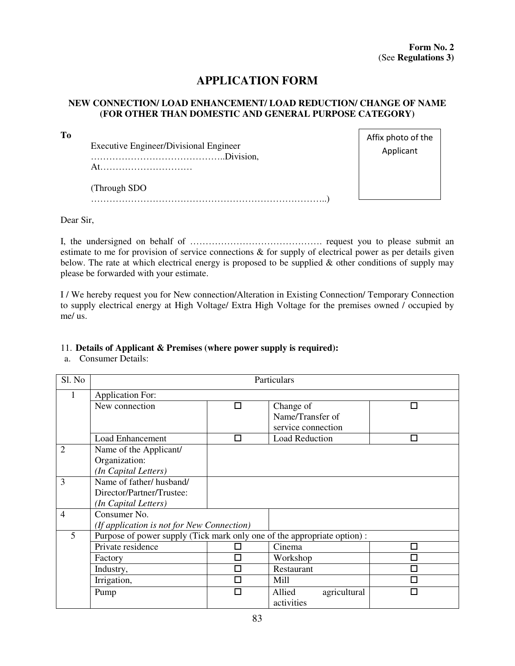# **APPLICATION FORM**

#### **NEW CONNECTION/ LOAD ENHANCEMENT/ LOAD REDUCTION/ CHANGE OF NAME (FOR OTHER THAN DOMESTIC AND GENERAL PURPOSE CATEGORY)**

Executive Engineer/Divisional Engineer ……………………………………..Division, At…………………………

(Through SDO …………………………………………………………………..) Affix photo of the Applicant

Dear Sir,

**To** 

I, the undersigned on behalf of ……………………………………. request you to please submit an estimate to me for provision of service connections & for supply of electrical power as per details given below. The rate at which electrical energy is proposed to be supplied  $\&$  other conditions of supply may please be forwarded with your estimate.

I / We hereby request you for New connection/Alteration in Existing Connection/ Temporary Connection to supply electrical energy at High Voltage/ Extra High Voltage for the premises owned / occupied by me/ us.

#### 11. **Details of Applicant & Premises (where power supply is required):**

a. Consumer Details:

| Sl. No         | Particulars                                                             |        |                                        |   |  |
|----------------|-------------------------------------------------------------------------|--------|----------------------------------------|---|--|
| 1              | <b>Application For:</b>                                                 |        |                                        |   |  |
|                | New connection                                                          | п      | Change of                              | П |  |
|                |                                                                         |        | Name/Transfer of<br>service connection |   |  |
|                | <b>Load Enhancement</b>                                                 | $\Box$ | <b>Load Reduction</b>                  | □ |  |
| $\overline{2}$ | Name of the Applicant/                                                  |        |                                        |   |  |
|                | Organization:                                                           |        |                                        |   |  |
|                | (In Capital Letters)                                                    |        |                                        |   |  |
| 3              | Name of father/husband/                                                 |        |                                        |   |  |
|                | Director/Partner/Trustee:                                               |        |                                        |   |  |
|                | (In Capital Letters)                                                    |        |                                        |   |  |
| $\overline{4}$ | Consumer No.                                                            |        |                                        |   |  |
|                | (If application is not for New Connection)                              |        |                                        |   |  |
| 5              | Purpose of power supply (Tick mark only one of the appropriate option): |        |                                        |   |  |
|                | Private residence                                                       |        | Cinema                                 | П |  |
|                | Factory                                                                 | Π      | Workshop                               | П |  |
|                | Industry,                                                               | П      | Restaurant                             | □ |  |
|                | Irrigation,                                                             | П      | Mill                                   | П |  |
|                | Pump                                                                    | П      | Allied<br>agricultural<br>activities   | П |  |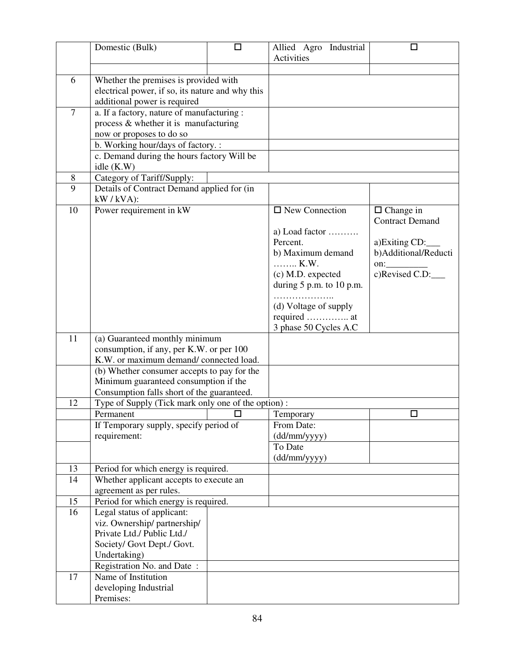|                | Domestic (Bulk)                                          | □ | Industrial<br>Allied Agro             | ◘                                          |
|----------------|----------------------------------------------------------|---|---------------------------------------|--------------------------------------------|
|                |                                                          |   | Activities                            |                                            |
|                |                                                          |   |                                       |                                            |
| 6              | Whether the premises is provided with                    |   |                                       |                                            |
|                | electrical power, if so, its nature and why this         |   |                                       |                                            |
|                | additional power is required                             |   |                                       |                                            |
| $\overline{7}$ | a. If a factory, nature of manufacturing :               |   |                                       |                                            |
|                | process & whether it is manufacturing                    |   |                                       |                                            |
|                | now or proposes to do so                                 |   |                                       |                                            |
|                | b. Working hour/days of factory. :                       |   |                                       |                                            |
|                | c. Demand during the hours factory Will be<br>idle (K.W) |   |                                       |                                            |
| 8              | Category of Tariff/Supply:                               |   |                                       |                                            |
| 9              | Details of Contract Demand applied for (in               |   |                                       |                                            |
|                | $kW / kVA$ :                                             |   |                                       |                                            |
| 10             | Power requirement in kW                                  |   | $\Box$ New Connection                 | $\Box$ Change in                           |
|                |                                                          |   |                                       | <b>Contract Demand</b>                     |
|                |                                                          |   | a) Load factor $\dots\dots\dots\dots$ |                                            |
|                |                                                          |   | Percent.                              | a)Exiting CD:                              |
|                |                                                          |   | b) Maximum demand                     | b)Additional/Reducti                       |
|                |                                                          |   | K.W.<br>(c) M.D. expected             | $\overline{\text{on}}$ :<br>c)Revised C.D: |
|                |                                                          |   | during $5$ p.m. to 10 p.m.            |                                            |
|                |                                                          |   |                                       |                                            |
|                |                                                          |   | (d) Voltage of supply                 |                                            |
|                |                                                          |   | required  at                          |                                            |
|                |                                                          |   | 3 phase 50 Cycles A.C                 |                                            |
| 11             | (a) Guaranteed monthly minimum                           |   |                                       |                                            |
|                | consumption, if any, per K.W. or per 100                 |   |                                       |                                            |
|                | K.W. or maximum demand/connected load.                   |   |                                       |                                            |
|                | (b) Whether consumer accepts to pay for the              |   |                                       |                                            |
|                | Minimum guaranteed consumption if the                    |   |                                       |                                            |
|                | Consumption falls short of the guaranteed.               |   |                                       |                                            |
| 12             | Type of Supply (Tick mark only one of the option):       |   |                                       |                                            |
|                | Permanent                                                | □ | Temporary                             | □                                          |
|                | If Temporary supply, specify period of                   |   | From Date:                            |                                            |
|                | requirement:                                             |   | (dd/mm/yyyy)<br>To Date               |                                            |
|                |                                                          |   | $(dd/\text{mm/yyyy})$                 |                                            |
| 13             | Period for which energy is required.                     |   |                                       |                                            |
| 14             | Whether applicant accepts to execute an                  |   |                                       |                                            |
|                | agreement as per rules.                                  |   |                                       |                                            |
| 15             | Period for which energy is required.                     |   |                                       |                                            |
| 16             | Legal status of applicant:                               |   |                                       |                                            |
|                | viz. Ownership/ partnership/                             |   |                                       |                                            |
|                | Private Ltd./ Public Ltd./                               |   |                                       |                                            |
|                | Society/ Govt Dept./ Govt.                               |   |                                       |                                            |
|                | Undertaking)                                             |   |                                       |                                            |
|                | Registration No. and Date:                               |   |                                       |                                            |
| 17             | Name of Institution                                      |   |                                       |                                            |
|                | developing Industrial                                    |   |                                       |                                            |
|                | Premises:                                                |   |                                       |                                            |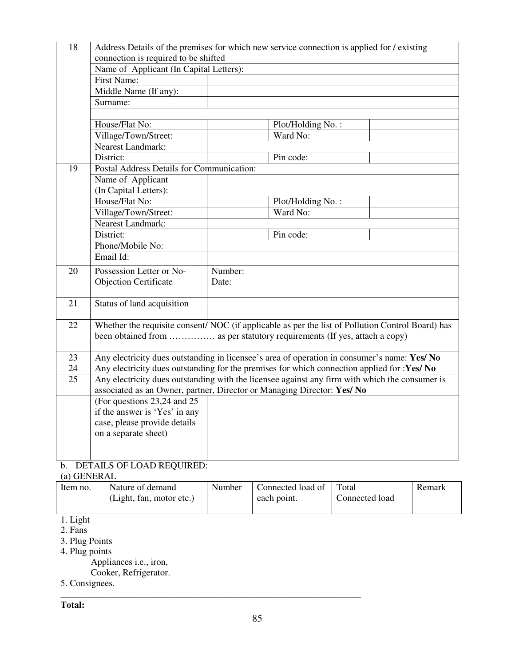| 18 | Address Details of the premises for which new service connection is applied for / existing        |         |                   |  |  |
|----|---------------------------------------------------------------------------------------------------|---------|-------------------|--|--|
|    | connection is required to be shifted                                                              |         |                   |  |  |
|    | Name of Applicant (In Capital Letters):                                                           |         |                   |  |  |
|    | <b>First Name:</b>                                                                                |         |                   |  |  |
|    | Middle Name (If any):                                                                             |         |                   |  |  |
|    | Surname:                                                                                          |         |                   |  |  |
|    |                                                                                                   |         |                   |  |  |
|    | House/Flat No:                                                                                    |         | Plot/Holding No.: |  |  |
|    | Village/Town/Street:                                                                              |         | Ward No:          |  |  |
|    | <b>Nearest Landmark:</b>                                                                          |         |                   |  |  |
|    | District:                                                                                         |         | Pin code:         |  |  |
| 19 | Postal Address Details for Communication:                                                         |         |                   |  |  |
|    | Name of Applicant                                                                                 |         |                   |  |  |
|    | (In Capital Letters):                                                                             |         |                   |  |  |
|    | House/Flat No:                                                                                    |         | Plot/Holding No.: |  |  |
|    | Village/Town/Street:                                                                              |         | Ward No:          |  |  |
|    | <b>Nearest Landmark:</b>                                                                          |         |                   |  |  |
|    | District:                                                                                         |         | Pin code:         |  |  |
|    | Phone/Mobile No:                                                                                  |         |                   |  |  |
|    | Email Id:                                                                                         |         |                   |  |  |
| 20 | Possession Letter or No-                                                                          | Number: |                   |  |  |
|    | <b>Objection Certificate</b>                                                                      | Date:   |                   |  |  |
|    |                                                                                                   |         |                   |  |  |
| 21 | Status of land acquisition                                                                        |         |                   |  |  |
|    |                                                                                                   |         |                   |  |  |
| 22 | Whether the requisite consent/ NOC (if applicable as per the list of Pollution Control Board) has |         |                   |  |  |
|    | been obtained from  as per statutory requirements (If yes, attach a copy)                         |         |                   |  |  |
|    |                                                                                                   |         |                   |  |  |
| 23 | Any electricity dues outstanding in licensee's area of operation in consumer's name: Yes/ No      |         |                   |  |  |
| 24 | Any electricity dues outstanding for the premises for which connection applied for :Yes/ No       |         |                   |  |  |
| 25 | Any electricity dues outstanding with the licensee against any firm with which the consumer is    |         |                   |  |  |
|    | associated as an Owner, partner, Director or Managing Director: Yes/ No                           |         |                   |  |  |
|    | (For questions 23,24 and 25)                                                                      |         |                   |  |  |
|    | if the answer is 'Yes' in any                                                                     |         |                   |  |  |
|    | case, please provide details                                                                      |         |                   |  |  |
|    | on a separate sheet)                                                                              |         |                   |  |  |
|    |                                                                                                   |         |                   |  |  |
|    |                                                                                                   |         |                   |  |  |

# b. DETAILS OF LOAD REQUIRED:

| (a) GENERAL |                                              |        |                                  |                         |        |
|-------------|----------------------------------------------|--------|----------------------------------|-------------------------|--------|
| Item no.    | Nature of demand<br>(Light, fan, motor etc.) | Number | Connected load of<br>each point. | Total<br>Connected load | Remark |
| .           |                                              |        |                                  |                         |        |

- 1. Light
- 2. Fans
- 3. Plug Points
- 4. Plug points

Appliances i.e., iron,

- Cooker, Refrigerator.
- 5. Consignees. \_\_\_\_\_\_\_\_\_\_\_\_\_\_\_\_\_\_\_\_\_\_\_\_\_\_\_\_\_\_\_\_\_\_\_\_\_\_\_\_\_\_\_\_\_\_\_\_\_\_\_\_\_\_\_\_\_\_\_\_\_\_\_\_\_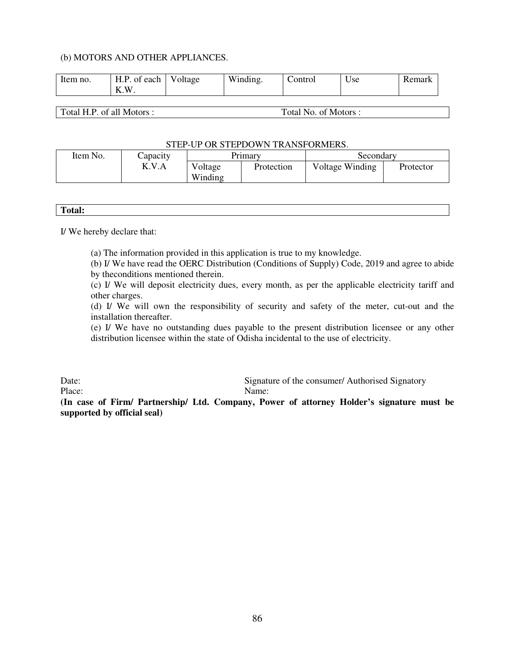#### (b) MOTORS AND OTHER APPLIANCES.

| H.P<br>Item no.<br>of each<br>W<br>ТT<br>Λ. | Voltage | Winding. | `ontrol | Use | Remark |
|---------------------------------------------|---------|----------|---------|-----|--------|
|---------------------------------------------|---------|----------|---------|-----|--------|

Total H.P. of all Motors : Total No. of Motors :

#### STEP-UP OR STEPDOWN TRANSFORMERS.

| Item No. | Capacity |                    | Prımarv    | Secondary       |           |  |
|----------|----------|--------------------|------------|-----------------|-----------|--|
|          | K.V.A    | Voltage<br>Winding | Protection | Voltage Winding | Protector |  |

| m<br><b>TOTAL:</b> |  |  |
|--------------------|--|--|
|                    |  |  |

I/ We hereby declare that:

(a) The information provided in this application is true to my knowledge.

(b) I/ We have read the OERC Distribution (Conditions of Supply) Code, 2019 and agree to abide by theconditions mentioned therein.

(c) I/ We will deposit electricity dues, every month, as per the applicable electricity tariff and other charges.

(d) I/ We will own the responsibility of security and safety of the meter, cut-out and the installation thereafter.

(e) I/ We have no outstanding dues payable to the present distribution licensee or any other distribution licensee within the state of Odisha incidental to the use of electricity.

Date: Signature of the consumer/ Authorised Signatory

Place: Name:

**(In case of Firm/ Partnership/ Ltd. Company, Power of attorney Holder's signature must be supported by official seal)**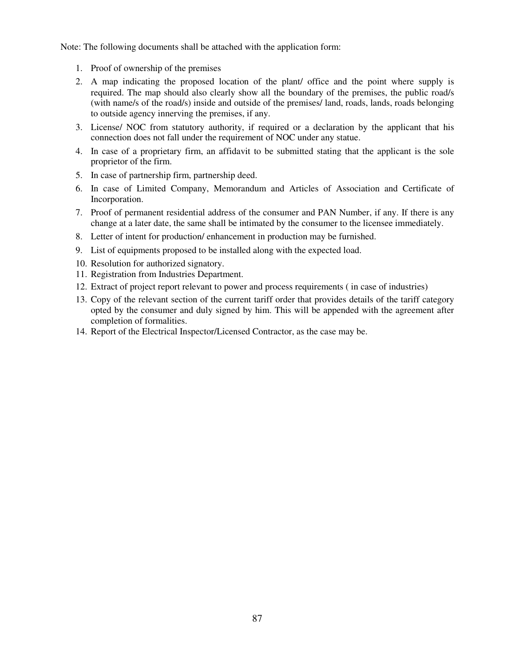Note: The following documents shall be attached with the application form:

- 1. Proof of ownership of the premises
- 2. A map indicating the proposed location of the plant/ office and the point where supply is required. The map should also clearly show all the boundary of the premises, the public road/s (with name/s of the road/s) inside and outside of the premises/ land, roads, lands, roads belonging to outside agency innerving the premises, if any.
- 3. License/ NOC from statutory authority, if required or a declaration by the applicant that his connection does not fall under the requirement of NOC under any statue.
- 4. In case of a proprietary firm, an affidavit to be submitted stating that the applicant is the sole proprietor of the firm.
- 5. In case of partnership firm, partnership deed.
- 6. In case of Limited Company, Memorandum and Articles of Association and Certificate of Incorporation.
- 7. Proof of permanent residential address of the consumer and PAN Number, if any. If there is any change at a later date, the same shall be intimated by the consumer to the licensee immediately.
- 8. Letter of intent for production/ enhancement in production may be furnished.
- 9. List of equipments proposed to be installed along with the expected load.
- 10. Resolution for authorized signatory.
- 11. Registration from Industries Department.
- 12. Extract of project report relevant to power and process requirements ( in case of industries)
- 13. Copy of the relevant section of the current tariff order that provides details of the tariff category opted by the consumer and duly signed by him. This will be appended with the agreement after completion of formalities.
- 14. Report of the Electrical Inspector/Licensed Contractor, as the case may be.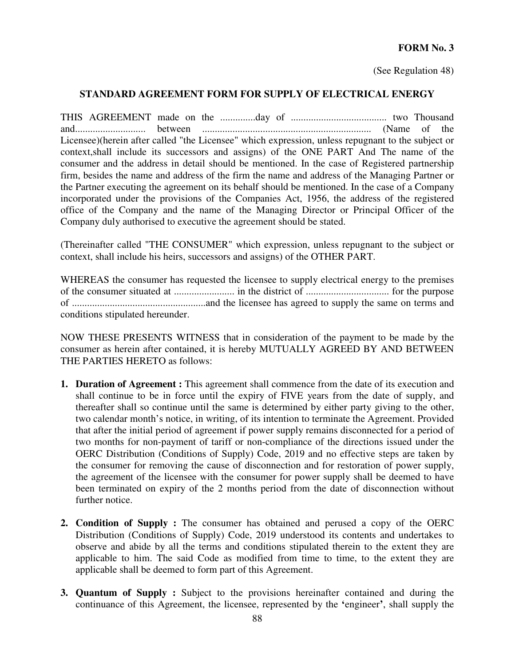#### **FORM No. 3**

(See Regulation 48)

#### **STANDARD AGREEMENT FORM FOR SUPPLY OF ELECTRICAL ENERGY**

THIS AGREEMENT made on the ..............day of ...................................... two Thousand and............................ between ................................................................... (Name of the Licensee)(herein after called "the Licensee" which expression, unless repugnant to the subject or context,shall include its successors and assigns) of the ONE PART And The name of the consumer and the address in detail should be mentioned. In the case of Registered partnership firm, besides the name and address of the firm the name and address of the Managing Partner or the Partner executing the agreement on its behalf should be mentioned. In the case of a Company incorporated under the provisions of the Companies Act, 1956, the address of the registered office of the Company and the name of the Managing Director or Principal Officer of the Company duly authorised to executive the agreement should be stated.

(Thereinafter called "THE CONSUMER" which expression, unless repugnant to the subject or context, shall include his heirs, successors and assigns) of the OTHER PART.

WHEREAS the consumer has requested the licensee to supply electrical energy to the premises of the consumer situated at ........................ in the district of ................................. for the purpose of .....................................................and the licensee has agreed to supply the same on terms and conditions stipulated hereunder.

NOW THESE PRESENTS WITNESS that in consideration of the payment to be made by the consumer as herein after contained, it is hereby MUTUALLY AGREED BY AND BETWEEN THE PARTIES HERETO as follows:

- **1. Duration of Agreement :** This agreement shall commence from the date of its execution and shall continue to be in force until the expiry of FIVE years from the date of supply, and thereafter shall so continue until the same is determined by either party giving to the other, two calendar month's notice, in writing, of its intention to terminate the Agreement. Provided that after the initial period of agreement if power supply remains disconnected for a period of two months for non-payment of tariff or non-compliance of the directions issued under the OERC Distribution (Conditions of Supply) Code, 2019 and no effective steps are taken by the consumer for removing the cause of disconnection and for restoration of power supply, the agreement of the licensee with the consumer for power supply shall be deemed to have been terminated on expiry of the 2 months period from the date of disconnection without further notice.
- **2. Condition of Supply :** The consumer has obtained and perused a copy of the OERC Distribution (Conditions of Supply) Code, 2019 understood its contents and undertakes to observe and abide by all the terms and conditions stipulated therein to the extent they are applicable to him. The said Code as modified from time to time, to the extent they are applicable shall be deemed to form part of this Agreement.
- **3. Quantum of Supply :** Subject to the provisions hereinafter contained and during the continuance of this Agreement, the licensee, represented by the **'**engineer**'**, shall supply the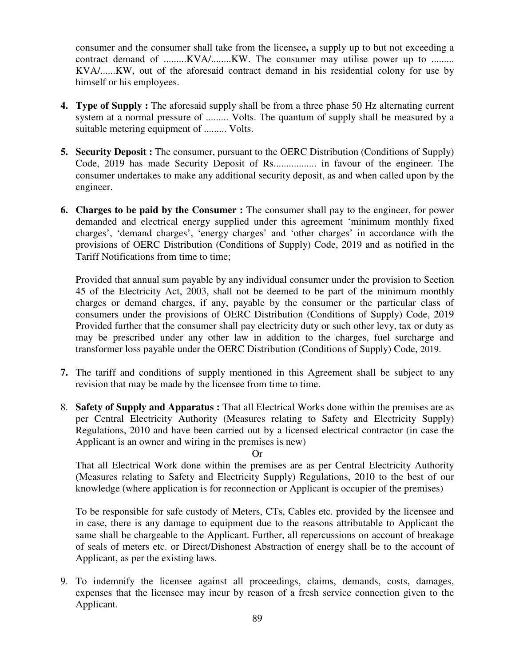consumer and the consumer shall take from the licensee**,** a supply up to but not exceeding a contract demand of .........KVA/........KW. The consumer may utilise power up to ......... KVA/......KW, out of the aforesaid contract demand in his residential colony for use by himself or his employees.

- **4. Type of Supply :** The aforesaid supply shall be from a three phase 50 Hz alternating current system at a normal pressure of ......... Volts. The quantum of supply shall be measured by a suitable metering equipment of ......... Volts.
- **5. Security Deposit :** The consumer, pursuant to the OERC Distribution (Conditions of Supply) Code, 2019 has made Security Deposit of Rs................. in favour of the engineer. The consumer undertakes to make any additional security deposit, as and when called upon by the engineer.
- **6. Charges to be paid by the Consumer :** The consumer shall pay to the engineer, for power demanded and electrical energy supplied under this agreement 'minimum monthly fixed charges', 'demand charges', 'energy charges' and 'other charges' in accordance with the provisions of OERC Distribution (Conditions of Supply) Code, 2019 and as notified in the Tariff Notifications from time to time;

Provided that annual sum payable by any individual consumer under the provision to Section 45 of the Electricity Act, 2003, shall not be deemed to be part of the minimum monthly charges or demand charges, if any, payable by the consumer or the particular class of consumers under the provisions of OERC Distribution (Conditions of Supply) Code, 2019 Provided further that the consumer shall pay electricity duty or such other levy, tax or duty as may be prescribed under any other law in addition to the charges, fuel surcharge and transformer loss payable under the OERC Distribution (Conditions of Supply) Code, 2019.

- **7.** The tariff and conditions of supply mentioned in this Agreement shall be subject to any revision that may be made by the licensee from time to time.
- 8. **Safety of Supply and Apparatus :** That all Electrical Works done within the premises are as per Central Electricity Authority (Measures relating to Safety and Electricity Supply) Regulations, 2010 and have been carried out by a licensed electrical contractor (in case the Applicant is an owner and wiring in the premises is new)

Or

That all Electrical Work done within the premises are as per Central Electricity Authority (Measures relating to Safety and Electricity Supply) Regulations, 2010 to the best of our knowledge (where application is for reconnection or Applicant is occupier of the premises)

To be responsible for safe custody of Meters, CTs, Cables etc. provided by the licensee and in case, there is any damage to equipment due to the reasons attributable to Applicant the same shall be chargeable to the Applicant. Further, all repercussions on account of breakage of seals of meters etc. or Direct/Dishonest Abstraction of energy shall be to the account of Applicant, as per the existing laws.

9. To indemnify the licensee against all proceedings, claims, demands, costs, damages, expenses that the licensee may incur by reason of a fresh service connection given to the Applicant.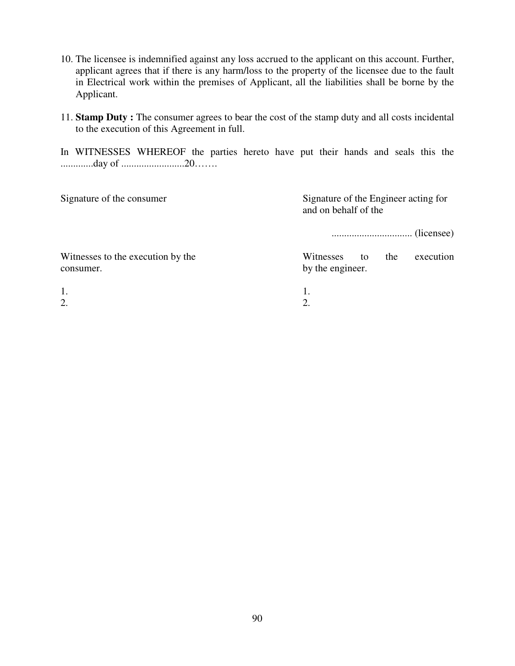- 10. The licensee is indemnified against any loss accrued to the applicant on this account. Further, applicant agrees that if there is any harm/loss to the property of the licensee due to the fault in Electrical work within the premises of Applicant, all the liabilities shall be borne by the Applicant.
- 11. **Stamp Duty :** The consumer agrees to bear the cost of the stamp duty and all costs incidental to the execution of this Agreement in full.

In WITNESSES WHEREOF the parties hereto have put their hands and seals this the .............day of .........................20…….

| Signature of the consumer                      | Signature of the Engineer acting for<br>and on behalf of the |
|------------------------------------------------|--------------------------------------------------------------|
|                                                | (licensee)<br>                                               |
| Witnesses to the execution by the<br>consumer. | execution<br>Witnesses<br>the<br>to<br>by the engineer.      |
| 1.<br>$\overline{2}$ .                         | 2.                                                           |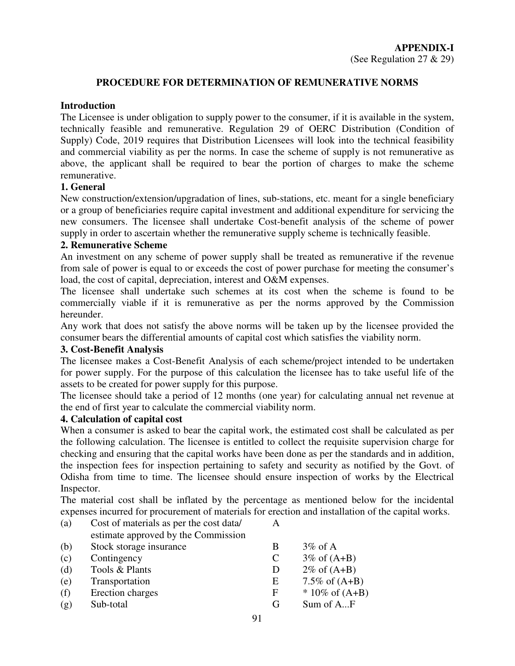# **PROCEDURE FOR DETERMINATION OF REMUNERATIVE NORMS**

# **Introduction**

The Licensee is under obligation to supply power to the consumer, if it is available in the system, technically feasible and remunerative. Regulation 29 of OERC Distribution (Condition of Supply) Code, 2019 requires that Distribution Licensees will look into the technical feasibility and commercial viability as per the norms. In case the scheme of supply is not remunerative as above, the applicant shall be required to bear the portion of charges to make the scheme remunerative.

# **1. General**

New construction/extension/upgradation of lines, sub-stations, etc. meant for a single beneficiary or a group of beneficiaries require capital investment and additional expenditure for servicing the new consumers. The licensee shall undertake Cost-benefit analysis of the scheme of power supply in order to ascertain whether the remunerative supply scheme is technically feasible.

## **2. Remunerative Scheme**

An investment on any scheme of power supply shall be treated as remunerative if the revenue from sale of power is equal to or exceeds the cost of power purchase for meeting the consumer's load, the cost of capital, depreciation, interest and O&M expenses.

The licensee shall undertake such schemes at its cost when the scheme is found to be commercially viable if it is remunerative as per the norms approved by the Commission hereunder.

Any work that does not satisfy the above norms will be taken up by the licensee provided the consumer bears the differential amounts of capital cost which satisfies the viability norm.

## **3. Cost-Benefit Analysis**

The licensee makes a Cost-Benefit Analysis of each scheme/project intended to be undertaken for power supply. For the purpose of this calculation the licensee has to take useful life of the assets to be created for power supply for this purpose.

The licensee should take a period of 12 months (one year) for calculating annual net revenue at the end of first year to calculate the commercial viability norm.

## **4. Calculation of capital cost**

When a consumer is asked to bear the capital work, the estimated cost shall be calculated as per the following calculation. The licensee is entitled to collect the requisite supervision charge for checking and ensuring that the capital works have been done as per the standards and in addition, the inspection fees for inspection pertaining to safety and security as notified by the Govt. of Odisha from time to time. The licensee should ensure inspection of works by the Electrical Inspector.

The material cost shall be inflated by the percentage as mentioned below for the incidental expenses incurred for procurement of materials for erection and installation of the capital works.

| (a) | Cost of materials as per the cost data/ | А |                         |
|-----|-----------------------------------------|---|-------------------------|
|     | estimate approved by the Commission     |   |                         |
| (b) | Stock storage insurance                 | B | $3\%$ of A              |
| (c) | Contingency                             | C | $3\% \text{ of } (A+B)$ |
| (d) | Tools & Plants                          | D | $2\% \text{ of } (A+B)$ |
| (e) | Transportation                          | E | 7.5% of $(A+B)$         |
| (f) | Erection charges                        | F | $*10\%$ of $(A+B)$      |
| (g) | Sub-total                               | G | Sum of AF               |
|     |                                         |   |                         |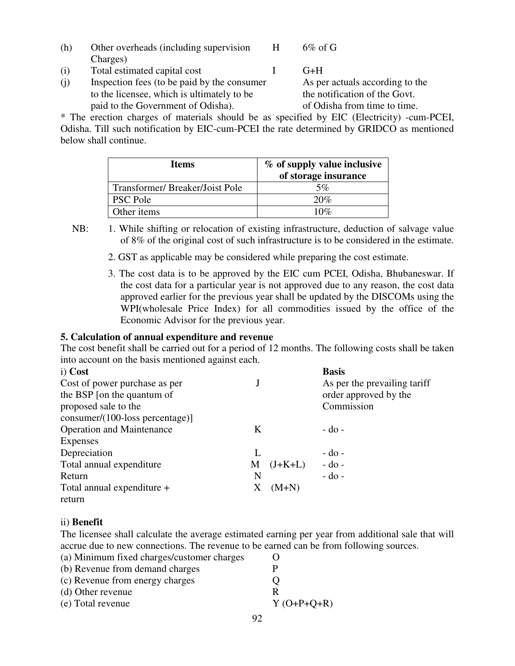- (h) Other overheads (including supervision H 6% of G Charges)
- (i) Total estimated capital cost I G+H
- (j) Inspection fees (to be paid by the consumer As per actuals according to the to the licensee, which is ultimately to be the notification of the Govt. paid to the Government of Odisha).  $\qquad \qquad$  of Odisha from time to time.

\* The erection charges of materials should be as specified by EIC (Electricity) -cum-PCEI, Odisha. Till such notification by EIC-cum-PCEI the rate determined by GRIDCO as mentioned below shall continue.

| <b>Items</b>                   | % of supply value inclusive<br>of storage insurance |
|--------------------------------|-----------------------------------------------------|
| Transformer/Breaker/Joist Pole | 5%                                                  |
| <b>PSC Pole</b>                | 20%                                                 |
| Other items                    | 10 $\%$                                             |

- NB: 1. While shifting or relocation of existing infrastructure, deduction of salvage value of 8% of the original cost of such infrastructure is to be considered in the estimate.
	- 2. GST as applicable may be considered while preparing the cost estimate.
	- 3. The cost data is to be approved by the EIC cum PCEI, Odisha, Bhubaneswar. If the cost data for a particular year is not approved due to any reason, the cost data approved earlier for the previous year shall be updated by the DISCOMs using the WPI(wholesale Price Index) for all commodities issued by the office of the Economic Advisor for the previous year.

## **5. Calculation of annual expenditure and revenue**

The cost benefit shall be carried out for a period of 12 months. The following costs shall be taken into account on the basis mentioned against each.

| i) Cost                            |   |           | <b>Basis</b>                 |
|------------------------------------|---|-----------|------------------------------|
| Cost of power purchase as per      |   |           | As per the prevailing tariff |
| the BSP [on the quantum of         |   |           | order approved by the        |
| proposed sale to the               |   |           | Commission                   |
| $consumer/(100-loss percentage)$ ] |   |           |                              |
| <b>Operation and Maintenance</b>   | K |           | $-do$ -                      |
| Expenses                           |   |           |                              |
| Depreciation                       |   |           | $-do$ -                      |
| Total annual expenditure           | M | $(J+K+L)$ | $-do$ -                      |
| Return                             | N |           | $-do-$                       |
| Total annual expenditure +         | X | $(M+N)$   |                              |
| return                             |   |           |                              |

# ii) **Benefit**

The licensee shall calculate the average estimated earning per year from additional sale that will accrue due to new connections. The revenue to be earned can be from following sources.

| (a) Minimum fixed charges/customer charges |                   |
|--------------------------------------------|-------------------|
| (b) Revenue from demand charges            | P                 |
| (c) Revenue from energy charges            | $\mathbf{\Omega}$ |
| (d) Other revenue                          | R                 |
| (e) Total revenue                          | $Y(O+P+Q+R)$      |
|                                            |                   |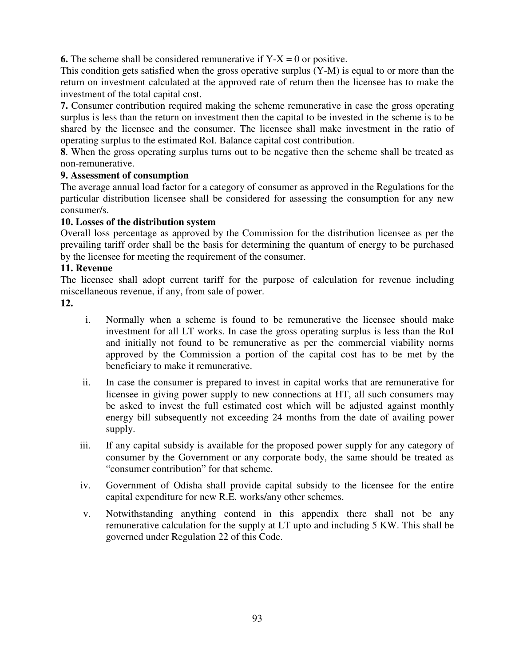**6.** The scheme shall be considered remunerative if  $Y-X = 0$  or positive.

This condition gets satisfied when the gross operative surplus (Y-M) is equal to or more than the return on investment calculated at the approved rate of return then the licensee has to make the investment of the total capital cost.

**7.** Consumer contribution required making the scheme remunerative in case the gross operating surplus is less than the return on investment then the capital to be invested in the scheme is to be shared by the licensee and the consumer. The licensee shall make investment in the ratio of operating surplus to the estimated RoI. Balance capital cost contribution.

**8**. When the gross operating surplus turns out to be negative then the scheme shall be treated as non-remunerative.

# **9. Assessment of consumption**

The average annual load factor for a category of consumer as approved in the Regulations for the particular distribution licensee shall be considered for assessing the consumption for any new consumer/s.

# **10. Losses of the distribution system**

Overall loss percentage as approved by the Commission for the distribution licensee as per the prevailing tariff order shall be the basis for determining the quantum of energy to be purchased by the licensee for meeting the requirement of the consumer.

# **11. Revenue**

The licensee shall adopt current tariff for the purpose of calculation for revenue including miscellaneous revenue, if any, from sale of power.

- **12.**
- i. Normally when a scheme is found to be remunerative the licensee should make investment for all LT works. In case the gross operating surplus is less than the RoI and initially not found to be remunerative as per the commercial viability norms approved by the Commission a portion of the capital cost has to be met by the beneficiary to make it remunerative.
- ii. In case the consumer is prepared to invest in capital works that are remunerative for licensee in giving power supply to new connections at HT, all such consumers may be asked to invest the full estimated cost which will be adjusted against monthly energy bill subsequently not exceeding 24 months from the date of availing power supply.
- iii. If any capital subsidy is available for the proposed power supply for any category of consumer by the Government or any corporate body, the same should be treated as "consumer contribution" for that scheme.
- iv. Government of Odisha shall provide capital subsidy to the licensee for the entire capital expenditure for new R.E. works/any other schemes.
- v. Notwithstanding anything contend in this appendix there shall not be any remunerative calculation for the supply at LT upto and including 5 KW. This shall be governed under Regulation 22 of this Code.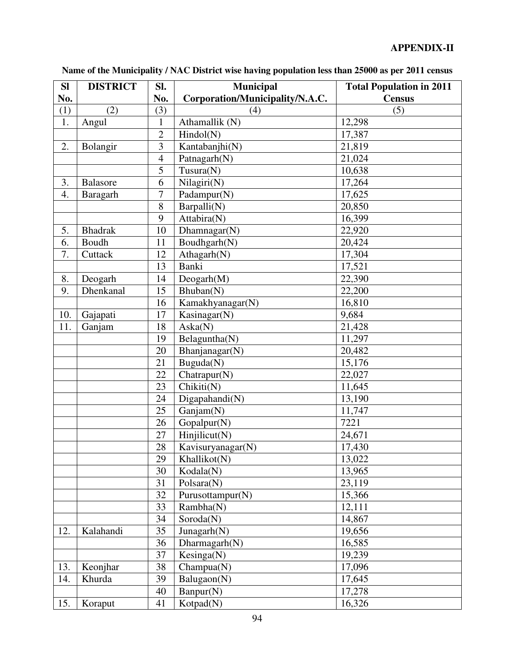| <b>SI</b> | <b>DISTRICT</b> | SI.            | <b>Municipal</b>                | <b>Total Population in 2011</b> |
|-----------|-----------------|----------------|---------------------------------|---------------------------------|
| No.       |                 | No.            | Corporation/Municipality/N.A.C. | <b>Census</b>                   |
| (1)       | (2)             | (3)            | (4)                             | (5)                             |
| 1.        | Angul           | $\mathbf{1}$   | Athamallik (N)                  | 12,298                          |
|           |                 | $\overline{2}$ | Hindol(N)                       | 17,387                          |
| 2.        | Bolangir        | 3              | Kantabanjhi(N)                  | 21,819                          |
|           |                 | $\overline{4}$ | Patnagarh(N)                    | 21,024                          |
|           |                 | 5              | Tusura(N)                       | 10,638                          |
| 3.        | <b>Balasore</b> | 6              | Nilagiri(N)                     | 17,264                          |
| 4.        | Baragarh        | $\overline{7}$ | Padampur(N)                     | 17,625                          |
|           |                 | 8              | Barpalli(N)                     | 20,850                          |
|           |                 | 9              | Attabira(N)                     | 16,399                          |
| 5.        | <b>Bhadrak</b>  | 10             | Dhamnagar(N)                    | 22,920                          |
| 6.        | Boudh           | 11             | Boudhgarh(N)                    | 20,424                          |
| 7.        | Cuttack         | 12             | Athagarh(N)                     | 17,304                          |
|           |                 | 13             | <b>Banki</b>                    | 17,521                          |
| 8.        | Deogarh         | 14             | Deogarh(M)                      | 22,390                          |
| 9.        | Dhenkanal       | 15             | Bhuban(N)                       | 22,200                          |
|           |                 | 16             | Kamakhyanagar(N)                | 16,810                          |
| 10.       | Gajapati        | 17             | Kasinagar(N)                    | 9,684                           |
| 11.       | Ganjam          | 18             | Aska(N)                         | 21,428                          |
|           |                 | 19             | Belaguntha(N)                   | 11,297                          |
|           |                 | 20             | Bhanjanagar(N)                  | 20,482                          |
|           |                 | 21             | Buguda(N)                       | 15,176                          |
|           |                 | 22             | Chatrapur(N)                    | 22,027                          |
|           |                 | 23             | Chikiti(N)                      | 11,645                          |
|           |                 | 24             | Digapahandi(N)                  | 13,190                          |
|           |                 | 25             | Ganjam(N)                       | 11,747                          |
|           |                 | 26             | Gopalpur(N)                     | 7221                            |
|           |                 | 27             | Hinjilicut(N)                   | 24,671                          |
|           |                 | $28\,$         | Kavisuryanagar(N)               | 17,430                          |
|           |                 | 29             | Khallikot(N)                    | $\overline{13,022}$             |
|           |                 | 30             | Kodala(N)                       | 13,965                          |
|           |                 | 31             | Polsara(N)                      | 23,119                          |
|           |                 | 32             | Purusottampur(N)                | 15,366                          |
|           |                 | 33             | Rambha(N)                       | 12,111                          |
|           |                 | 34             | Soroda(N)                       | 14,867                          |
| 12.       | Kalahandi       | 35             | Junagarh(N)                     | 19,656                          |
|           |                 | 36             | Dharmagarh(N)                   | 16,585                          |
|           |                 | 37             | Kesinga(N)                      | 19,239                          |
| 13.       | Keonjhar        | 38             | Champua(N)                      | 17,096                          |
| 14.       | Khurda          | 39             | Balugaon(N)                     | 17,645                          |
|           |                 | 40             | Banpur(N)                       | 17,278                          |
| 15.       | Koraput         | 41             | Kotpad(N)                       | 16,326                          |

**Name of the Municipality / NAC District wise having population less than 25000 as per 2011 census**